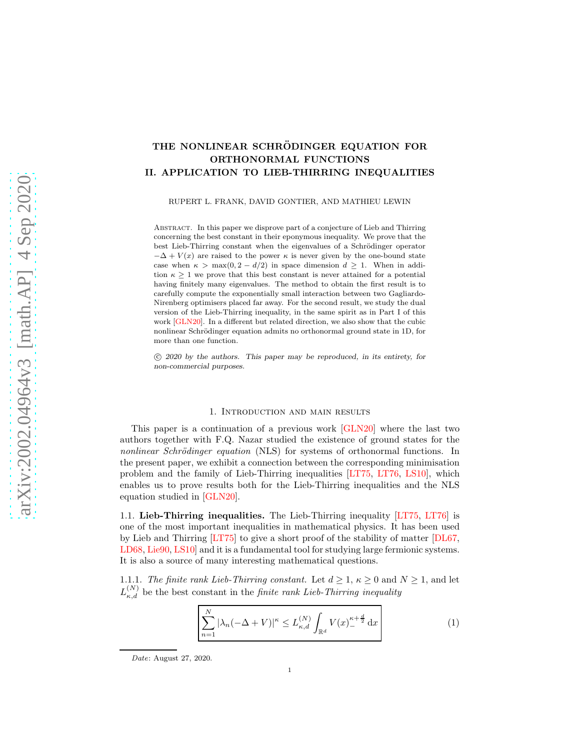## THE NONLINEAR SCHRÖDINGER EQUATION FOR ORTHONORMAL FUNCTIONS II. APPLICATION TO LIEB-THIRRING INEQUALITIES

RUPERT L. FRANK, DAVID GONTIER, AND MATHIEU LEWIN

Abstract. In this paper we disprove part of a conjecture of Lieb and Thirring concerning the best constant in their eponymous inequality. We prove that the best Lieb-Thirring constant when the eigenvalues of a Schrödinger operator  $-\Delta + V(x)$  are raised to the power  $\kappa$  is never given by the one-bound state case when  $\kappa > \max(0, 2 - d/2)$  in space dimension  $d \geq 1$ . When in addition  $\kappa \geq 1$  we prove that this best constant is never attained for a potential having finitely many eigenvalues. The method to obtain the first result is to carefully compute the exponentially small interaction between two Gagliardo-Nirenberg optimisers placed far away. For the second result, we study the dual version of the Lieb-Thirring inequality, in the same spirit as in Part I of this work [\[GLN20\]](#page-40-0). In a different but related direction, we also show that the cubic nonlinear Schrödinger equation admits no orthonormal ground state in 1D, for more than one function.

 c 2020 by the authors. This paper may be reproduced, in its entirety, for non-commercial purposes.

#### 1. Introduction and main results

This paper is a continuation of a previous work [\[GLN20\]](#page-40-0) where the last two authors together with F.Q. Nazar studied the existence of ground states for the nonlinear Schrödinger equation (NLS) for systems of orthonormal functions. In the present paper, we exhibit a connection between the corresponding minimisation problem and the family of Lieb-Thirring inequalities [\[LT75,](#page-41-0) [LT76,](#page-41-1) [LS10\]](#page-41-2), which enables us to prove results both for the Lieb-Thirring inequalities and the NLS equation studied in [\[GLN20\]](#page-40-0).

<span id="page-0-1"></span>1.1. Lieb-Thirring inequalities. The Lieb-Thirring inequality [\[LT75,](#page-41-0) [LT76\]](#page-41-1) is one of the most important inequalities in mathematical physics. It has been used by Lieb and Thirring [\[LT75\]](#page-41-0) to give a short proof of the stability of matter [\[DL67,](#page-40-1) [LD68,](#page-41-3) [Lie90,](#page-41-4) LS10 and it is a fundamental tool for studying large fermionic systems. It is also a source of many interesting mathematical questions.

1.1.1. The finite rank Lieb-Thirring constant. Let  $d \geq 1$ ,  $\kappa \geq 0$  and  $N \geq 1$ , and let  $L_{\kappa,d}^{(N)}$  be the best constant in the *finite rank Lieb-Thirring inequality* 

<span id="page-0-0"></span>
$$
\sum_{n=1}^{N} |\lambda_n(-\Delta + V)|^{\kappa} \le L_{\kappa,d}^{(N)} \int_{\mathbb{R}^d} V(x)_{-}^{\kappa + \frac{d}{2}} dx
$$
 (1)

Date: August 27, 2020.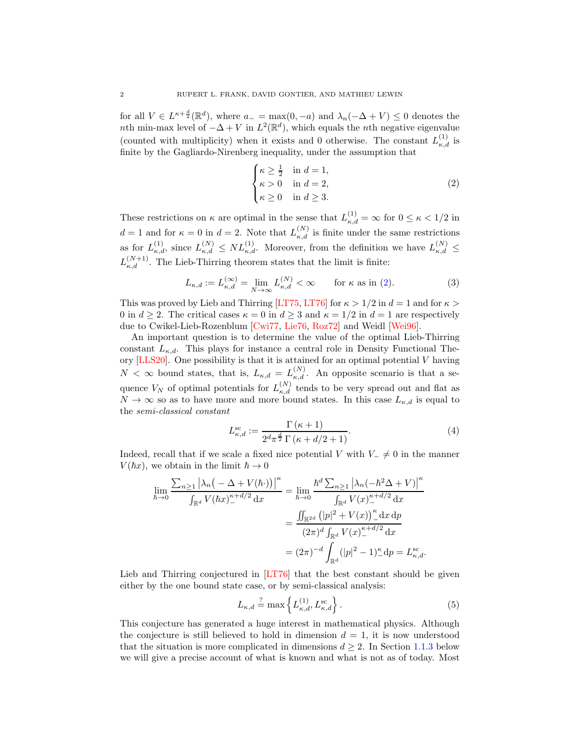for all  $V \in L^{\kappa + \frac{d}{2}}(\mathbb{R}^d)$ , where  $a_- = \max(0, -a)$  and  $\lambda_n(-\Delta + V) \leq 0$  denotes the nth min-max level of  $-\Delta + V$  in  $L^2(\mathbb{R}^d)$ , which equals the nth negative eigenvalue (counted with multiplicity) when it exists and 0 otherwise. The constant  $L_{\kappa,d}^{(1)}$  is finite by the Gagliardo-Nirenberg inequality, under the assumption that

<span id="page-1-0"></span>
$$
\begin{cases}\n\kappa \ge \frac{1}{2} & \text{in } d = 1, \\
\kappa > 0 & \text{in } d = 2, \\
\kappa \ge 0 & \text{in } d \ge 3.\n\end{cases}
$$
\n(2)

These restrictions on  $\kappa$  are optimal in the sense that  $L_{\kappa,d}^{(1)} = \infty$  for  $0 \leq \kappa < 1/2$  in  $d=1$  and for  $\kappa=0$  in  $d=2$ . Note that  $L_{\kappa,d}^{(N)}$  is finite under the same restrictions as for  $L_{\kappa,d}^{(1)}$ , since  $L_{\kappa,d}^{(N)} \leq NL_{\kappa,d}^{(1)}$ . Moreover, from the definition we have  $L_{\kappa,d}^{(N)} \leq$  $L_{\kappa,d}^{(N+1)}$ . The Lieb-Thirring theorem states that the limit is finite:

<span id="page-1-2"></span>
$$
L_{\kappa,d} := L_{\kappa,d}^{(\infty)} = \lim_{N \to \infty} L_{\kappa,d}^{(N)} < \infty \qquad \text{for } \kappa \text{ as in (2).} \tag{3}
$$

This was proved by Lieb and Thirring [\[LT75,](#page-41-0) [LT76\]](#page-41-1) for  $\kappa > 1/2$  in  $d = 1$  and for  $\kappa >$ 0 in  $d \geq 2$ . The critical cases  $\kappa = 0$  in  $d \geq 3$  and  $\kappa = 1/2$  in  $d = 1$  are respectively due to Cwikel-Lieb-Rozenblum [\[Cwi77,](#page-40-2) [Lie76,](#page-41-5) [Roz72\]](#page-42-0) and Weidl [\[Wei96\]](#page-42-1).

An important question is to determine the value of the optimal Lieb-Thirring constant  $L_{\kappa,d}$ . This plays for instance a central role in Density Functional Theory  $[LLS20]$ . One possibility is that it is attained for an optimal potential V having  $N < \infty$  bound states, that is,  $L_{\kappa,d} = L_{\kappa,d}^{(N)}$ . An opposite scenario is that a sequence  $V_N$  of optimal potentials for  $L_{\kappa,d}^{(N)}$  tends to be very spread out and flat as  $N \to \infty$  so as to have more and more bound states. In this case  $L_{\kappa,d}$  is equal to the semi-classical constant

<span id="page-1-3"></span>
$$
L_{\kappa,d}^{\rm sc} := \frac{\Gamma(\kappa + 1)}{2^d \pi^{\frac{d}{2}} \Gamma(\kappa + d/2 + 1)}.
$$
\n(4)

Indeed, recall that if we scale a fixed nice potential V with  $V_-\neq 0$  in the manner  $V(\hbar x)$ , we obtain in the limit  $\hbar \to 0$ 

$$
\lim_{\hbar \to 0} \frac{\sum_{n \ge 1} |\lambda_n ( - \Delta + V(\hbar \cdot))|^\kappa}{\int_{\mathbb{R}^d} V(\hbar x)^{\kappa + d/2}_{-} dx} = \lim_{\hbar \to 0} \frac{\hbar^d \sum_{n \ge 1} |\lambda_n (-\hbar^2 \Delta + V)|^\kappa}{\int_{\mathbb{R}^d} V(x)^{\kappa + d/2}_{-} dx}
$$

$$
= \frac{\iint_{\mathbb{R}^{2d}} (|p|^2 + V(x))^\kappa dx \, dp}{(2\pi)^d \int_{\mathbb{R}^d} V(x)^{\kappa + d/2}_{-} dx}
$$

$$
= (2\pi)^{-d} \int_{\mathbb{R}^d} (|p|^2 - 1)^\kappa dx \, dp = L_{\kappa, d}^{\rm sc}.
$$

Lieb and Thirring conjectured in [\[LT76\]](#page-41-1) that the best constant should be given either by the one bound state case, or by semi-classical analysis:

<span id="page-1-1"></span>
$$
L_{\kappa,d} \stackrel{?}{=} \max\left\{ L_{\kappa,d}^{(1)}, L_{\kappa,d}^{\text{sc}} \right\}.
$$
 (5)

This conjecture has generated a huge interest in mathematical physics. Although the conjecture is still believed to hold in dimension  $d = 1$ , it is now understood that the situation is more complicated in dimensions  $d \geq 2$ . In Section [1.1.3](#page-3-0) below we will give a precise account of what is known and what is not as of today. Most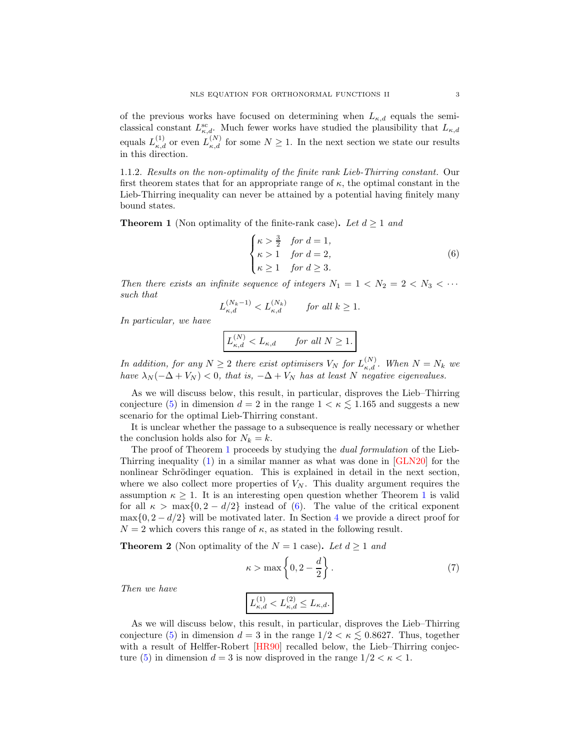of the previous works have focused on determining when  $L_{\kappa,d}$  equals the semiclassical constant  $L_{\kappa,d}^{\rm sc}$ . Much fewer works have studied the plausibility that  $L_{\kappa,d}$ equals  $L_{\kappa,d}^{(1)}$  or even  $L_{\kappa,d}^{(N)}$  for some  $N \geq 1$ . In the next section we state our results in this direction.

1.1.2. Results on the non-optimality of the finite rank Lieb-Thirring constant. Our first theorem states that for an appropriate range of  $\kappa$ , the optimal constant in the Lieb-Thirring inequality can never be attained by a potential having finitely many bound states.

<span id="page-2-0"></span>**Theorem 1** (Non optimality of the finite-rank case). Let  $d \ge 1$  and

<span id="page-2-1"></span>
$$
\begin{cases}\n\kappa > \frac{3}{2} & \text{for } d = 1, \\
\kappa > 1 & \text{for } d = 2, \\
\kappa \ge 1 & \text{for } d \ge 3.\n\end{cases}
$$
\n(6)

Then there exists an infinite sequence of integers  $N_1 = 1 \lt N_2 = 2 \lt N_3 \lt \cdots$ such that

$$
L_{\kappa,d}^{(N_k-1)} < L_{\kappa,d}^{(N_k)} \qquad \text{for all } k \ge 1.
$$

In particular, we have

$$
L_{\kappa,d}^{(N)} < L_{\kappa,d} \qquad \textit{for all $N \geq 1$}.
$$

In addition, for any  $N \geq 2$  there exist optimisers  $V_N$  for  $L_{\kappa,d}^{(N)}$ . When  $N = N_k$  we have  $\lambda_N(-\Delta + V_N) < 0$ , that is,  $-\Delta + V_N$  has at least N negative eigenvalues.

As we will discuss below, this result, in particular, disproves the Lieb–Thirring conjecture [\(5\)](#page-1-1) in dimension  $d = 2$  in the range  $1 < \kappa \leq 1.165$  and suggests a new scenario for the optimal Lieb-Thirring constant.

It is unclear whether the passage to a subsequence is really necessary or whether the conclusion holds also for  $N_k = k$ .

The proof of Theorem [1](#page-2-0) proceeds by studying the *dual formulation* of the Lieb-Thirring inequality [\(1\)](#page-0-0) in a similar manner as what was done in [\[GLN20\]](#page-40-0) for the nonlinear Schrödinger equation. This is explained in detail in the next section, where we also collect more properties of  $V_N$ . This duality argument requires the assumption  $\kappa \geq 1$  $\kappa \geq 1$ . It is an interesting open question whether Theorem 1 is valid for all  $\kappa > \max\{0, 2 - d/2\}$  instead of [\(6\)](#page-2-1). The value of the critical exponent  $\max\{0, 2 - d/2\}$  will be motivated later. In Section [4](#page-21-0) we provide a direct proof for  $N = 2$  which covers this range of  $\kappa$ , as stated in the following result.

<span id="page-2-2"></span>**Theorem 2** (Non optimality of the  $N = 1$  case). Let  $d \ge 1$  and

$$
\kappa > \max\left\{0, 2 - \frac{d}{2}\right\}.
$$
 (7)

Then we have

$$
L_{\kappa,d}^{(1)} < L_{\kappa,d}^{(2)} \le L_{\kappa,d}.
$$

As we will discuss below, this result, in particular, disproves the Lieb–Thirring conjecture [\(5\)](#page-1-1) in dimension  $d = 3$  in the range  $1/2 < \kappa \leq 0.8627$ . Thus, together with a result of Helffer-Robert [\[HR90\]](#page-41-7) recalled below, the Lieb–Thirring conjec-ture [\(5\)](#page-1-1) in dimension  $d = 3$  is now disproved in the range  $1/2 < \kappa < 1$ .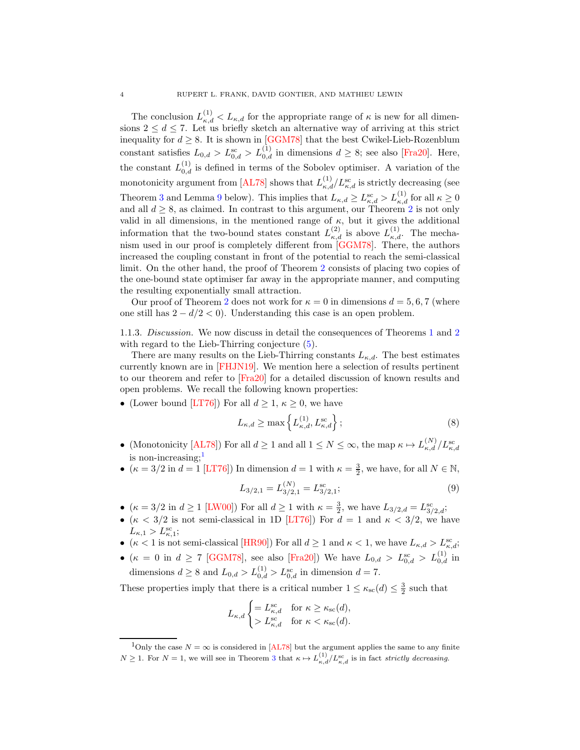The conclusion  $L_{\kappa,d}^{(1)} < L_{\kappa,d}$  for the appropriate range of  $\kappa$  is new for all dimensions  $2 \leq d \leq 7$ . Let us briefly sketch an alternative way of arriving at this strict inequality for  $d \geq 8$ . It is shown in [\[GGM78\]](#page-40-3) that the best Cwikel-Lieb-Rozenblum constant satisfies  $L_{0,d} > L_{0,d}^{\text{sc}} > L_{0,d}^{(1)}$  in dimensions  $d \geq 8$ ; see also [\[Fra20\]](#page-40-4). Here, the constant  $L_{0,d}^{(1)}$  is defined in terms of the Sobolev optimiser. A variation of the monotonicity argument from [\[AL78\]](#page-39-0) shows that  $L_{\kappa,d}^{(1)}/L_{\kappa,d}^{\rm sc}$  is strictly decreasing (see Theorem [3](#page-4-0) and Lemma [9](#page-11-0) below). This implies that  $L_{\kappa,d} \ge L_{\kappa,d}^{\rm sc} > L_{\kappa,d}^{(1)}$  for all  $\kappa \ge 0$ and all  $d \geq 8$ , as claimed. In contrast to this argument, our Theorem [2](#page-2-2) is not only valid in all dimensions, in the mentioned range of  $\kappa$ , but it gives the additional information that the two-bound states constant  $L_{\kappa,d}^{(2)}$  is above  $L_{\kappa,d}^{(1)}$ . The mechanism used in our proof is completely different from [\[GGM78\]](#page-40-3). There, the authors increased the coupling constant in front of the potential to reach the semi-classical limit. On the other hand, the proof of Theorem [2](#page-2-2) consists of placing two copies of the one-bound state optimiser far away in the appropriate manner, and computing the resulting exponentially small attraction.

Our proof of Theorem [2](#page-2-2) does not work for  $\kappa = 0$  in dimensions  $d = 5, 6, 7$  (where one still has  $2 - d/2 < 0$ ). Understanding this case is an open problem.

<span id="page-3-0"></span>1.1.3. Discussion. We now discuss in detail the consequences of Theorems [1](#page-2-0) and [2](#page-2-2) with regard to the Lieb-Thirring conjecture  $(5)$ .

There are many results on the Lieb-Thirring constants  $L_{\kappa,d}$ . The best estimates currently known are in [\[FHJN19\]](#page-40-5). We mention here a selection of results pertinent to our theorem and refer to [\[Fra20\]](#page-40-4) for a detailed discussion of known results and open problems. We recall the following known properties:

• (Lower bound [\[LT76\]](#page-41-1)) For all  $d \geq 1, \kappa \geq 0$ , we have

$$
L_{\kappa,d} \ge \max\left\{L_{\kappa,d}^{(1)}, L_{\kappa,d}^{\text{sc}}\right\};\tag{8}
$$

- (Monotonicity [\[AL78\]](#page-39-0)) For all  $d \ge 1$  and all  $1 \le N \le \infty$ , the map  $\kappa \mapsto L_{\kappa,d}^{(N)}/L_{\kappa,d}^{\rm sc}$ is non-increasing: $<sup>1</sup>$  $<sup>1</sup>$  $<sup>1</sup>$ </sup>
- $(\kappa = 3/2 \text{ in } d = 1 \text{ [LT76]})$  $(\kappa = 3/2 \text{ in } d = 1 \text{ [LT76]})$  $(\kappa = 3/2 \text{ in } d = 1 \text{ [LT76]})$  In dimension  $d = 1$  with  $\kappa = \frac{3}{2}$ , we have, for all  $N \in \mathbb{N}$ ,

$$
L_{3/2,1} = L_{3/2,1}^{(N)} = L_{3/2,1}^{\rm sc};\tag{9}
$$

- $(\kappa = 3/2 \text{ in } d \ge 1 \text{ [LWO0]})$  For all  $d \ge 1$  with  $\kappa = \frac{3}{2}$ , we have  $L_{3/2,d} = L_{3/2,d}^{\text{sc}}$ ;
- ( $\kappa$  < 3/2 is not semi-classical in 1D [\[LT76\]](#page-41-1)) For  $d = 1$  and  $\kappa$  < 3/2, we have  $L_{\kappa,1} > L_{\kappa,1}^{\rm sc};$
- ( $\kappa < 1$  is not semi-classical [\[HR90\]](#page-41-7)) For all  $d \ge 1$  and  $\kappa < 1$ , we have  $L_{\kappa,d} > L_{\kappa,d}^{\rm sc}$ ;
- ( $\kappa = 0$  in  $d \ge 7$  [\[GGM78\]](#page-40-3), see also [\[Fra20\]](#page-40-4)) We have  $L_{0,d} > L_{0,d}^{\rm sc} > L_{0,d}^{(1)}$  in dimensions  $d \ge 8$  and  $L_{0,d} > L_{0,d}^{(1)} > L_{0,d}^{\text{sc}}$  in dimension  $d = 7$ .

These properties imply that there is a critical number  $1 \leq \kappa_{\rm sc}(d) \leq \frac{3}{2}$  such that

$$
L_{\kappa,d} \begin{cases} = L_{\kappa,d}^{\mathrm{sc}} & \text{for } \kappa \ge \kappa_{\mathrm{sc}}(d), \\ > L_{\kappa,d}^{\mathrm{sc}} & \text{for } \kappa < \kappa_{\mathrm{sc}}(d). \end{cases}
$$

<span id="page-3-1"></span><sup>&</sup>lt;sup>1</sup>Only the case  $N = \infty$  is considered in [\[AL78\]](#page-39-0) but the argument applies the same to any finite  $N \geq 1$ . For  $N = 1$ , we will see in Theorem [3](#page-4-0) that  $\kappa \mapsto L_{\kappa,d}^{(1)}/L_{\kappa,d}^{\rm sc}$  is in fact strictly decreasing.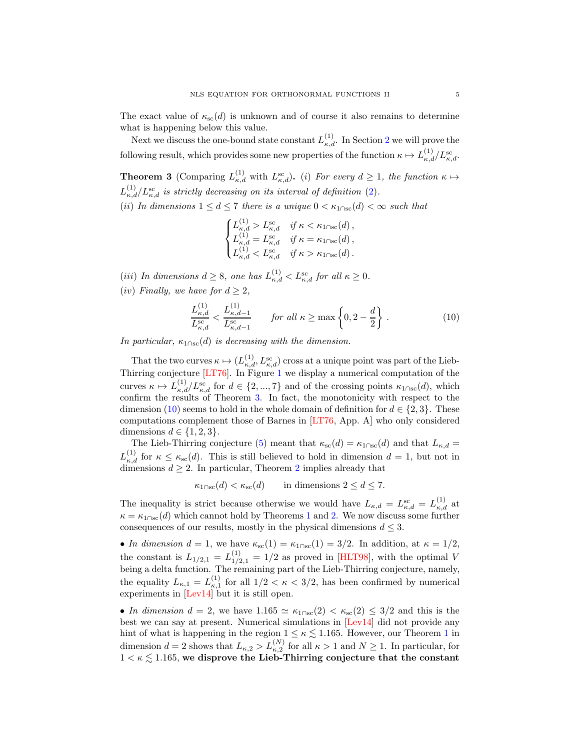The exact value of  $\kappa_{\rm sc}(d)$  is unknown and of course it also remains to determine what is happening below this value.

Next we discuss the one-bound state constant  $L_{\kappa,d}^{(1)}$ . In Section [2](#page-10-0) we will prove the following result, which provides some new properties of the function  $\kappa \mapsto L_{\kappa,d}^{(1)}/L_{\kappa,d}^{\rm sc}$ .

<span id="page-4-0"></span>**Theorem 3** (Comparing  $L_{\kappa,d}^{(1)}$  with  $L_{\kappa,d}^{sc}$ ). (i) For every  $d \geq 1$ , the function  $\kappa \mapsto$  $L_{\kappa,d}^{(1)}/L_{\kappa,d}^{\rm sc}$  is strictly decreasing on its interval of definition [\(2\)](#page-1-0). (ii) In dimensions  $1 \leq d \leq 7$  there is a unique  $0 < \kappa_{1 \cap sc}(d) < \infty$  such that

$$
\begin{cases} L_{\kappa,d}^{(1)} > L_{\kappa,d}^{\text{sc}} & \text{if } \kappa < \kappa_{1\cap \text{sc}}(d)\,,\\ L_{\kappa,d}^{(1)} = L_{\kappa,d}^{\text{sc}} & \text{if } \kappa = \kappa_{1\cap \text{sc}}(d)\,,\\ L_{\kappa,d}^{(1)} < L_{\kappa,d}^{\text{sc}} & \text{if } \kappa > \kappa_{1\cap \text{sc}}(d)\,. \end{cases}
$$

(iii) In dimensions  $d \geq 8$ , one has  $L_{\kappa,d}^{(1)} < L_{\kappa,d}^{\rm sc}$  for all  $\kappa \geq 0$ .

(iv) Finally, we have for  $d \geq 2$ ,

<span id="page-4-1"></span>
$$
\frac{L_{\kappa,d}^{(1)}}{L_{\kappa,d}^{\text{sc}}} < \frac{L_{\kappa,d-1}^{(1)}}{L_{\kappa,d-1}^{\text{sc}}} \qquad \text{for all } \kappa \ge \max\left\{0, 2 - \frac{d}{2}\right\}.
$$
 (10)

In particular,  $\kappa_{1\cap\rm sc}(d)$  is decreasing with the dimension.

That the two curves  $\kappa \mapsto (L_{\kappa,d}^{(1)}, L_{\kappa,d}^{sc})$  cross at a unique point was part of the Lieb-Thirring conjecture [\[LT76\]](#page-41-1). In Figure [1](#page-5-0) we display a numerical computation of the curves  $\kappa \mapsto L_{\kappa,d}^{(1)}/L_{\kappa,d}^{\rm sc}$  for  $d \in \{2,...,7\}$  and of the crossing points  $\kappa_{1\cap{\rm sc}}(d)$ , which confirm the results of Theorem [3.](#page-4-0) In fact, the monotonicity with respect to the dimension [\(10\)](#page-4-1) seems to hold in the whole domain of definition for  $d \in \{2,3\}$ . These computations complement those of Barnes in [\[LT76,](#page-41-1) App. A] who only considered dimensions  $d \in \{1, 2, 3\}.$ 

The Lieb-Thirring conjecture [\(5\)](#page-1-1) meant that  $\kappa_{\rm sc}(d) = \kappa_{1\cap \rm sc}(d)$  and that  $L_{\kappa,d} =$  $L_{\kappa,d}^{(1)}$  for  $\kappa \leq \kappa_{\rm sc}(d)$ . This is still believed to hold in dimension  $d=1$ , but not in dimensions  $d \geq 2$  $d \geq 2$ . In particular, Theorem 2 implies already that

$$
\kappa_{1\cap\mathrm{sc}}(d) < \kappa_{\mathrm{sc}}(d) \qquad \text{in dimensions } 2 \le d \le 7.
$$

The inequality is strict because otherwise we would have  $L_{\kappa,d} = L_{\kappa,d}^{\rm sc} = L_{\kappa,d}^{(1)}$  at  $\kappa = \kappa_{1\cap\rm sc}(d)$  $\kappa = \kappa_{1\cap\rm sc}(d)$  $\kappa = \kappa_{1\cap\rm sc}(d)$  which cannot hold by Theorems 1 and [2.](#page-2-2) We now discuss some further consequences of our results, mostly in the physical dimensions  $d \leq 3$ .

• In dimension  $d = 1$ , we have  $\kappa_{\rm sc}(1) = \kappa_{1\cap {\rm sc}}(1) = 3/2$ . In addition, at  $\kappa = 1/2$ , the constant is  $L_{1/2,1} = L_{1/2,1}^{(1)} = 1/2$  as proved in [\[HLT98\]](#page-40-6), with the optimal V being a delta function. The remaining part of the Lieb-Thirring conjecture, namely, the equality  $L_{\kappa,1} = L_{\kappa,1}^{(1)}$  for all  $1/2 < \kappa < 3/2$ , has been confirmed by numerical experiments in [\[Lev14\]](#page-41-9) but it is still open.

• In dimension  $d = 2$ , we have  $1.165 \simeq \kappa_{1\text{Osc}}(2) < \kappa_{\text{sc}}(2) \leq 3/2$  and this is the best we can say at present. Numerical simulations in [\[Lev14\]](#page-41-9) did not provide any hint of what is happening in the region  $1 \leq \kappa \leq 1.165$  $1 \leq \kappa \leq 1.165$ . However, our Theorem 1 in dimension  $d = 2$  shows that  $L_{\kappa,2} > L_{\kappa,2}^{(N)}$  for all  $\kappa > 1$  and  $N \ge 1$ . In particular, for  $1 < \kappa \lesssim 1.165$ , we disprove the Lieb-Thirring conjecture that the constant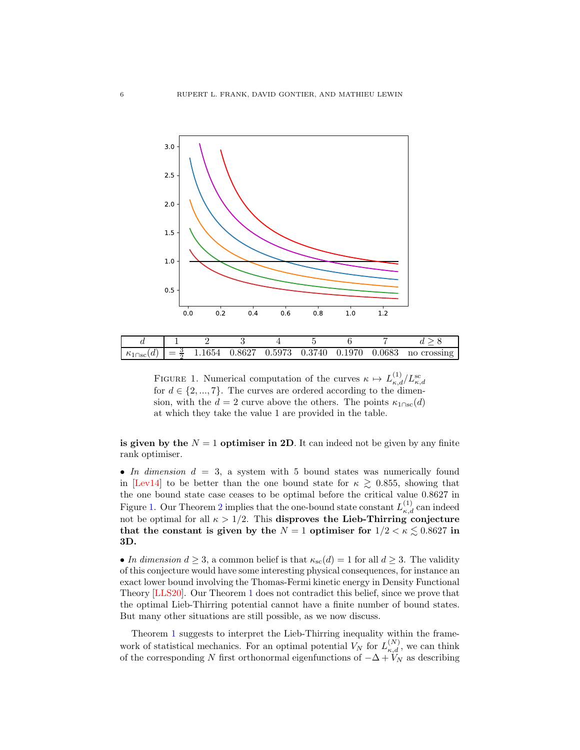

<span id="page-5-0"></span>FIGURE 1. Numerical computation of the curves  $\kappa \mapsto L_{\kappa,d}^{(1)}/L_{\kappa,d}^{\rm sc}$ for  $d \in \{2, ..., 7\}$ . The curves are ordered according to the dimension, with the  $d = 2$  curve above the others. The points  $\kappa_{1 \cap sc}(d)$ at which they take the value 1 are provided in the table.

is given by the  $N = 1$  optimiser in 2D. It can indeed not be given by any finite rank optimiser.

• In dimension  $d = 3$ , a system with 5 bound states was numerically found in [\[Lev14\]](#page-41-9) to be better than the one bound state for  $\kappa \gtrsim 0.855$ , showing that the one bound state case ceases to be optimal before the critical value 0.8627 in Figure [1.](#page-5-0) Our Theorem [2](#page-2-2) implies that the one-bound state constant  $L_{\kappa,d}^{(1)}$  can indeed not be optimal for all  $\kappa > 1/2$ . This disproves the Lieb-Thirring conjecture that the constant is given by the  $N = 1$  optimiser for  $1/2 < \kappa \lesssim 0.8627$  in 3D.

• In dimension  $d \geq 3$ , a common belief is that  $\kappa_{\rm sc}(d) = 1$  for all  $d \geq 3$ . The validity of this conjecture would have some interesting physical consequences, for instance an exact lower bound involving the Thomas-Fermi kinetic energy in Density Functional Theory [\[LLS20\]](#page-41-6). Our Theorem [1](#page-2-0) does not contradict this belief, since we prove that the optimal Lieb-Thirring potential cannot have a finite number of bound states. But many other situations are still possible, as we now discuss.

Theorem [1](#page-2-0) suggests to interpret the Lieb-Thirring inequality within the framework of statistical mechanics. For an optimal potential  $V_N$  for  $L_{\kappa,d}^{(N)}$ , we can think of the corresponding N first orthonormal eigenfunctions of  $-\Delta + V_N$  as describing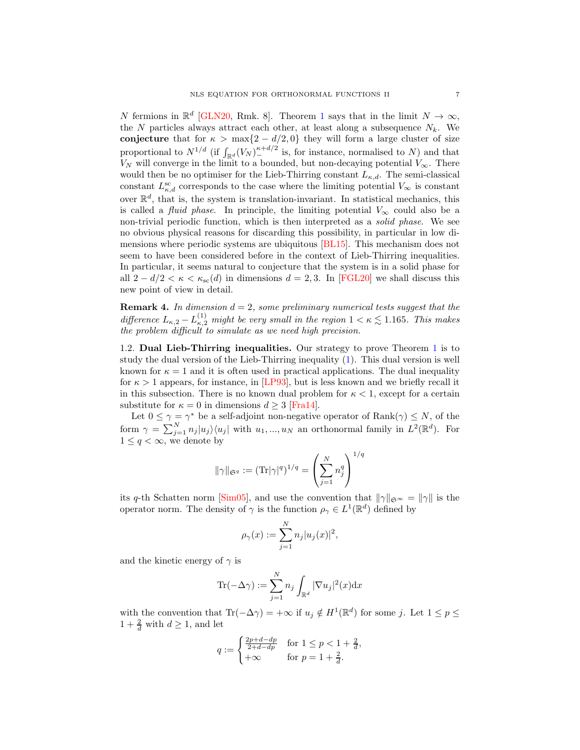N fermions in  $\mathbb{R}^d$  [\[GLN20,](#page-40-0) Rmk. 8]. Theorem [1](#page-2-0) says that in the limit  $N \to \infty$ , the N particles always attract each other, at least along a subsequence  $N_k$ . We conjecture that for  $\kappa > \max\{2 - d/2, 0\}$  they will form a large cluster of size proportional to  $N^{1/d}$  (if  $\int_{\mathbb{R}^d} (V_N)^{\kappa+d/2}$  is, for instance, normalised to N) and that  $V_N$  will converge in the limit to a bounded, but non-decaying potential  $V_\infty$ . There would then be no optimiser for the Lieb-Thirring constant  $L_{\kappa,d}$ . The semi-classical constant  $L_{\kappa,d}^{\rm sc}$  corresponds to the case where the limiting potential  $V_{\infty}$  is constant over  $\mathbb{R}^d$ , that is, the system is translation-invariant. In statistical mechanics, this is called a *fluid phase*. In principle, the limiting potential  $V_{\infty}$  could also be a non-trivial periodic function, which is then interpreted as a solid phase. We see no obvious physical reasons for discarding this possibility, in particular in low dimensions where periodic systems are ubiquitous [\[BL15\]](#page-40-7). This mechanism does not seem to have been considered before in the context of Lieb-Thirring inequalities. In particular, it seems natural to conjecture that the system is in a solid phase for all  $2 - d/2 < \kappa < \kappa_{\rm sc}(d)$  in dimensions  $d = 2, 3$ . In [\[FGL20\]](#page-40-8) we shall discuss this new point of view in detail.

**Remark 4.** In dimension  $d = 2$ , some preliminary numerical tests suggest that the difference  $L_{\kappa,2} - L_{\kappa,2}^{(1)}$  might be very small in the region  $1 < \kappa \lesssim 1.165$ . This makes the problem difficult to simulate as we need high precision.

<span id="page-6-0"></span>1.2. Dual Lieb-Thirring inequalities. Our strategy to prove Theorem [1](#page-2-0) is to study the dual version of the Lieb-Thirring inequality [\(1\)](#page-0-0). This dual version is well known for  $\kappa = 1$  and it is often used in practical applications. The dual inequality for  $\kappa > 1$  appears, for instance, in [\[LP93\]](#page-41-10), but is less known and we briefly recall it in this subsection. There is no known dual problem for  $\kappa < 1$ , except for a certain substitute for  $\kappa = 0$  in dimensions  $d \geq 3$  [\[Fra14\]](#page-40-9).

Let  $0 \leq \gamma = \gamma^*$  be a self-adjoint non-negative operator of  $\text{Rank}(\gamma) \leq N$ , of the form  $\gamma = \sum_{j=1}^{N} n_j |u_j\rangle\langle u_j|$  with  $u_1, ..., u_N$  an orthonormal family in  $L^2(\mathbb{R}^d)$ . For  $1 \leq q < \infty$ , we denote by

$$
\|\gamma\|_{\mathfrak{S}^q} := (\mathrm{Tr} |\gamma|^q)^{1/q} = \left(\sum_{j=1}^N n_j^q\right)^{1/q}
$$

its q-th Schatten norm [\[Sim05\]](#page-42-2), and use the convention that  $\|\gamma\|_{\mathfrak{S}^{\infty}} = \|\gamma\|$  is the operator norm. The density of  $\gamma$  is the function  $\rho_{\gamma} \in L^1(\mathbb{R}^d)$  defined by

$$
\rho_{\gamma}(x) := \sum_{j=1}^{N} n_j |u_j(x)|^2,
$$

and the kinetic energy of  $\gamma$  is

$$
\operatorname{Tr}(-\Delta \gamma) := \sum_{j=1}^{N} n_j \int_{\mathbb{R}^d} |\nabla u_j|^2(x) \mathrm{d} x
$$

with the convention that  $\text{Tr}(-\Delta \gamma) = +\infty$  if  $u_j \notin H^1(\mathbb{R}^d)$  for some j. Let  $1 \leq p \leq$  $1 + \frac{2}{d}$  with  $d \ge 1$ , and let

$$
q := \begin{cases} \frac{2p+d-dp}{2+d-dp} & \text{for } 1 \le p < 1 + \frac{2}{d}, \\ +\infty & \text{for } p = 1 + \frac{2}{d}. \end{cases}
$$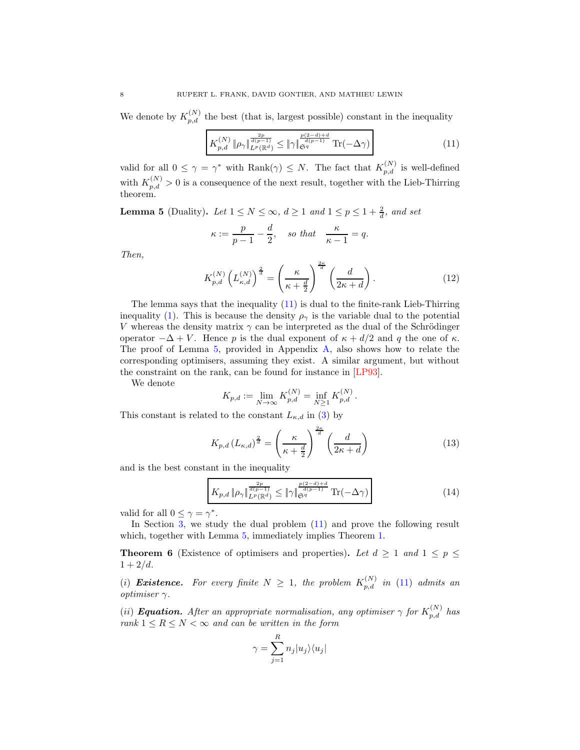We denote by  $K_{p,d}^{(N)}$  the best (that is, largest possible) constant in the inequality

<span id="page-7-0"></span>
$$
K_{p,d}^{(N)} \| \rho_\gamma \|_{L^p(\mathbb{R}^d)}^{\frac{2p}{d(p-1)}} \leq \| \gamma \|_{\mathfrak{S}^q}^{\frac{p(2-d)+d}{d(p-1)}} \operatorname{Tr}(-\Delta \gamma) \tag{11}
$$

valid for all  $0 \leq \gamma = \gamma^*$  with  $\text{Rank}(\gamma) \leq N$ . The fact that  $K_{p,d}^{(N)}$  is well-defined with  $K_{p,d}^{(N)} > 0$  is a consequence of the next result, together with the Lieb-Thirring theorem.

<span id="page-7-1"></span>**Lemma 5** (Duality). Let  $1 \leq N \leq \infty$ ,  $d \geq 1$  and  $1 \leq p \leq 1 + \frac{2}{d}$ , and set

$$
\kappa := \frac{p}{p-1} - \frac{d}{2}, \quad \text{so that} \quad \frac{\kappa}{\kappa - 1} = q.
$$

Then,

$$
K_{p,d}^{(N)}\left(L_{\kappa,d}^{(N)}\right)^{\frac{2}{d}} = \left(\frac{\kappa}{\kappa + \frac{d}{2}}\right)^{\frac{2\kappa}{d}}\left(\frac{d}{2\kappa + d}\right). \tag{12}
$$

The lemma says that the inequality [\(11\)](#page-7-0) is dual to the finite-rank Lieb-Thirring inequality [\(1\)](#page-0-0). This is because the density  $\rho_{\gamma}$  is the variable dual to the potential V whereas the density matrix  $\gamma$  can be interpreted as the dual of the Schrödinger operator  $-\Delta + V$ . Hence p is the dual exponent of  $\kappa + d/2$  and q the one of  $\kappa$ . The proof of Lemma [5,](#page-7-1) provided in Appendix [A,](#page-29-0) also shows how to relate the corresponding optimisers, assuming they exist. A similar argument, but without the constraint on the rank, can be found for instance in [\[LP93\]](#page-41-10).

We denote

$$
K_{p,d} := \lim_{N \to \infty} K_{p,d}^{(N)} = \inf_{N \ge 1} K_{p,d}^{(N)}.
$$

This constant is related to the constant  $L_{\kappa,d}$  in [\(3\)](#page-1-2) by

<span id="page-7-4"></span>
$$
K_{p,d}\left(L_{\kappa,d}\right)^{\frac{2}{d}} = \left(\frac{\kappa}{\kappa + \frac{d}{2}}\right)^{\frac{2\kappa}{d}} \left(\frac{d}{2\kappa + d}\right)
$$
(13)

and is the best constant in the inequality

<span id="page-7-3"></span>
$$
K_{p,d} \left\| \rho_\gamma \right\|_{L^p(\mathbb{R}^d)}^{\frac{2p}{d(p-1)}} \le \left\| \gamma \right\|_{\mathfrak{S}^q}^{\frac{p(2-d)+d}{d(p-1)}} \operatorname{Tr}(-\Delta \gamma) \tag{14}
$$

valid for all  $0 \leq \gamma = \gamma^*$ .

In Section [3,](#page-14-0) we study the dual problem  $(11)$  and prove the following result which, together with Lemma  $5$ , immediately implies Theorem [1.](#page-2-0)

<span id="page-7-2"></span>**Theorem 6** (Existence of optimisers and properties). Let  $d \ge 1$  and  $1 \le p \le$  $1 + 2/d$ .

(i) **Existence.** For every finite  $N \geq 1$ , the problem  $K_{p,d}^{(N)}$  in [\(11\)](#page-7-0) admits an *optimiser*  $\gamma$ .

(ii) **Equation.** After an appropriate normalisation, any optimiser  $\gamma$  for  $K_{p,d}^{(N)}$  has rank  $1 \leq R \leq N < \infty$  and can be written in the form

$$
\gamma = \sum_{j=1}^R n_j |u_j\rangle\langle u_j|
$$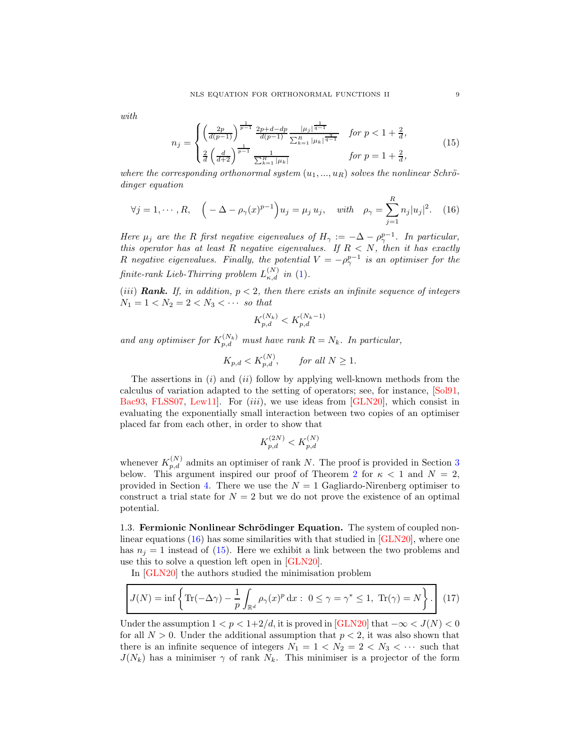with

<span id="page-8-1"></span>
$$
n_{j} = \begin{cases} \left(\frac{2p}{d(p-1)}\right)^{\frac{1}{p-1}} \frac{2p+d-dp}{d(p-1)} \frac{|\mu_{j}|^{\frac{1}{q-1}}}{\sum_{k=1}^{R} |\mu_{k}|^{\frac{q}{q-1}}} & \text{for } p < 1 + \frac{2}{d},\\ \frac{2}{d} \left(\frac{d}{d+2}\right)^{\frac{1}{p-1}} \frac{1}{\sum_{k=1}^{R} |\mu_{k}|} & \text{for } p = 1 + \frac{2}{d}, \end{cases}
$$
(15)

where the corresponding orthonormal system  $(u_1, ..., u_R)$  solves the nonlinear Schrödinger equation

<span id="page-8-0"></span>
$$
\forall j = 1, \cdots, R, \quad \left( -\Delta - \rho_{\gamma}(x)^{p-1} \right) u_j = \mu_j u_j, \quad \text{with} \quad \rho_{\gamma} = \sum_{j=1}^R n_j |u_j|^2. \quad (16)
$$

Here  $\mu_j$  are the R first negative eigenvalues of  $H_\gamma := -\Delta - \rho_\gamma^{p-1}$ . In particular, this operator has at least R negative eigenvalues. If  $R < N$ , then it has exactly R negative eigenvalues. Finally, the potential  $V = -\rho_{\gamma}^{p-1}$  is an optimiser for the finite-rank Lieb-Thirring problem  $L_{\kappa,d}^{(N)}$  in [\(1\)](#page-0-0).

(iii) **Rank.** If, in addition,  $p < 2$ , then there exists an infinite sequence of integers  $N_1 = 1 < N_2 = 2 < N_3 < \cdots$  so that

$$
K_{p,d}^{(N_k)} < K_{p,d}^{(N_k-1)}
$$

and any optimiser for  $K_{p,d}^{(N_k)}$  must have rank  $R = N_k$ . In particular,

$$
K_{p,d} < K_{p,d}^{(N)}, \qquad \text{for all } N \ge 1.
$$

The assertions in  $(i)$  and  $(ii)$  follow by applying well-known methods from the calculus of variation adapted to the setting of operators; see, for instance, [\[Sol91,](#page-42-3) [Bac93,](#page-40-10) [FLSS07,](#page-40-11) Lew11. For  $(iii)$ , we use ideas from  $\boxed{\text{GLN20}}$ , which consist in evaluating the exponentially small interaction between two copies of an optimiser placed far from each other, in order to show that

$$
K_{p,d}^{\left( {2N} \right)} < K_{p,d}^{\left( N \right)}
$$

whenever  $K_{p,d}^{(N)}$  admits an optimiser of rank N. The proof is provided in Section [3](#page-14-0) below. This argument inspired our proof of Theorem [2](#page-2-2) for  $\kappa < 1$  and  $N = 2$ , provided in Section [4.](#page-21-0) There we use the  $N = 1$  Gagliardo-Nirenberg optimiser to construct a trial state for  $N = 2$  but we do not prove the existence of an optimal potential.

1.3. Fermionic Nonlinear Schrödinger Equation. The system of coupled nonlinear equations  $(16)$  has some similarities with that studied in  $\boxed{GLN20}$ , where one has  $n<sub>j</sub> = 1$  instead of [\(15\)](#page-8-1). Here we exhibit a link between the two problems and use this to solve a question left open in [\[GLN20\]](#page-40-0).

In [\[GLN20\]](#page-40-0) the authors studied the minimisation problem

<span id="page-8-2"></span>
$$
J(N) = \inf \left\{ \text{Tr}(-\Delta \gamma) - \frac{1}{p} \int_{\mathbb{R}^d} \rho_\gamma(x)^p dx : 0 \le \gamma = \gamma^* \le 1, \text{ Tr}(\gamma) = N \right\}. \tag{17}
$$

Under the assumption  $1 < p < 1+2/d$ , it is proved in [\[GLN20\]](#page-40-0) that  $-\infty < J(N) < 0$ for all  $N > 0$ . Under the additional assumption that  $p < 2$ , it was also shown that there is an infinite sequence of integers  $N_1 = 1 \lt N_2 = 2 \lt N_3 \lt \cdots$  such that  $J(N_k)$  has a minimiser  $\gamma$  of rank  $N_k$ . This minimiser is a projector of the form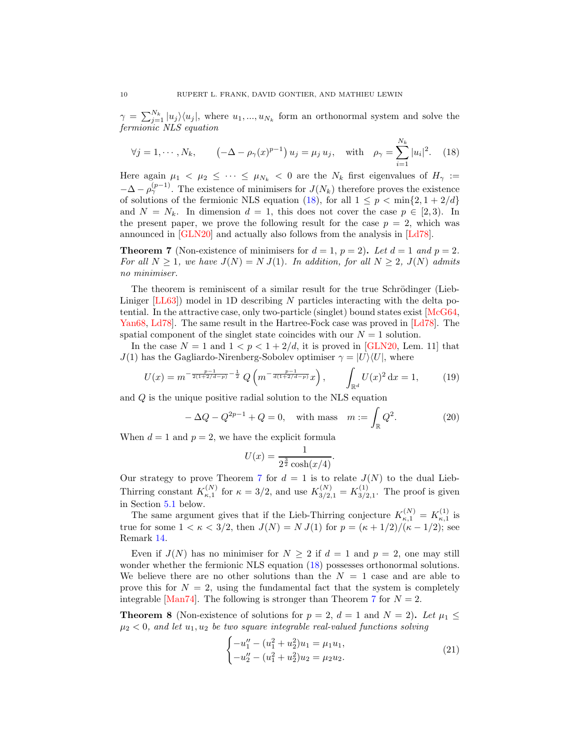$\gamma = \sum_{j=1}^{N_k} |u_j\rangle\langle u_j|$ , where  $u_1, ..., u_{N_k}$  form an orthonormal system and solve the fermionic NLS equation

<span id="page-9-0"></span>
$$
\forall j = 1, \cdots, N_k, \qquad \left( -\Delta - \rho_\gamma(x)^{p-1} \right) u_j = \mu_j u_j, \quad \text{with} \quad \rho_\gamma = \sum_{i=1}^{N_k} |u_i|^2. \tag{18}
$$

Here again  $\mu_1 < \mu_2 \leq \cdots \leq \mu_{N_k} < 0$  are the  $N_k$  first eigenvalues of  $H_\gamma :=$  $-\Delta - \rho_{\gamma}^{(p-1)}$ . The existence of minimisers for  $J(N_k)$  therefore proves the existence of solutions of the fermionic NLS equation [\(18\)](#page-9-0), for all  $1 \leq p \leq \min\{2, 1 + 2/d\}$ and  $N = N_k$ . In dimension  $d = 1$ , this does not cover the case  $p \in [2, 3)$ . In the present paper, we prove the following result for the case  $p = 2$ , which was announced in [\[GLN20\]](#page-40-0) and actually also follows from the analysis in [\[Ld78\]](#page-41-12).

<span id="page-9-1"></span>**Theorem 7** (Non-existence of minimisers for  $d = 1$ ,  $p = 2$ ). Let  $d = 1$  and  $p = 2$ . For all  $N \geq 1$ , we have  $J(N) = N J(1)$ . In addition, for all  $N \geq 2$ ,  $J(N)$  admits no minimiser.

The theorem is reminiscent of a similar result for the true Schrödinger (Lieb-Liniger  $[LL63]$  model in 1D describing N particles interacting with the delta potential. In the attractive case, only two-particle (singlet) bound states exist  $\lfloor \text{McG64}, \rfloor$ [Yan68,](#page-42-4) [Ld78\]](#page-41-12). The same result in the Hartree-Fock case was proved in [\[Ld78\]](#page-41-12). The spatial component of the singlet state coincides with our  $N = 1$  solution.

In the case  $N = 1$  and  $1 < p < 1 + 2/d$ , it is proved in [\[GLN20,](#page-40-0) Lem. 11] that  $J(1)$  has the Gagliardo-Nirenberg-Sobolev optimiser  $\gamma = |U\rangle\langle U|$ , where

$$
U(x) = m^{-\frac{p-1}{2(1+2/d-p)} - \frac{1}{2}} Q\left(m^{-\frac{p-1}{d(1+2/d-p)}} x\right), \qquad \int_{\mathbb{R}^d} U(x)^2 dx = 1, \qquad (19)
$$

and Q is the unique positive radial solution to the NLS equation

<span id="page-9-3"></span>
$$
-\Delta Q - Q^{2p-1} + Q = 0, \text{ with mass } m := \int_{\mathbb{R}} Q^2.
$$
 (20)

.

When  $d = 1$  and  $p = 2$ , we have the explicit formula

$$
U(x) = \frac{1}{2^{\frac{3}{2}}\cosh(x/4)}
$$

Our strategy to prove Theorem [7](#page-9-1) for  $d = 1$  is to relate  $J(N)$  to the dual Lieb-Thirring constant  $K_{\kappa,1}^{(N)}$  for  $\kappa = 3/2$ , and use  $K_{3/2,1}^{(N)} = K_{3/2}^{(1)}$  $3/2,1$ . The proof is given in Section [5.1](#page-25-0) below.

The same argument gives that if the Lieb-Thirring conjecture  $K_{\kappa,1}^{(N)} = K_{\kappa,1}^{(1)}$  is true for some  $1 < \kappa < 3/2$ , then  $J(N) = N J(1)$  for  $p = (\kappa + 1/2)/(\kappa - 1/2)$ ; see Remark [14.](#page-26-0)

Even if  $J(N)$  has no minimiser for  $N \geq 2$  if  $d = 1$  and  $p = 2$ , one may still wonder whether the fermionic NLS equation [\(18\)](#page-9-0) possesses orthonormal solutions. We believe there are no other solutions than the  $N = 1$  case and are able to prove this for  $N = 2$ , using the fundamental fact that the system is completely integrable [\[Man74\]](#page-41-15). The following is stronger than Theorem [7](#page-9-1) for  $N = 2$ .

<span id="page-9-2"></span>**Theorem 8** (Non-existence of solutions for  $p = 2$ ,  $d = 1$  and  $N = 2$ ). Let  $\mu_1 \leq$  $\mu_2 < 0$ , and let  $u_1, u_2$  be two square integrable real-valued functions solving

<span id="page-9-4"></span>
$$
\begin{cases}\n-u_1'' - (u_1^2 + u_2^2)u_1 = \mu_1 u_1, \\
-u_2'' - (u_1^2 + u_2^2)u_2 = \mu_2 u_2.\n\end{cases}
$$
\n(21)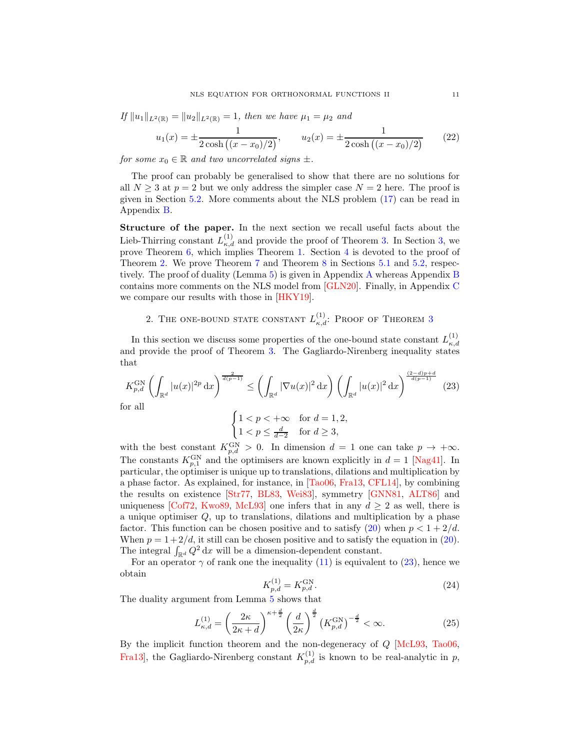If  $||u_1||_{L^2(\mathbb{R})} = ||u_2||_{L^2(\mathbb{R})} = 1$ , then we have  $\mu_1 = \mu_2$  and

<span id="page-10-3"></span>
$$
u_1(x) = \pm \frac{1}{2\cosh\left((x - x_0)/2\right)}, \qquad u_2(x) = \pm \frac{1}{2\cosh\left((x - x_0)/2\right)}\tag{22}
$$

for some  $x_0 \in \mathbb{R}$  and two uncorrelated signs  $\pm$ .

The proof can probably be generalised to show that there are no solutions for all  $N \geq 3$  at  $p = 2$  but we only address the simpler case  $N = 2$  here. The proof is given in Section [5.2.](#page-26-1) More comments about the NLS problem [\(17\)](#page-8-2) can be read in Appendix [B.](#page-31-0)

Structure of the paper. In the next section we recall useful facts about the Lieb-Thirring constant  $L_{\kappa,d}^{(1)}$  and provide the proof of Theorem [3.](#page-4-0) In Section [3,](#page-14-0) we prove Theorem [6,](#page-7-2) which implies Theorem [1.](#page-2-0) Section [4](#page-21-0) is devoted to the proof of Theorem [2.](#page-2-2) We prove Theorem [7](#page-9-1) and Theorem [8](#page-9-2) in Sections [5.1](#page-25-0) and [5.2,](#page-26-1) respectively. The proof of duality (Lemma [5\)](#page-7-1) is given in Appendix [A](#page-29-0) whereas Appendix [B](#page-31-0) contains more comments on the NLS model from [\[GLN20\]](#page-40-0). Finally, in Appendix [C](#page-37-0) we compare our results with those in [\[HKY19\]](#page-40-12).

# <span id="page-10-0"></span>2. THE ONE-BOUND STATE CONSTANT  $L_{\kappa,d}^{(1)}$ : Proof of Theorem [3](#page-4-0)

In this section we discuss some properties of the one-bound state constant  $L_{\kappa,d}^{(1)}$  $^{\kappa,d}$ and provide the proof of Theorem [3.](#page-4-0) The Gagliardo-Nirenberg inequality states that

<span id="page-10-1"></span>
$$
K_{p,d}^{\text{GN}}\left(\int_{\mathbb{R}^d} |u(x)|^{2p} \, \mathrm{d}x\right)^{\frac{2}{d(p-1)}} \le \left(\int_{\mathbb{R}^d} |\nabla u(x)|^2 \, \mathrm{d}x\right) \left(\int_{\mathbb{R}^d} |u(x)|^2 \, \mathrm{d}x\right)^{\frac{(2-d)p+d}{d(p-1)}} \tag{23}
$$
\nfor all

\n
$$
\int_{\mathbb{R}^d} |x|^{2p-1} \, dx
$$

$$
\begin{cases} 1 < p < +\infty \\ 1 < p \le \frac{d}{d-2} \end{cases} \quad \text{for } d = 1, 2,
$$

with the best constant  $K_{p,d}^{\text{GN}} > 0$ . In dimension  $d = 1$  one can take  $p \to +\infty$ . The constants  $K_{p,1}^{\text{GN}}$  and the optimisers are known explicitly in  $d = 1$  [\[Nag41\]](#page-42-5). In particular, the optimiser is unique up to translations, dilations and multiplication by a phase factor. As explained, for instance, in [\[Tao06,](#page-42-6) [Fra13,](#page-40-13) [CFL14\]](#page-40-14), by combining the results on existence [\[Str77,](#page-42-7) [BL83,](#page-40-15) [Wei83\]](#page-42-8), symmetry [\[GNN81,](#page-40-16) [ALT86\]](#page-40-17) and uniqueness [\[Cof72,](#page-40-18) [Kwo89,](#page-41-16) [McL93\]](#page-41-17) one infers that in any  $d \geq 2$  as well, there is a unique optimiser Q, up to translations, dilations and multiplication by a phase factor. This function can be chosen positive and to satisfy [\(20\)](#page-9-3) when  $p < 1 + 2/d$ . When  $p = 1 + 2/d$ , it still can be chosen positive and to satisfy the equation in [\(20\)](#page-9-3). The integral  $\int_{\mathbb{R}^d} Q^2 dx$  will be a dimension-dependent constant.

For an operator  $\gamma$  of rank one the inequality [\(11\)](#page-7-0) is equivalent to [\(23\)](#page-10-1), hence we obtain

$$
K_{p,d}^{(1)} = K_{p,d}^{\text{GN}}.\tag{24}
$$

The duality argument from Lemma [5](#page-7-1) shows that

<span id="page-10-2"></span>
$$
L_{\kappa,d}^{(1)} = \left(\frac{2\kappa}{2\kappa + d}\right)^{\kappa + \frac{d}{2}} \left(\frac{d}{2\kappa}\right)^{\frac{d}{2}} \left(K_{p,d}^{\text{GN}}\right)^{-\frac{d}{2}} < \infty.
$$
 (25)

By the implicit function theorem and the non-degeneracy of Q [\[McL93,](#page-41-17) [Tao06,](#page-42-6) Fra13, the Gagliardo-Nirenberg constant  $K_{p,d}^{(1)}$  is known to be real-analytic in p,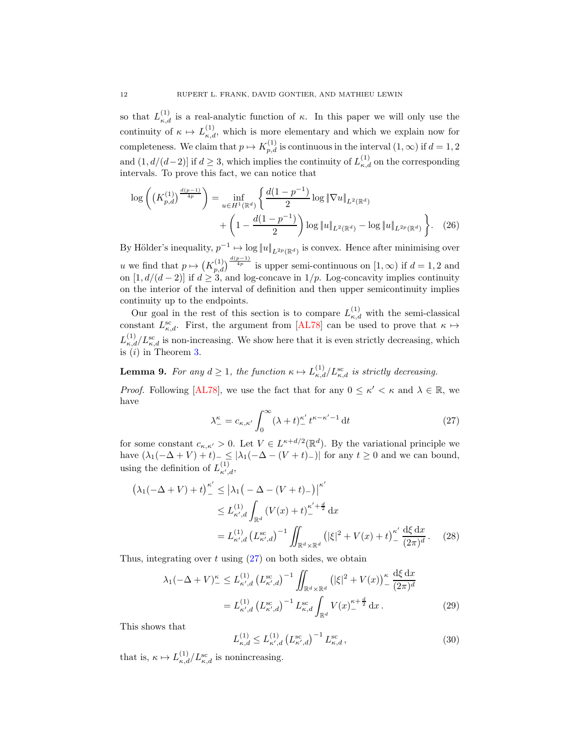so that  $L_{\kappa,d}^{(1)}$  is a real-analytic function of  $\kappa$ . In this paper we will only use the continuity of  $\kappa \mapsto L_{\kappa,d}^{(1)}$ , which is more elementary and which we explain now for completeness. We claim that  $p \mapsto K_{p,d}^{(1)}$  is continuous in the interval  $(1,\infty)$  if  $d=1,2$ and  $(1, d/(d-2))$  if  $d \geq 3$ , which implies the continuity of  $L_{\kappa,d}^{(1)}$  on the corresponding intervals. To prove this fact, we can notice that

$$
\log\left(\left(K_{p,d}^{(1)}\right)^{\frac{d(p-1)}{4p}}\right) = \inf_{u \in H^1(\mathbb{R}^d)} \left\{ \frac{d(1-p^{-1})}{2} \log \|\nabla u\|_{L^2(\mathbb{R}^d)} + \left(1 - \frac{d(1-p^{-1})}{2}\right) \log \|u\|_{L^2(\mathbb{R}^d)} - \log \|u\|_{L^{2p}(\mathbb{R}^d)} \right\}.
$$
 (26)

By Hölder's inequality,  $p^{-1} \mapsto \log ||u||_{L^{2p}(\mathbb{R}^d)}$  is convex. Hence after minimising over u we find that  $p \mapsto (K_{p,d}^{(1)})^{\frac{d(p-1)}{4p}}$  is upper semi-continuous on  $[1,\infty)$  if  $d=1,2$  and on  $[1, d/(d-2)]$  if  $d \geq 3$ , and log-concave in  $1/p$ . Log-concavity implies continuity on the interior of the interval of definition and then upper semicontinuity implies continuity up to the endpoints.

Our goal in the rest of this section is to compare  $L_{\kappa,d}^{(1)}$  with the semi-classical constant  $L_{\kappa,d}^{\rm sc}$ . First, the argument from [\[AL78\]](#page-39-0) can be used to prove that  $\kappa \mapsto$  $L_{\kappa,d}^{(1)}/L_{\kappa,d}^{\rm sc}$  is non-increasing. We show here that it is even strictly decreasing, which is  $(i)$  in Theorem [3.](#page-4-0)

<span id="page-11-0"></span>**Lemma 9.** For any  $d \ge 1$ , the function  $\kappa \mapsto L_{\kappa,d}^{(1)}/L_{\kappa,d}^{\rm sc}$  is strictly decreasing.

*Proof.* Following [\[AL78\]](#page-39-0), we use the fact that for any  $0 \leq \kappa' < \kappa$  and  $\lambda \in \mathbb{R}$ , we have

<span id="page-11-1"></span>
$$
\lambda_{-}^{\kappa} = c_{\kappa,\kappa'} \int_{0}^{\infty} (\lambda + t)_{-}^{\kappa'} t^{\kappa - \kappa' - 1} dt \tag{27}
$$

for some constant  $c_{\kappa,\kappa'} > 0$ . Let  $V \in L^{\kappa+d/2}(\mathbb{R}^d)$ . By the variational principle we have  $(\lambda_1(-\Delta + V) + t)_{-\leq} \leq |\lambda_1(-\Delta - (V + t)_{-})|$  for any  $t \geq 0$  and we can bound, using the definition of  $L_{\kappa',d}^{(1)}$ ,

$$
\left(\lambda_1(-\Delta + V) + t\right)_-^{\kappa'} \leq \left|\lambda_1\left(-\Delta - (V+t)_-\right)\right|^{\kappa'}
$$
  
\n
$$
\leq L_{\kappa',d}^{(1)} \int_{\mathbb{R}^d} (V(x) + t)_-^{\kappa' + \frac{d}{2}} dx
$$
  
\n
$$
= L_{\kappa',d}^{(1)} \left(L_{\kappa',d}^{\text{sc}}\right)^{-1} \iint_{\mathbb{R}^d \times \mathbb{R}^d} \left(|\xi|^2 + V(x) + t\right)_-^{\kappa'} \frac{d\xi dx}{(2\pi)^d}.
$$
 (28)

Thus, integrating over t using  $(27)$  on both sides, we obtain

$$
\lambda_1(-\Delta + V)^{\kappa} \le L_{\kappa',d}^{(1)} \left( L_{\kappa',d}^{\text{sc}} \right)^{-1} \iint_{\mathbb{R}^d \times \mathbb{R}^d} \left( |\xi|^2 + V(x) \right)^{\kappa} \frac{\mathrm{d}\xi \, \mathrm{d}x}{(2\pi)^d}
$$

$$
= L_{\kappa',d}^{(1)} \left( L_{\kappa,d}^{\text{sc}} \right)^{-1} L_{\kappa,d}^{\text{sc}} \int_{\mathbb{R}^d} V(x)^{\kappa + \frac{d}{2}} \, \mathrm{d}x \,. \tag{29}
$$

This shows that

<span id="page-11-4"></span><span id="page-11-3"></span><span id="page-11-2"></span>
$$
L_{\kappa,d}^{(1)} \le L_{\kappa',d}^{(1)} \left( L_{\kappa',d}^{\text{sc}} \right)^{-1} L_{\kappa,d}^{\text{sc}},\tag{30}
$$

that is,  $\kappa \mapsto L_{\kappa,d}^{(1)}/L_{\kappa,d}^{\text{sc}}$  is nonincreasing.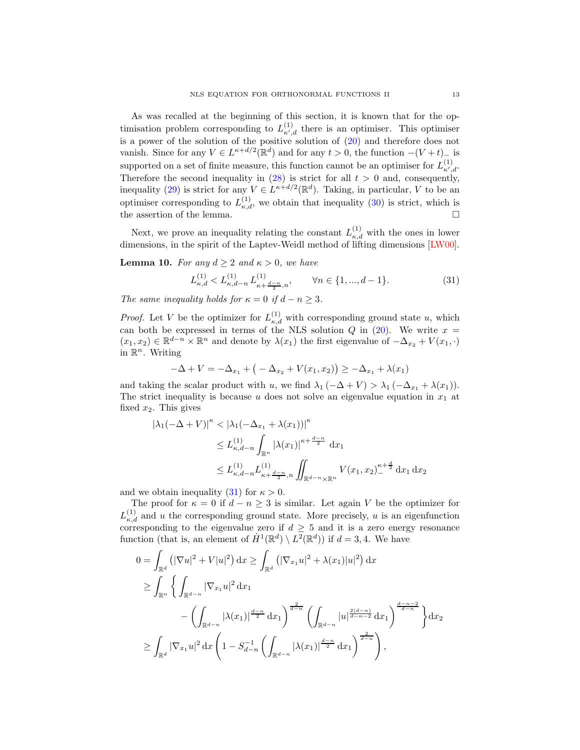As was recalled at the beginning of this section, it is known that for the optimisation problem corresponding to  $L_{\kappa',d}^{(1)}$  there is an optimiser. This optimiser is a power of the solution of the positive solution of [\(20\)](#page-9-3) and therefore does not vanish. Since for any  $V \in L^{\kappa+d/2}(\mathbb{R}^d)$  and for any  $t > 0$ , the function  $-(V+t)$ <sub>c</sub> is supported on a set of finite measure, this function cannot be an optimiser for  $L_{\kappa',d}^{(1)}$ . Therefore the second inequality in  $(28)$  is strict for all  $t > 0$  and, consequently, inequality [\(29\)](#page-11-3) is strict for any  $V \in L^{\kappa+d/2}(\mathbb{R}^d)$ . Taking, in particular, V to be an optimiser corresponding to  $L_{\kappa,d}^{(1)}$ , we obtain that inequality [\(30\)](#page-11-4) is strict, which is the assertion of the lemma.

Next, we prove an inequality relating the constant  $L_{\kappa,d}^{(1)}$  with the ones in lower dimensions, in the spirit of the Laptev-Weidl method of lifting dimensions [\[LW00\]](#page-41-8).

<span id="page-12-1"></span>**Lemma 10.** For any  $d \geq 2$  and  $\kappa > 0$ , we have

<span id="page-12-0"></span>
$$
L_{\kappa,d}^{(1)} < L_{\kappa,d-n}^{(1)} L_{\kappa+\frac{d-n}{2},n}^{(1)}, \qquad \forall n \in \{1, \dots, d-1\}.
$$
\n
$$
(31)
$$

The same inequality holds for  $\kappa = 0$  if  $d - n \geq 3$ .

*Proof.* Let V be the optimizer for  $L_{\kappa,d}^{(1)}$  with corresponding ground state u, which can both be expressed in terms of the NLS solution Q in [\(20\)](#page-9-3). We write  $x =$  $(x_1, x_2) \in \mathbb{R}^{d-n} \times \mathbb{R}^n$  and denote by  $\lambda(x_1)$  the first eigenvalue of  $-\Delta_{x_2} + V(x_1, \cdot)$ in  $\mathbb{R}^n$ . Writing

$$
-\Delta + V = -\Delta_{x_1} + ( -\Delta_{x_2} + V(x_1, x_2) ) \geq -\Delta_{x_1} + \lambda(x_1)
$$

and taking the scalar product with u, we find  $\lambda_1$  ( $-\Delta + V$ ) >  $\lambda_1$  ( $-\Delta_{x_1} + \lambda(x_1)$ ). The strict inequality is because u does not solve an eigenvalue equation in  $x_1$  at fixed  $x_2$ . This gives

$$
|\lambda_1(-\Delta + V)|^{\kappa} < |\lambda_1(-\Delta_{x_1} + \lambda(x_1))|^{\kappa}
$$
  
\n
$$
\leq L_{\kappa,d-n}^{(1)} \int_{\mathbb{R}^n} |\lambda(x_1)|^{\kappa + \frac{d-n}{2}} dx_1
$$
  
\n
$$
\leq L_{\kappa,d-n}^{(1)} L_{\kappa + \frac{d-n}{2},n}^{(1)} \iint_{\mathbb{R}^{d-n} \times \mathbb{R}^n} V(x_1, x_2)^{\kappa + \frac{d}{2}} dx_1 dx_2
$$

and we obtain inequality [\(31\)](#page-12-0) for  $\kappa > 0$ .

The proof for  $\kappa = 0$  if  $d - n \geq 3$  is similar. Let again V be the optimizer for  $L_{\kappa,d}^{(1)}$  and u the corresponding ground state. More precisely, u is an eigenfunction corresponding to the eigenvalue zero if  $d \geq 5$  and it is a zero energy resonance function (that is, an element of  $\dot{H}^1(\mathbb{R}^d) \setminus L^2(\mathbb{R}^d)$ ) if  $d = 3, 4$ . We have

$$
0 = \int_{\mathbb{R}^d} \left( |\nabla u|^2 + V|u|^2 \right) dx \ge \int_{\mathbb{R}^d} \left( |\nabla_{x_1} u|^2 + \lambda(x_1)|u|^2 \right) dx
$$
  
\n
$$
\ge \int_{\mathbb{R}^n} \left\{ \int_{\mathbb{R}^{d-n}} |\nabla_{x_1} u|^2 dx_1 - \left( \int_{\mathbb{R}^{d-n}} |\lambda(x_1)|^{\frac{d-n}{2}} dx_1 \right)^{\frac{2}{d-n}} \left( \int_{\mathbb{R}^{d-n}} |u|^{\frac{2(d-n)}{d-n-2}} dx_1 \right)^{\frac{d-n-2}{d-n}} \right\} dx_2
$$
  
\n
$$
\ge \int_{\mathbb{R}^d} |\nabla_{x_1} u|^2 dx \left( 1 - S_{d-n}^{-1} \left( \int_{\mathbb{R}^{d-n}} |\lambda(x_1)|^{\frac{d-n}{2}} dx_1 \right)^{\frac{2}{d-n}} \right),
$$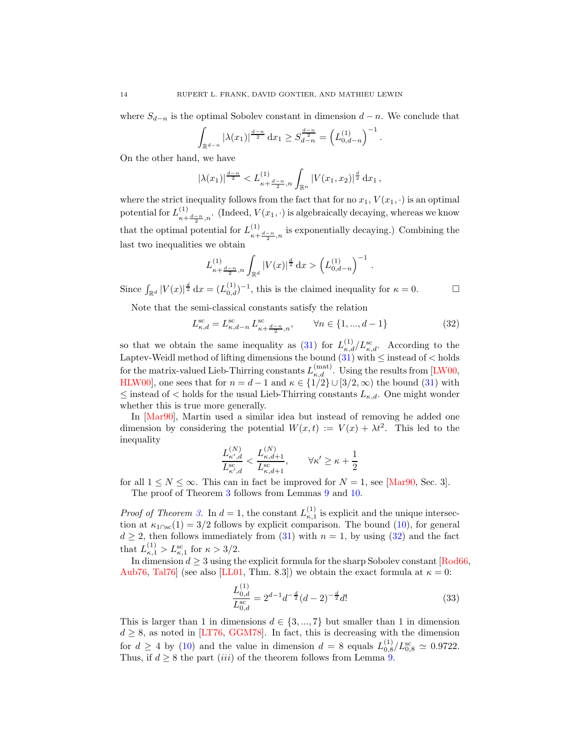where  $S_{d-n}$  is the optimal Sobolev constant in dimension  $d-n$ . We conclude that

$$
\int_{\mathbb{R}^{d-n}} |\lambda(x_1)|^{\frac{d-n}{2}} dx_1 \ge S_{d-n}^{\frac{d-n}{2}} = \left( L_{0,d-n}^{(1)} \right)^{-1}.
$$

On the other hand, we have

$$
|\lambda(x_1)|^{\frac{d-n}{2}} < L_{\kappa+\frac{d-n}{2},n}^{(1)} \int_{\mathbb{R}^n} |V(x_1,x_2)|^{\frac{d}{2}} dx_1,
$$

where the strict inequality follows from the fact that for no  $x_1, V(x_1, \cdot)$  is an optimal potential for  $L_{n}^{(1)}$  $\sum_{\kappa+\frac{d-n}{2},n}^{\infty}$ . (Indeed,  $V(x_1, \cdot)$  is algebraically decaying, whereas we know that the optimal potential for  $L_{\perp}^{(1)}$  $\frac{d^{(1)}}{dx^{(1)}+d^{(2)}}$ , is exponentially decaying.) Combining the last two inequalities we obtain

$$
L_{\kappa + \frac{d-n}{2},n}^{(1)} \int_{\mathbb{R}^d} |V(x)|^{\frac{d}{2}} dx > \left( L_{0,d-n}^{(1)} \right)^{-1} .
$$

Since  $\int_{\mathbb{R}^d} |V(x)|^{\frac{d}{2}} dx = (L_{0,d}^{(1)})^{-1}$ , this is the claimed inequality for  $\kappa = 0$ .

Note that the semi-classical constants satisfy the relation

<span id="page-13-0"></span>
$$
L_{\kappa,d}^{\rm sc} = L_{\kappa,d-n}^{\rm sc} L_{\kappa+\frac{d-n}{2},n}^{\rm sc}, \qquad \forall n \in \{1, ..., d-1\}
$$
 (32)

so that we obtain the same inequality as [\(31\)](#page-12-0) for  $L_{\kappa,d}^{(1)}/L_{\kappa,d}^{\rm sc}$ . According to the Laptev-Weidl method of lifting dimensions the bound  $(31)$  with  $\leq$  instead of  $<$  holds for the matrix-valued Lieb-Thirring constants  $L_{\kappa,d}^{({\rm mat})}$ . Using the results from [\[LW00,](#page-41-8) [HLW00\]](#page-40-19), one sees that for  $n = d - 1$  and  $\kappa \in \{1/2\} \cup [3/2, \infty)$  the bound  $(31)$  with  $\leq$  instead of  $\lt$  holds for the usual Lieb-Thirring constants  $L_{\kappa,d}$ . One might wonder whether this is true more generally.

In [\[Mar90\]](#page-41-18), Martin used a similar idea but instead of removing he added one dimension by considering the potential  $W(x,t) := V(x) + \lambda t^2$ . This led to the inequality

$$
\frac{L_{\kappa',d}^{(N)}}{L_{\kappa',d}^{\text{sc}}} < \frac{L_{\kappa,d+1}^{(N)}}{L_{\kappa,d+1}^{\text{sc}}}, \qquad \forall \kappa' \ge \kappa + \frac{1}{2}
$$

for all  $1 \leq N \leq \infty$ . This can in fact be improved for  $N = 1$ , see [\[Mar90,](#page-41-18) Sec. 3]. The proof of Theorem [3](#page-4-0) follows from Lemmas [9](#page-11-0) and [10.](#page-12-1)

*Proof of Theorem [3.](#page-4-0)* In  $d = 1$ , the constant  $L_{\kappa,1}^{(1)}$  is explicit and the unique intersection at  $\kappa_{1\cap\rm{sc}}(1) = 3/2$  follows by explicit comparison. The bound [\(10\)](#page-4-1), for general  $d \geq 2$ , then follows immediately from [\(31\)](#page-12-0) with  $n = 1$ , by using [\(32\)](#page-13-0) and the fact that  $L_{\kappa,1}^{(1)} > L_{\kappa,1}^{\rm sc}$  for  $\kappa > 3/2$ .

In dimension  $d \geq 3$  using the explicit formula for the sharp Sobolev constant [\[Rod66,](#page-42-9) [Aub76,](#page-40-20) Tal76 (see also [\[LL01,](#page-41-19) Thm. 8.3]) we obtain the exact formula at  $\kappa = 0$ :

$$
\frac{L_{0,d}^{(1)}}{L_{0,d}^{\text{sc}}} = 2^{d-1} d^{-\frac{d}{2}} (d-2)^{-\frac{d}{2}} d! \tag{33}
$$

This is larger than 1 in dimensions  $d \in \{3, ..., 7\}$  but smaller than 1 in dimension  $d \geq 8$ , as noted in [\[LT76,](#page-41-1) [GGM78\]](#page-40-3). In fact, this is decreasing with the dimension for  $d \geq 4$  by [\(10\)](#page-4-1) and the value in dimension  $d = 8$  equals  $L_{0,8}^{(1)}/L_{0,8}^{\rm sc} \simeq 0.9722$ . Thus, if  $d \geq 8$  the part *(iii)* of the theorem follows from Lemma [9.](#page-11-0)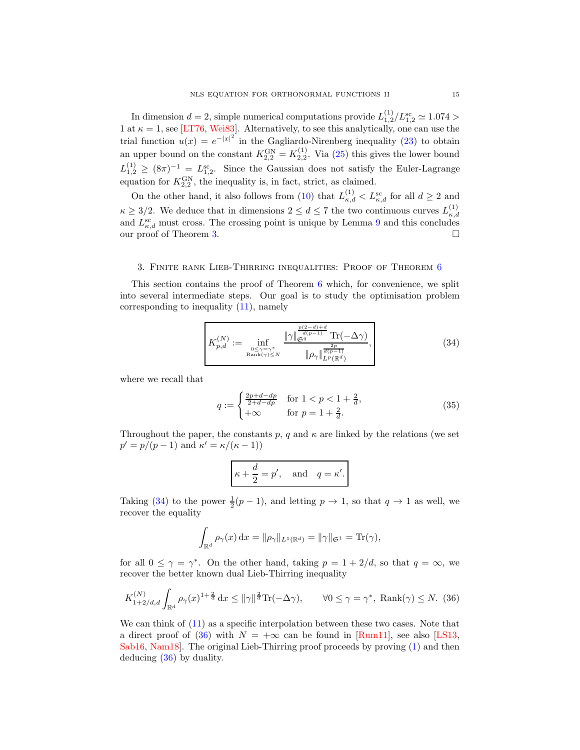In dimension  $d = 2$ , simple numerical computations provide  $L_{1,2}^{(1)}/L_{1,2}^{sc} \simeq 1.074 >$ 1 at  $\kappa = 1$ , see [\[LT76,](#page-41-1) [Wei83\]](#page-42-8). Alternatively, to see this analytically, one can use the trial function  $u(x) = e^{-|x|^2}$  in the Gagliardo-Nirenberg inequality [\(23\)](#page-10-1) to obtain an upper bound on the constant  $K_{2,2}^{\text{GN}} = K_{2,2}^{(1)}$ . Via [\(25\)](#page-10-2) this gives the lower bound  $L_{1,2}^{(1)} \geq (8\pi)^{-1} = L_{1,2}^{\text{sc}}$ . Since the Gaussian does not satisfy the Euler-Lagrange equation for  $K_{2,2}^{\text{GN}}$ , the inequality is, in fact, strict, as claimed.

On the other hand, it also follows from [\(10\)](#page-4-1) that  $L_{\kappa,d}^{(1)} < L_{\kappa,d}^{\rm sc}$  for all  $d \geq 2$  and  $\kappa \geq 3/2$ . We deduce that in dimensions  $2 \leq d \leq 7$  the two continuous curves  $L_{\kappa,a}^{(1)}$  $\kappa,d$ and  $L_{\kappa,d}^{\rm sc}$  must cross. The crossing point is unique by Lemma [9](#page-11-0) and this concludes our proof of Theorem [3.](#page-4-0)

#### <span id="page-14-0"></span>3. Finite rank Lieb-Thirring inequalities: Proof of Theorem [6](#page-7-2)

This section contains the proof of Theorem [6](#page-7-2) which, for convenience, we split into several intermediate steps. Our goal is to study the optimisation problem corresponding to inequality [\(11\)](#page-7-0), namely

<span id="page-14-1"></span>
$$
K_{p,d}^{(N)} := \inf_{\substack{0 \le \gamma = \gamma^*\\ \text{Rank}(\gamma) \le N}} \frac{\|\gamma\|_{\mathfrak{S}^q}^{\frac{p(2-d)+d}{d(p-1)}} \text{Tr}(-\Delta \gamma)}{\|\rho_\gamma\|_{L^p(\mathbb{R}^d)}^{\frac{2p}{d(p-1)}}},\tag{34}
$$

where we recall that

$$
q := \begin{cases} \frac{2p+d-dp}{2+d-dp} & \text{for } 1 < p < 1 + \frac{2}{d}, \\ +\infty & \text{for } p = 1 + \frac{2}{d}. \end{cases}
$$
 (35)

Throughout the paper, the constants p, q and  $\kappa$  are linked by the relations (we set  $p' = p/(p-1)$  and  $\kappa' = \kappa/(\kappa - 1)$ 

$$
\kappa + \frac{d}{2} = p'
$$
, and  $q = \kappa'$ .

Taking [\(34\)](#page-14-1) to the power  $\frac{1}{2}(p-1)$ , and letting  $p \to 1$ , so that  $q \to 1$  as well, we recover the equality

$$
\int_{\mathbb{R}^d} \rho_\gamma(x) \, \mathrm{d}x = \|\rho_\gamma\|_{L^1(\mathbb{R}^d)} = \|\gamma\|_{\mathfrak{S}^1} = \text{Tr}(\gamma),
$$

for all  $0 \leq \gamma = \gamma^*$ . On the other hand, taking  $p = 1 + 2/d$ , so that  $q = \infty$ , we recover the better known dual Lieb-Thirring inequality

<span id="page-14-2"></span>
$$
K_{1+2/d,d}^{(N)} \int_{\mathbb{R}^d} \rho_\gamma(x)^{1+\frac{2}{d}} \, \mathrm{d}x \le \|\gamma\|^{\frac{2}{d}} \mathrm{Tr}(-\Delta \gamma), \qquad \forall 0 \le \gamma = \gamma^*, \text{ Rank}(\gamma) \le N. \tag{36}
$$

We can think of [\(11\)](#page-7-0) as a specific interpolation between these two cases. Note that a direct proof of [\(36\)](#page-14-2) with  $N = +\infty$  can be found in [\[Rum11\]](#page-42-11), see also [\[LS13,](#page-41-20) [Sab16,](#page-42-12) [Nam18\]](#page-42-13). The original Lieb-Thirring proof proceeds by proving [\(1\)](#page-0-0) and then deducing [\(36\)](#page-14-2) by duality.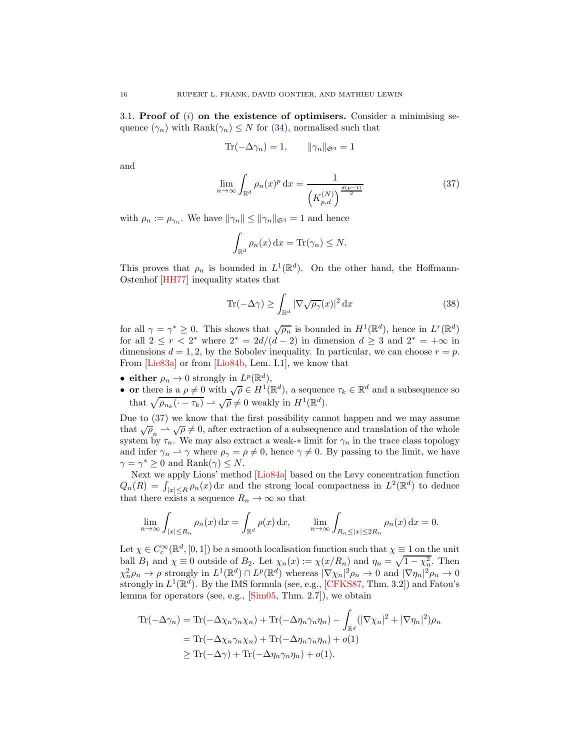3.1. Proof of  $(i)$  on the existence of optimisers. Consider a minimising sequence  $(\gamma_n)$  with Rank $(\gamma_n) \leq N$  for  $(34)$ , normalised such that

$$
\operatorname{Tr}(-\Delta \gamma_n) = 1, \qquad \|\gamma_n\|_{\mathfrak{S}^q} = 1
$$

and

<span id="page-15-0"></span>
$$
\lim_{n \to \infty} \int_{\mathbb{R}^d} \rho_n(x)^p \, dx = \frac{1}{\left(K_{p,d}^{(N)}\right)^{\frac{d(p-1)}{2}}} \tag{37}
$$

with  $\rho_n := \rho_{\gamma_n}$ . We have  $\|\gamma_n\| \le \|\gamma_n\|_{\mathfrak{S}^q} = 1$  and hence

$$
\int_{\mathbb{R}^d} \rho_n(x) \, \mathrm{d}x = \text{Tr}(\gamma_n) \leq N.
$$

This proves that  $\rho_n$  is bounded in  $L^1(\mathbb{R}^d)$ . On the other hand, the Hoffmann-Ostenhof [\[HH77\]](#page-40-21) inequality states that

<span id="page-15-1"></span>
$$
\text{Tr}(-\Delta \gamma) \ge \int_{\mathbb{R}^d} |\nabla \sqrt{\rho_\gamma}(x)|^2 \, \mathrm{d}x \tag{38}
$$

for all  $\gamma = \gamma^* \geq 0$ . This shows that  $\sqrt{\rho_n}$  is bounded in  $H^1(\mathbb{R}^d)$ , hence in  $L^r(\mathbb{R}^d)$ for all  $2 \le r < 2^*$  where  $2^* = 2d/(d-2)$  in dimension  $d \ge 3$  and  $2^* = +\infty$  in dimensions  $d = 1, 2$ , by the Sobolev inequality. In particular, we can choose  $r = p$ . From [\[Lie83a\]](#page-41-21) or from [\[Lio84b,](#page-41-22) Lem. I.1], we know that

- either  $\rho_n \to 0$  strongly in  $L^p(\mathbb{R}^d)$ ,
- or there is a  $\rho \neq 0$  with  $\sqrt{\rho} \in H^1(\mathbb{R}^d)$ , a sequence  $\tau_k \in \mathbb{R}^d$  and a subsequence so that  $\sqrt{\rho_{n_k}(\cdot - \tau_k)} \rightharpoonup \sqrt{\rho} \neq 0$  weakly in  $H^1(\mathbb{R}^d)$ .

Due to [\(37\)](#page-15-0) we know that the first possibility cannot happen and we may assume that  $\sqrt{\rho}_n \rightharpoonup \sqrt{\rho} \neq 0$ , after extraction of a subsequence and translation of the whole system by  $\tau_n$ . We may also extract a weak-∗ limit for  $\gamma_n$  in the trace class topology and infer  $\gamma_n \rightharpoonup \gamma$  where  $\rho_\gamma = \rho \neq 0$ , hence  $\gamma \neq 0$ . By passing to the limit, we have  $\gamma = \gamma^* \geq 0$  and  $\text{Rank}(\gamma) \leq N$ .

Next we apply Lions' method [\[Lio84a\]](#page-41-23) based on the Levy concentration function  $Q_n(R) = \int_{|x| \le R} \rho_n(x) dx$  and the strong local compactness in  $L^2(\mathbb{R}^d)$  to deduce that there exists a sequence  $R_n \to \infty$  so that

$$
\lim_{n \to \infty} \int_{|x| \le R_n} \rho_n(x) dx = \int_{\mathbb{R}^d} \rho(x) dx, \qquad \lim_{n \to \infty} \int_{R_n \le |x| \le 2R_n} \rho_n(x) dx = 0.
$$

Let  $\chi \in C_c^{\infty}(\mathbb{R}^d, [0,1])$  be a smooth localisation function such that  $\chi \equiv 1$  on the unit ball  $B_1$  and  $\chi \equiv 0$  outside of  $B_2$ . Let  $\chi_n(x) := \chi(x/R_n)$  and  $\eta_n = \sqrt{1 - \chi_n^2}$ . Then  $\chi_n^2 \rho_n \to \rho$  strongly in  $L^1(\mathbb{R}^d) \cap L^p(\mathbb{R}^d)$  whereas  $|\nabla \chi_n|^2 \rho_n \to 0$  and  $|\nabla \eta_n|^2 \rho_n \to 0$ strongly in  $L^1(\mathbb{R}^d)$ . By the IMS formula (see, e.g., [\[CFKS87,](#page-40-22) Thm. 3.2]) and Fatou's lemma for operators (see, e.g., [\[Sim05,](#page-42-2) Thm. 2.7]), we obtain

$$
\begin{split} \text{Tr}(-\Delta\gamma_n) &= \text{Tr}(-\Delta\chi_n\gamma_n\chi_n) + \text{Tr}(-\Delta\eta_n\gamma_n\eta_n) - \int_{\mathbb{R}^d} (|\nabla\chi_n|^2 + |\nabla\eta_n|^2)\rho_n \\ &= \text{Tr}(-\Delta\chi_n\gamma_n\chi_n) + \text{Tr}(-\Delta\eta_n\gamma_n\eta_n) + o(1) \\ &\ge \text{Tr}(-\Delta\gamma) + \text{Tr}(-\Delta\eta_n\gamma_n\eta_n) + o(1). \end{split}
$$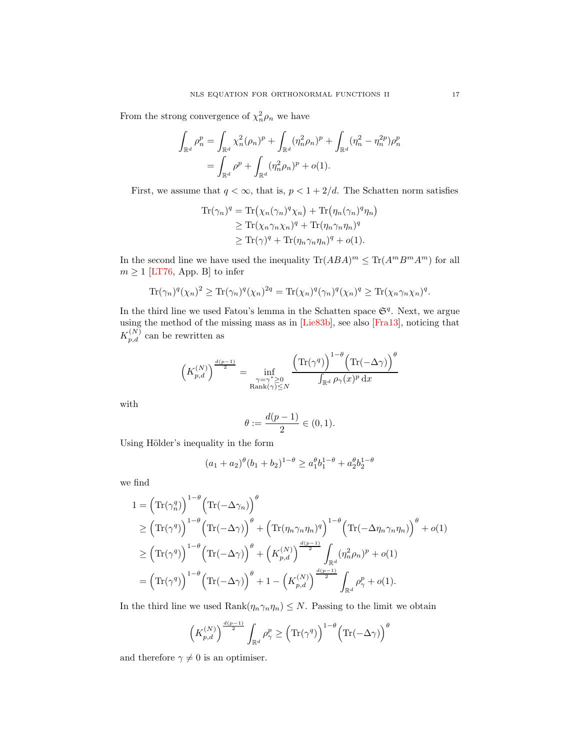From the strong convergence of  $\chi_n^2 \rho_n$  we have

$$
\int_{\mathbb{R}^d} \rho_n^p = \int_{\mathbb{R}^d} \chi_n^2 (\rho_n)^p + \int_{\mathbb{R}^d} (\eta_n^2 \rho_n)^p + \int_{\mathbb{R}^d} (\eta_n^2 - \eta_n^{2p}) \rho_n^p
$$

$$
= \int_{\mathbb{R}^d} \rho^p + \int_{\mathbb{R}^d} (\eta_n^2 \rho_n)^p + o(1).
$$

First, we assume that  $q < \infty$ , that is,  $p < 1 + 2/d$ . The Schatten norm satisfies

$$
\begin{aligned} \text{Tr}(\gamma_n)^q &= \text{Tr}\left(\chi_n(\gamma_n)^q \chi_n\right) + \text{Tr}\left(\eta_n(\gamma_n)^q \eta_n\right) \\ &\ge \text{Tr}(\chi_n \gamma_n \chi_n)^q + \text{Tr}(\eta_n \gamma_n \eta_n)^q \\ &\ge \text{Tr}(\gamma)^q + \text{Tr}(\eta_n \gamma_n \eta_n)^q + o(1). \end{aligned}
$$

In the second line we have used the inequality  $\text{Tr}(ABA)^m \leq \text{Tr}(A^mB^mA^m)$  for all  $m \geq 1$  [\[LT76,](#page-41-1) App. B] to infer

$$
\text{Tr}(\gamma_n)^q(\chi_n)^2 \ge \text{Tr}(\gamma_n)^q(\chi_n)^{2q} = \text{Tr}(\chi_n)^q(\gamma_n)^q(\chi_n)^q \ge \text{Tr}(\chi_n \gamma_n \chi_n)^q.
$$

In the third line we used Fatou's lemma in the Schatten space  $\mathfrak{S}^q$ . Next, we argue using the method of the missing mass as in [\[Lie83b\]](#page-41-24), see also [\[Fra13\]](#page-40-13), noticing that  $K_{p,d}^{(N)}$  can be rewritten as

$$
\Big(K_{p,d}^{(N)}\Big)^{\frac{d(p-1)}{2}}=\inf_{\substack{\gamma=\gamma^*\geq 0\\ \operatorname{Rank}(\gamma)\leq N}}\frac{\Big(\operatorname{Tr}(\gamma^q)\Big)^{1-\theta}\Big(\operatorname{Tr}(-\Delta\gamma)\Big)^{\theta}}{\int_{\mathbb{R}^d}\rho_\gamma(x)^p\,\mathrm{d} x}
$$

with

$$
\theta:=\frac{d(p-1)}{2}\in (0,1).
$$

Using Hölder's inequality in the form

$$
(a_1 + a_2)^{\theta} (b_1 + b_2)^{1-\theta} \ge a_1^{\theta} b_1^{1-\theta} + a_2^{\theta} b_2^{1-\theta}
$$

we find

$$
1 = \left(\text{Tr}(\gamma_n^q)\right)^{1-\theta} \left(\text{Tr}(-\Delta\gamma_n)\right)^{\theta}
$$
  
\n
$$
\geq \left(\text{Tr}(\gamma^q)\right)^{1-\theta} \left(\text{Tr}(-\Delta\gamma)\right)^{\theta} + \left(\text{Tr}(\eta_n\gamma_n\eta_n)^q\right)^{1-\theta} \left(\text{Tr}(-\Delta\eta_n\gamma_n\eta_n)\right)^{\theta} + o(1)
$$
  
\n
$$
\geq \left(\text{Tr}(\gamma^q)\right)^{1-\theta} \left(\text{Tr}(-\Delta\gamma)\right)^{\theta} + \left(K_{p,d}^{(N)}\right)^{\frac{d(p-1)}{2}} \int_{\mathbb{R}^d} (\eta_n^2 \rho_n)^p + o(1)
$$
  
\n
$$
= \left(\text{Tr}(\gamma^q)\right)^{1-\theta} \left(\text{Tr}(-\Delta\gamma)\right)^{\theta} + 1 - \left(K_{p,d}^{(N)}\right)^{\frac{d(p-1)}{2}} \int_{\mathbb{R}^d} \rho_\gamma^p + o(1).
$$

In the third line we used  $\text{Rank}(\eta_n\gamma_n\eta_n) \leq N$ . Passing to the limit we obtain

$$
\left(K_{p,d}^{(N)}\right)^{\frac{d(p-1)}{2}}\int_{\mathbb{R}^d}\rho_\gamma^p\geq \left(\mathrm{Tr}(\gamma^q)\right)^{1-\theta}\left(\mathrm{Tr}(-\Delta\gamma)\right)^\theta
$$

and therefore  $\gamma \neq 0$  is an optimiser.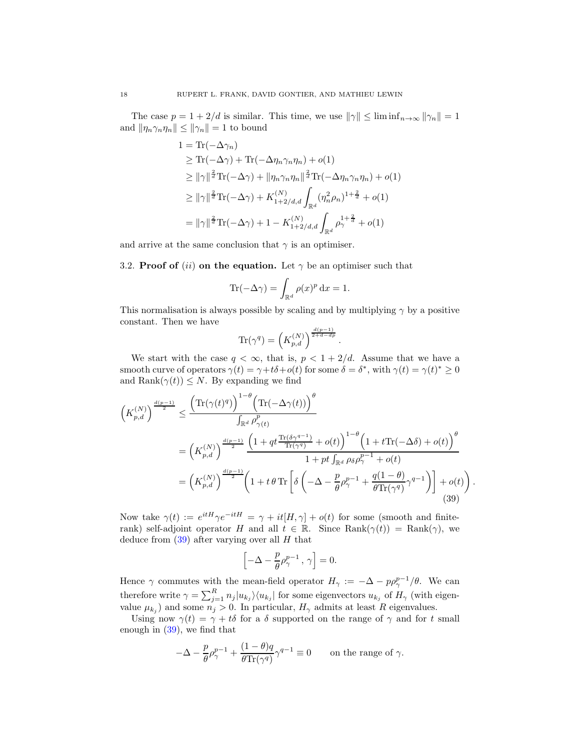The case  $p = 1 + 2/d$  is similar. This time, we use  $\|\gamma\| \leq \liminf_{n \to \infty} \|\gamma_n\| = 1$ and  $\|\eta_n \gamma_n \eta_n\| \le \|\gamma_n\| = 1$  to bound

$$
1 = \text{Tr}(-\Delta\gamma_n)
$$
  
\n
$$
\geq \text{Tr}(-\Delta\gamma) + \text{Tr}(-\Delta\eta_n \gamma_n \eta_n) + o(1)
$$
  
\n
$$
\geq ||\gamma||^{\frac{2}{d}} \text{Tr}(-\Delta\gamma) + ||\eta_n \gamma_n \eta_n||^{\frac{2}{d}} \text{Tr}(-\Delta\eta_n \gamma_n \eta_n) + o(1)
$$
  
\n
$$
\geq ||\gamma||^{\frac{2}{d}} \text{Tr}(-\Delta\gamma) + K_{1+2/d,d}^{(N)} \int_{\mathbb{R}^d} (\eta_n^2 \rho_n)^{1+\frac{2}{d}} + o(1)
$$
  
\n
$$
= ||\gamma||^{\frac{2}{d}} \text{Tr}(-\Delta\gamma) + 1 - K_{1+2/d,d}^{(N)} \int_{\mathbb{R}^d} \rho_\gamma^{1+\frac{2}{d}} + o(1)
$$

and arrive at the same conclusion that  $\gamma$  is an optimiser.

3.2. Proof of (ii) on the equation. Let  $\gamma$  be an optimiser such that

$$
\operatorname{Tr}(-\Delta \gamma) = \int_{\mathbb{R}^d} \rho(x)^p \, \mathrm{d}x = 1.
$$

This normalisation is always possible by scaling and by multiplying  $\gamma$  by a positive constant. Then we have

$$
\text{Tr}(\gamma^q)=\left(K_{p,d}^{(N)}\right)^{\frac{d(p-1)}{2+d-dp}}.
$$

We start with the case  $q < \infty$ , that is,  $p < 1 + 2/d$ . Assume that we have a smooth curve of operators  $\gamma(t) = \gamma + t\delta + o(t)$  for some  $\delta = \delta^*$ , with  $\gamma(t) = \gamma(t)^* \ge 0$ and Rank $(\gamma(t)) \leq N$ . By expanding we find

$$
\left(K_{p,d}^{(N)}\right)^{\frac{d(p-1)}{2}} \leq \frac{\left(\text{Tr}(\gamma(t)^q)\right)^{1-\theta} \left(\text{Tr}(-\Delta\gamma(t))\right)^{\theta}}{\int_{\mathbb{R}^d} \rho_{\gamma(t)}^p} \\
= \left(K_{p,d}^{(N)}\right)^{\frac{d(p-1)}{2}} \frac{\left(1+qt^{\frac{\text{Tr}(\delta\gamma^{q-1})}{\text{Tr}(\gamma^q)}+o(t)}\right)^{1-\theta} \left(1+t\text{Tr}(-\Delta\delta)+o(t)\right)^{\theta}}{1+pt \int_{\mathbb{R}^d} \rho_{\delta} \rho_{\gamma}^{p-1}+o(t)} \\
= \left(K_{p,d}^{(N)}\right)^{\frac{d(p-1)}{2}} \left(1+t\theta \text{Tr}\left[\delta\left(-\Delta-\frac{p}{\theta}\rho_{\gamma}^{p-1}+\frac{q(1-\theta)}{\theta \text{Tr}(\gamma^q)}\gamma^{q-1}\right)\right]+o(t)\right) \tag{39}
$$

<span id="page-17-0"></span>.

Now take  $\gamma(t) := e^{itH}\gamma e^{-itH} = \gamma + it[H, \gamma] + o(t)$  for some (smooth and finiterank) self-adjoint operator H and all  $t \in \mathbb{R}$ . Since  $\text{Rank}(\gamma(t)) = \text{Rank}(\gamma)$ , we deduce from  $(39)$  after varying over all H that

$$
\left[-\Delta - \frac{p}{\theta}\rho^{p-1}_\gamma\,,\,\gamma\right]=0.
$$

Hence  $\gamma$  commutes with the mean-field operator  $H_{\gamma} := -\Delta - p\rho_{\gamma}^{p-1}/\theta$ . We can therefore write  $\gamma = \sum_{j=1}^R n_j |u_{k_j}\rangle \langle u_{k_j}|$  for some eigenvectors  $u_{k_j}$  of  $H_{\gamma}$  (with eigenvalue  $\mu_{k_j}$  and some  $n_j > 0$ . In particular,  $H_{\gamma}$  admits at least R eigenvalues.

Using now  $\gamma(t) = \gamma + t\delta$  for a  $\delta$  supported on the range of  $\gamma$  and for t small enough in [\(39\)](#page-17-0), we find that

$$
-\Delta - \frac{p}{\theta} \rho_{\gamma}^{p-1} + \frac{(1-\theta)q}{\theta \text{Tr}(\gamma^q)} \gamma^{q-1} \equiv 0 \quad \text{on the range of } \gamma.
$$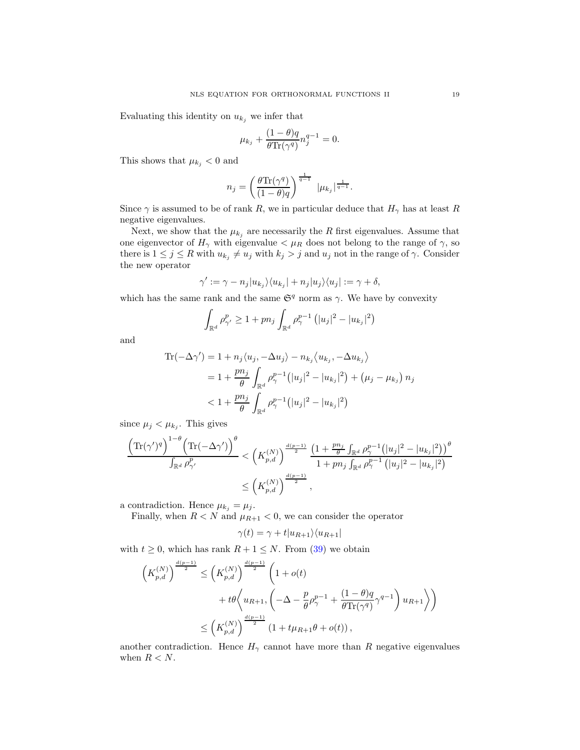Evaluating this identity on  $u_{k_i}$  we infer that

$$
\mu_{k_j} + \frac{(1-\theta)q}{\theta \text{Tr}(\gamma^q)} n_j^{q-1} = 0.
$$

This shows that  $\mu_{k_j} < 0$  and

$$
n_j = \left(\frac{\theta \text{Tr}(\gamma^q)}{(1-\theta)q}\right)^{\frac{1}{q-1}} |\mu_{k_j}|^{\frac{1}{q-1}}.
$$

Since  $\gamma$  is assumed to be of rank R, we in particular deduce that  $H_{\gamma}$  has at least R negative eigenvalues.

Next, we show that the  $\mu_{k_j}$  are necessarily the R first eigenvalues. Assume that one eigenvector of  $H_{\gamma}$  with eigenvalue  $\langle \mu_R \rangle$  does not belong to the range of  $\gamma$ , so there is  $1 \leq j \leq R$  with  $u_{k_j} \neq u_j$  with  $k_j > j$  and  $u_j$  not in the range of  $\gamma$ . Consider the new operator

$$
\gamma' := \gamma - n_j |u_{k_j}\rangle\langle u_{k_j}| + n_j |u_j\rangle\langle u_j| := \gamma + \delta,
$$

which has the same rank and the same  $\mathfrak{S}^q$  norm as  $\gamma$ . We have by convexity

$$
\int_{\mathbb{R}^d} \rho_{\gamma'}^p \ge 1 + p n_j \int_{\mathbb{R}^d} \rho_{\gamma}^{p-1} (|u_j|^2 - |u_{k_j}|^2)
$$

and

$$
\begin{aligned} \text{Tr}(-\Delta \gamma') &= 1 + n_j \langle u_j, -\Delta u_j \rangle - n_{k_j} \langle u_{k_j}, -\Delta u_{k_j} \rangle \\ &= 1 + \frac{pn_j}{\theta} \int_{\mathbb{R}^d} \rho_\gamma^{p-1} \left( |u_j|^2 - |u_{k_j}|^2 \right) + \left( \mu_j - \mu_{k_j} \right) n_j \\ &< 1 + \frac{pn_j}{\theta} \int_{\mathbb{R}^d} \rho_\gamma^{p-1} \left( |u_j|^2 - |u_{k_j}|^2 \right) \end{aligned}
$$

since  $\mu_j < \mu_{k_j}$ . This gives

$$
\frac{\left(\text{Tr}(\gamma')^q\right)^{1-\theta} \left(\text{Tr}(-\Delta\gamma')\right)^{\theta}}{\int_{\mathbb{R}^d} \rho_{\gamma'}^p} < \left(K_{p,d}^{(N)}\right)^{\frac{d(p-1)}{2}} \frac{\left(1 + \frac{p n_j}{\theta} \int_{\mathbb{R}^d} \rho_{\gamma}^{p-1} \left(|u_j|^2 - |u_{k_j}|^2\right)\right)^{\theta}}{1 + p n_j \int_{\mathbb{R}^d} \rho_{\gamma}^{p-1} \left(|u_j|^2 - |u_{k_j}|^2\right)} \\
&\le \left(K_{p,d}^{(N)}\right)^{\frac{d(p-1)}{2}},
$$

a contradiction. Hence  $\mu_{k_j} = \mu_j$ .

Finally, when  $R < N$  and  $\mu_{R+1} < 0$ , we can consider the operator

$$
\gamma(t) = \gamma + t |u_{R+1}\rangle\langle u_{R+1}|
$$

with  $t \geq 0$ , which has rank  $R + 1 \leq N$ . From [\(39\)](#page-17-0) we obtain

$$
\left(K_{p,d}^{(N)}\right)^{\frac{d(p-1)}{2}} \leq \left(K_{p,d}^{(N)}\right)^{\frac{d(p-1)}{2}} \left(1 + o(t) + t\theta \left\langle u_{R+1}, \left(-\Delta - \frac{p}{\theta}\rho_{\gamma}^{p-1} + \frac{(1-\theta)q}{\theta \text{Tr}(\gamma^q)}\gamma^{q-1}\right)u_{R+1}\right\rangle\right)
$$
  

$$
\leq \left(K_{p,d}^{(N)}\right)^{\frac{d(p-1)}{2}} \left(1 + t\mu_{R+1}\theta + o(t)\right),
$$

another contradiction. Hence  $H_{\gamma}$  cannot have more than R negative eigenvalues when  $R < N$ .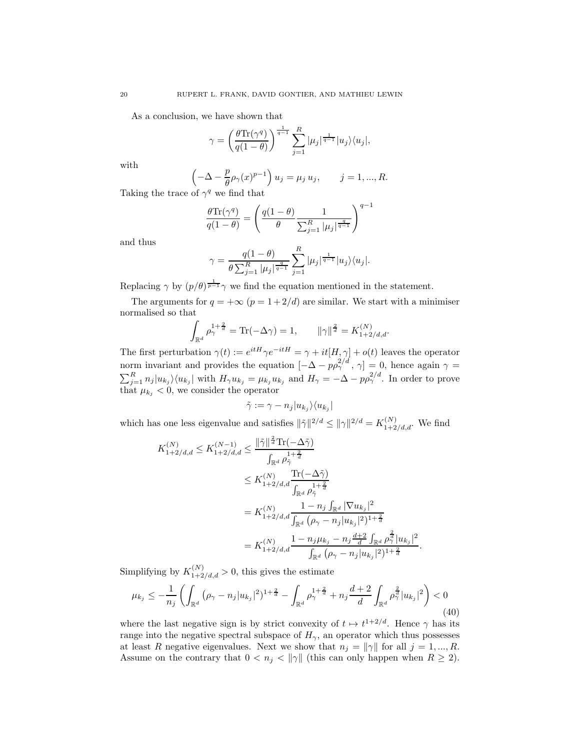As a conclusion, we have shown that

$$
\gamma = \left(\frac{\theta \text{Tr}(\gamma^q)}{q(1-\theta)}\right)^{\frac{1}{q-1}} \sum_{j=1}^R |\mu_j|^{\frac{1}{q-1}} |u_j\rangle\langle u_j|,
$$

with

$$
\left(-\Delta - \frac{p}{\theta}\rho_{\gamma}(x)^{p-1}\right)u_j = \mu_j u_j, \qquad j = 1, ..., R.
$$

Taking the trace of  $\gamma^q$  we find that

$$
\frac{\theta \text{Tr}(\gamma^q)}{q(1-\theta)} = \left(\frac{q(1-\theta)}{\theta} \frac{1}{\sum_{j=1}^R |\mu_j|^{\frac{q}{q-1}}}\right)^{q-1}
$$

and thus

$$
\gamma = \frac{q(1-\theta)}{\theta \sum_{j=1}^{R} |\mu_j|^{\frac{q}{q-1}}} \sum_{j=1}^{R} |\mu_j|^{\frac{1}{q-1}} |u_j\rangle \langle u_j|.
$$

Replacing  $\gamma$  by  $(p/\theta)^{\frac{1}{p-1}}\gamma$  we find the equation mentioned in the statement.

The arguments for  $q = +\infty$   $(p = 1 + 2/d)$  are similar. We start with a minimiser normalised so that

$$
\int_{\mathbb{R}^d} \rho_\gamma^{1+\frac{2}{d}} = \text{Tr}(-\Delta \gamma) = 1, \qquad \|\gamma\|_{\mathcal{A}}^2 = K_{1+2/d,d}^{(N)}.
$$

The first perturbation  $\gamma(t) := e^{itH}\gamma e^{-itH} = \gamma + it[H, \gamma] + o(t)$  leaves the operator norm invariant and provides the equation  $[-\Delta - p\rho_{\gamma}^{2/d}, \gamma] = 0$ , hence again  $\gamma =$  $\sum_{j=1}^R n_j |u_{k_j}\rangle\langle u_{k_j}|$  with  $H_{\gamma}u_{k_j} = \mu_{k_j}u_{k_j}$  and  $H_{\gamma} = -\Delta - p\rho_{\gamma}^{2/d}$ . In order to prove that  $\mu_{k_j} < 0$ , we consider the operator

$$
\tilde{\gamma} := \gamma - n_j |u_{k_j}\rangle\langle u_{k_j}|
$$

which has one less eigenvalue and satisfies  $\|\tilde{\gamma}\|^{2/d} \leq {\|\gamma\|}^{2/d} = K_{1+2/d,d}^{(N)}$ . We find

$$
K_{1+2/d,d}^{(N)} \le K_{1+2/d,d}^{(N-1)} \le \frac{\|\tilde{\gamma}\|^{\frac{2}{d}} \text{Tr}(-\Delta \tilde{\gamma})}{\int_{\mathbb{R}^d} \rho_{\tilde{\gamma}}^{1+\frac{2}{d}}} \le K_{1+2/d,d}^{(N)} \frac{\text{Tr}(-\Delta \tilde{\gamma})}{\int_{\mathbb{R}^d} \rho_{\tilde{\gamma}}^{1+\frac{2}{d}}} = K_{1+2/d,d}^{(N)} \frac{1 - n_j \int_{\mathbb{R}^d} |\nabla u_{k_j}|^2}{\int_{\mathbb{R}^d} (\rho_{\gamma} - n_j |u_{k_j}|^2)^{1+\frac{2}{d}}} = K_{1+2/d,d}^{(N)} \frac{1 - n_j \mu_{k_j} - n_j \frac{d+2}{d} \int_{\mathbb{R}^d} \rho_{\gamma}^{\frac{2}{d}} |u_{k_j}|^2}{\int_{\mathbb{R}^d} (\rho_{\gamma} - n_j |u_{k_j}|^2)^{1+\frac{2}{d}}}.
$$

Simplifying by  $K_{1+2/d,d}^{(N)} > 0$ , this gives the estimate

<span id="page-19-0"></span>
$$
\mu_{k_j} \le -\frac{1}{n_j} \left( \int_{\mathbb{R}^d} \left( \rho_\gamma - n_j |u_{k_j}|^2 \right)^{1 + \frac{2}{d}} - \int_{\mathbb{R}^d} \rho_\gamma^{1 + \frac{2}{d}} + n_j \frac{d+2}{d} \int_{\mathbb{R}^d} \rho_\gamma^{\frac{2}{d}} |u_{k_j}|^2 \right) < 0 \tag{40}
$$

where the last negative sign is by strict convexity of  $t \mapsto t^{1+2/d}$ . Hence  $\gamma$  has its range into the negative spectral subspace of  $H_{\gamma}$ , an operator which thus possesses at least R negative eigenvalues. Next we show that  $n_j = ||\gamma||$  for all  $j = 1, ..., R$ . Assume on the contrary that  $0 < n_j < ||\gamma||$  (this can only happen when  $R \geq 2$ ).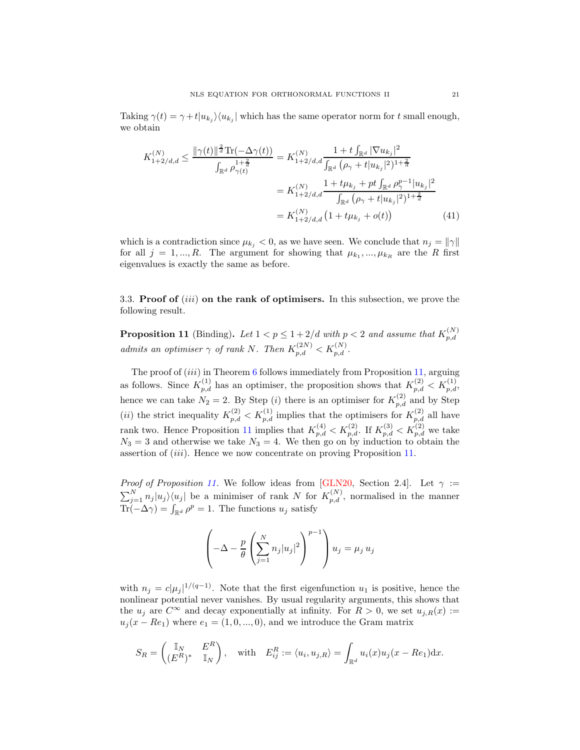Taking  $\gamma(t) = \gamma + t |u_{k_j}\rangle\langle u_{k_j}|$  which has the same operator norm for t small enough, we obtain

$$
K_{1+2/d,d}^{(N)} \leq \frac{\|\gamma(t)\|^{\frac{2}{d}} \text{Tr}(-\Delta \gamma(t))}{\int_{\mathbb{R}^d} \rho_{\gamma(t)}^{1+\frac{2}{d}}} = K_{1+2/d,d}^{(N)} \frac{1+t \int_{\mathbb{R}^d} |\nabla u_{k_j}|^2}{\int_{\mathbb{R}^d} (\rho_{\gamma} + t |u_{k_j}|^2)^{1+\frac{2}{d}}}
$$
  

$$
= K_{1+2/d,d}^{(N)} \frac{1+t \mu_{k_j} + pt \int_{\mathbb{R}^d} \rho_{\gamma}^{p-1} |u_{k_j}|^2}{\int_{\mathbb{R}^d} (\rho_{\gamma} + t |u_{k_j}|^2)^{1+\frac{2}{d}}}
$$
  

$$
= K_{1+2/d,d}^{(N)} \left(1+t \mu_{k_j} + o(t)\right) \tag{41}
$$

which is a contradiction since  $\mu_{k_i} < 0$ , as we have seen. We conclude that  $n_j = ||\gamma||$ for all  $j = 1, ..., R$ . The argument for showing that  $\mu_{k_1}, ..., \mu_{k_R}$  are the R first eigenvalues is exactly the same as before.

3.3. Proof of  $(iii)$  on the rank of optimisers. In this subsection, we prove the following result.

<span id="page-20-0"></span>**Proposition 11** (Binding). Let  $1 < p \leq 1 + 2/d$  with  $p < 2$  and assume that  $K_{p,d}^{(N)}$  $_{p,d}$ admits an optimiser  $\gamma$  of rank N. Then  $K_{p,d}^{(2N)} < K_{p,d}^{(N)}$ .

The proof of  $(iii)$  in Theorem [6](#page-7-2) follows immediately from Proposition [11,](#page-20-0) arguing as follows. Since  $K_{p,d}^{(1)}$  has an optimiser, the proposition shows that  $K_{p,d}^{(2)} < K_{p,d}^{(1)}$ , hence we can take  $N_2 = 2$ . By Step (*i*) there is an optimiser for  $K_{p,d}^{(2)}$  and by Step (*ii*) the strict inequality  $K_{p,d}^{(2)} < K_{p,d}^{(1)}$  implies that the optimisers for  $K_{p,d}^{(2)}$  all have rank two. Hence Proposition [11](#page-20-0) implies that  $K_{p,d}^{(4)} < K_{p,d}^{(2)}$ . If  $K_{p,d}^{(3)} < K_{p,d}^{(2)}$  we take  $N_3 = 3$  and otherwise we take  $N_3 = 4$ . We then go on by induction to obtain the assertion of (iii). Hence we now concentrate on proving Proposition [11.](#page-20-0)

*Proof of Proposition [11.](#page-20-0)* We follow ideas from [\[GLN20,](#page-40-0) Section 2.4]. Let  $\gamma$  :=  $\sum_{j=1}^{N} n_j |u_j\rangle\langle u_j|$  be a minimiser of rank N for  $K_{p,d}^{(N)}$ , normalised in the manner  $\text{Tr}(-\Delta \gamma) = \int_{\mathbb{R}^d} \rho^p = 1$ . The functions  $u_j$  satisfy

$$
\left(-\Delta - \frac{p}{\theta} \left(\sum_{j=1}^{N} n_j |u_j|^2\right)^{p-1}\right) u_j = \mu_j u_j
$$

with  $n_j = c|\mu_j|^{1/(q-1)}$ . Note that the first eigenfunction  $u_1$  is positive, hence the nonlinear potential never vanishes. By usual regularity arguments, this shows that the  $u_i$  are  $C^{\infty}$  and decay exponentially at infinity. For  $R > 0$ , we set  $u_{i,R}(x) :=$  $u_j(x - Re_1)$  where  $e_1 = (1, 0, ..., 0)$ , and we introduce the Gram matrix

$$
S_R = \begin{pmatrix} \mathbb{I}_N & E^R \\ (E^R)^* & \mathbb{I}_N \end{pmatrix}, \quad \text{with} \quad E_{ij}^R := \langle u_i, u_{j,R} \rangle = \int_{\mathbb{R}^d} u_i(x) u_j(x - Re_1) \mathrm{d}x.
$$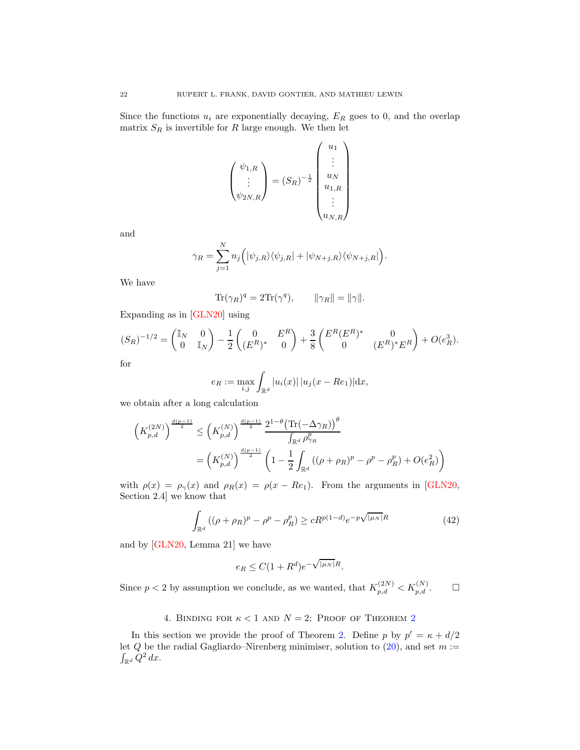Since the functions  $u_i$  are exponentially decaying,  $E_R$  goes to 0, and the overlap matrix  $S_R$  is invertible for R large enough. We then let

$$
\begin{pmatrix} \psi_{1,R} \\ \vdots \\ \psi_{2N,R} \end{pmatrix} = (S_R)^{-\frac{1}{2}} \begin{pmatrix} u_1 \\ \vdots \\ u_N \\ u_{1,R} \\ \vdots \\ u_{N,R} \end{pmatrix}
$$

and

$$
\gamma_R = \sum_{j=1}^N n_j \Big( |\psi_{j,R}\rangle \langle \psi_{j,R}| + |\psi_{N+j,R}\rangle \langle \psi_{N+j,R}| \Big).
$$

We have

$$
\text{Tr}(\gamma_R)^q = 2\text{Tr}(\gamma^q), \qquad \|\gamma_R\| = \|\gamma\|.
$$

Expanding as in [\[GLN20\]](#page-40-0) using

$$
(S_R)^{-1/2} = \begin{pmatrix} \mathbb{I}_N & 0 \\ 0 & \mathbb{I}_N \end{pmatrix} - \frac{1}{2} \begin{pmatrix} 0 & E^R \\ (E^R)^* & 0 \end{pmatrix} + \frac{3}{8} \begin{pmatrix} E^R (E^R)^* & 0 \\ 0 & (E^R)^* E^R \end{pmatrix} + O(e_R^3).
$$

for

$$
e_R := \max_{i,j} \int_{\mathbb{R}^d} |u_i(x)| \, |u_j(x - Re_1)| \, dx,
$$

we obtain after a long calculation

$$
\left(K_{p,d}^{(2N)}\right)^{\frac{d(p-1)}{2}} \leq \left(K_{p,d}^{(N)}\right)^{\frac{d(p-1)}{2}} \frac{2^{1-\theta} \left(\text{Tr}(-\Delta\gamma_R)\right)^{\theta}}{\int_{\mathbb{R}^d} \rho_{\gamma_R}^p} = \left(K_{p,d}^{(N)}\right)^{\frac{d(p-1)}{2}} \left(1 - \frac{1}{2} \int_{\mathbb{R}^d} \left((\rho + \rho_R)^p - \rho^p - \rho_R^p\right) + O(e_R^2)\right)
$$

with  $\rho(x) = \rho_{\gamma}(x)$  and  $\rho_R(x) = \rho(x - Re_1)$ . From the arguments in [\[GLN20,](#page-40-0) Section 2.4] we know that

<span id="page-21-1"></span>
$$
\int_{\mathbb{R}^d} ((\rho + \rho_R)^p - \rho^p - \rho_R^p) \ge cR^{p(1-d)} e^{-p\sqrt{|\mu_N|}R}
$$
\n(42)

and by [\[GLN20,](#page-40-0) Lemma 21] we have

$$
e_R \le C(1 + R^d)e^{-\sqrt{|\mu_N|}R}.
$$

<span id="page-21-0"></span>Since  $p < 2$  by assumption we conclude, as we wanted, that  $K_{p,d}^{(2N)} < K_{p,d}^{(N)}$ .

### 4. BINDING FOR  $\kappa < 1$  and  $N = 2$  $N = 2$ : Proof of Theorem 2

In this section we provide the proof of Theorem [2.](#page-2-2) Define p by  $p' = \kappa + d/2$ let  $Q$  be the radial Gagliardo–Nirenberg minimiser, solution to  $(20)$ , and set  $m :=$  $\int_{\mathbb{R}^d} Q^2 dx$ .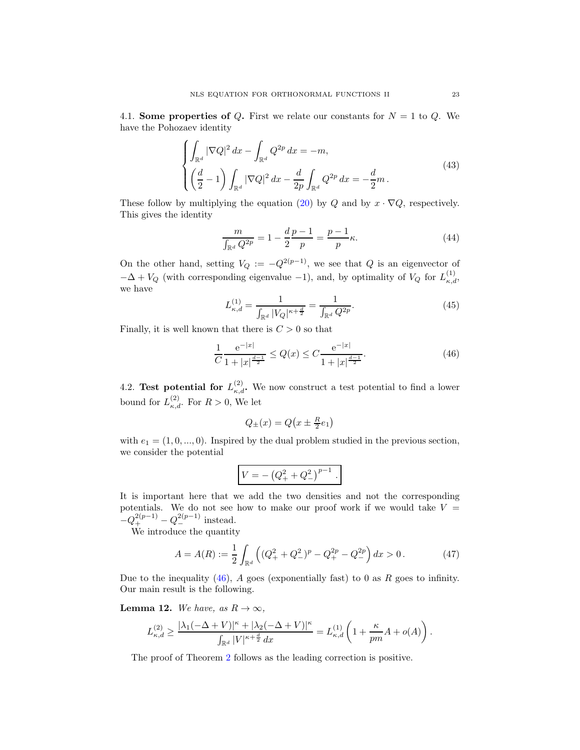4.1. Some properties of Q. First we relate our constants for  $N = 1$  to Q. We have the Pohozaev identity

$$
\begin{cases}\n\int_{\mathbb{R}^d} |\nabla Q|^2 \, dx - \int_{\mathbb{R}^d} Q^{2p} \, dx = -m, \\
\left(\frac{d}{2} - 1\right) \int_{\mathbb{R}^d} |\nabla Q|^2 \, dx - \frac{d}{2p} \int_{\mathbb{R}^d} Q^{2p} \, dx = -\frac{d}{2}m.\n\end{cases} \tag{43}
$$

These follow by multiplying the equation [\(20\)](#page-9-3) by Q and by  $x \cdot \nabla Q$ , respectively. This gives the identity

<span id="page-22-3"></span>
$$
\frac{m}{\int_{\mathbb{R}^d} Q^{2p}} = 1 - \frac{d}{2} \frac{p-1}{p} = \frac{p-1}{p} \kappa.
$$
 (44)

On the other hand, setting  $V_Q := -Q^{2(p-1)}$ , we see that Q is an eigenvector of  $-\Delta + V_Q$  (with corresponding eigenvalue -1), and, by optimality of  $V_Q$  for  $L_{\kappa,d}^{(1)}$ , we have

<span id="page-22-1"></span>
$$
L_{\kappa,d}^{(1)} = \frac{1}{\int_{\mathbb{R}^d} |V_Q|^{\kappa + \frac{d}{2}}} = \frac{1}{\int_{\mathbb{R}^d} Q^{2p}}.
$$
\n(45)

Finally, it is well known that there is  $C > 0$  so that

<span id="page-22-0"></span>
$$
\frac{1}{C} \frac{e^{-|x|}}{1+|x|^{\frac{d-1}{2}}} \le Q(x) \le C \frac{e^{-|x|}}{1+|x|^{\frac{d-1}{2}}}.
$$
\n(46)

4.2. Test potential for  $L_{\kappa,d}^{(2)}$ . We now construct a test potential to find a lower bound for  $L_{\kappa,d}^{(2)}$ . For  $R>0$ , We let

$$
Q_{\pm}(x)=Q\big(x\pm\tfrac{R}{2}e_1\big)
$$

with  $e_1 = (1, 0, \ldots, 0)$ . Inspired by the dual problem studied in the previous section, we consider the potential

$$
V = - (Q_+^2 + Q_-^2)^{p-1}.
$$

It is important here that we add the two densities and not the corresponding potentials. We do not see how to make our proof work if we would take  $V =$  $-Q_+^{2(p-1)}-Q_-^{2(p-1)}$  instead.

We introduce the quantity

<span id="page-22-2"></span>
$$
A = A(R) := \frac{1}{2} \int_{\mathbb{R}^d} \left( (Q_+^2 + Q_-^2)^p - Q_+^{2p} - Q_-^{2p} \right) dx > 0.
$$
 (47)

Due to the inequality  $(46)$ , A goes (exponentially fast) to 0 as R goes to infinity. Our main result is the following.

**Lemma 12.** We have, as  $R \to \infty$ ,

$$
L_{\kappa,d}^{(2)} \geq \frac{|\lambda_1(-\Delta + V)|^{\kappa} + |\lambda_2(-\Delta + V)|^{\kappa}}{\int_{\mathbb{R}^d} |V|^{\kappa + \frac{d}{2}}\,dx} = L_{\kappa,d}^{(1)}\left(1 + \frac{\kappa}{pm}A + o(A)\right).
$$

The proof of Theorem [2](#page-2-2) follows as the leading correction is positive.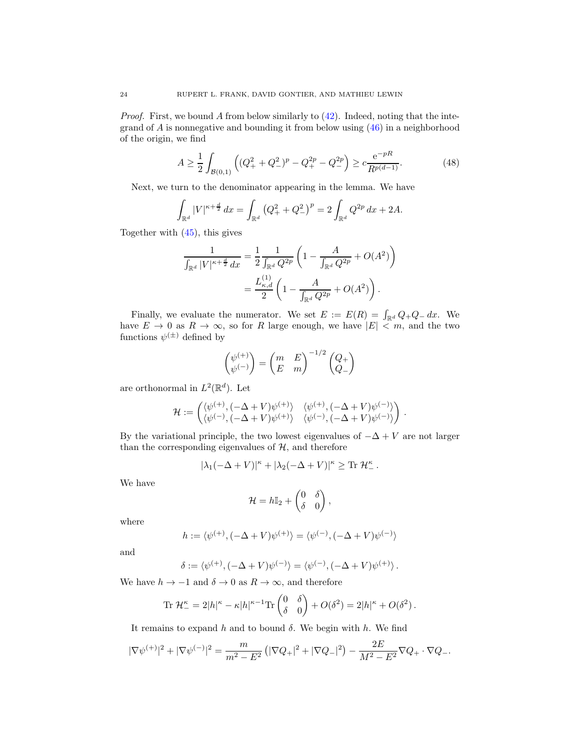*Proof.* First, we bound A from below similarly to  $(42)$ . Indeed, noting that the integrand of  $A$  is nonnegative and bounding it from below using  $(46)$  in a neighborhood of the origin, we find

<span id="page-23-0"></span>
$$
A \ge \frac{1}{2} \int_{\mathcal{B}(0,1)} \left( (Q_+^2 + Q_-^2)^p - Q_+^{2p} - Q_-^{2p} \right) \ge c \frac{e^{-pR}}{R^{p(d-1)}}.
$$
 (48)

Next, we turn to the denominator appearing in the lemma. We have

$$
\int_{\mathbb{R}^d} |V|^{\kappa + \frac{d}{2}} dx = \int_{\mathbb{R}^d} (Q_+^2 + Q_-^2)^p = 2 \int_{\mathbb{R}^d} Q^{2p} dx + 2A.
$$

Together with [\(45\)](#page-22-1), this gives

$$
\frac{1}{\int_{\mathbb{R}^d} |V|^{\kappa + \frac{d}{2}} dx} = \frac{1}{2} \frac{1}{\int_{\mathbb{R}^d} Q^{2p}} \left( 1 - \frac{A}{\int_{\mathbb{R}^d} Q^{2p}} + O(A^2) \right)
$$

$$
= \frac{L_{\kappa,d}^{(1)}}{2} \left( 1 - \frac{A}{\int_{\mathbb{R}^d} Q^{2p}} + O(A^2) \right).
$$

Finally, we evaluate the numerator. We set  $E := E(R) = \int_{\mathbb{R}^d} Q_+ Q_- dx$ . We have  $E \to 0$  as  $R \to \infty$ , so for R large enough, we have  $|E| \lt m$ , and the two functions  $\psi^{(\pm)}$  defined by

$$
\begin{pmatrix} \psi^{(+)} \\ \psi^{(-)} \end{pmatrix} = \begin{pmatrix} m & E \\ E & m \end{pmatrix}^{-1/2} \begin{pmatrix} Q_+ \\ Q_- \end{pmatrix}
$$

are orthonormal in  $L^2(\mathbb{R}^d)$ . Let

$$
\mathcal{H}:=\begin{pmatrix} \langle \psi^{(+)}, (-\Delta+V)\psi^{(+)}\rangle & \langle \psi^{(+)}, (-\Delta+V)\psi^{(-)}\rangle \\ \langle \psi^{(-)}, (-\Delta+V)\psi^{(+)}\rangle & \langle \psi^{(-)}, (-\Delta+V)\psi^{(-)}\rangle \end{pmatrix}\,.
$$

By the variational principle, the two lowest eigenvalues of  $-\Delta + V$  are not larger than the corresponding eigenvalues of  $H$ , and therefore

$$
|\lambda_1(-\Delta + V)|^{\kappa} + |\lambda_2(-\Delta + V)|^{\kappa} \ge \text{Tr} \mathcal{H}_-^{\kappa}.
$$

We have

$$
\mathcal{H} = h\mathbb{I}_2 + \begin{pmatrix} 0 & \delta \\ \delta & 0 \end{pmatrix},
$$

where

$$
h := \langle \psi^{(+)}, (-\Delta + V)\psi^{(+)} \rangle = \langle \psi^{(-)}, (-\Delta + V)\psi^{(-)} \rangle
$$

and

$$
\delta := \langle \psi^{(+)}, (-\Delta + V) \psi^{(-)} \rangle = \langle \psi^{(-)}, (-\Delta + V) \psi^{(+)} \rangle.
$$

We have  $h \to -1$  and  $\delta \to 0$  as  $R \to \infty$ , and therefore

$$
\operatorname{Tr} \mathcal{H}_-^{\kappa} = 2|h|^{\kappa} - \kappa|h|^{\kappa - 1} \operatorname{Tr} \begin{pmatrix} 0 & \delta \\ \delta & 0 \end{pmatrix} + O(\delta^2) = 2|h|^{\kappa} + O(\delta^2) .
$$

It remains to expand h and to bound  $\delta$ . We begin with h. We find

$$
|\nabla \psi^{(+)}|^2 + |\nabla \psi^{(-)}|^2 = \frac{m}{m^2 - E^2} \left( |\nabla Q_+|^2 + |\nabla Q_-|^2 \right) - \frac{2E}{M^2 - E^2} \nabla Q_+ \cdot \nabla Q_-.
$$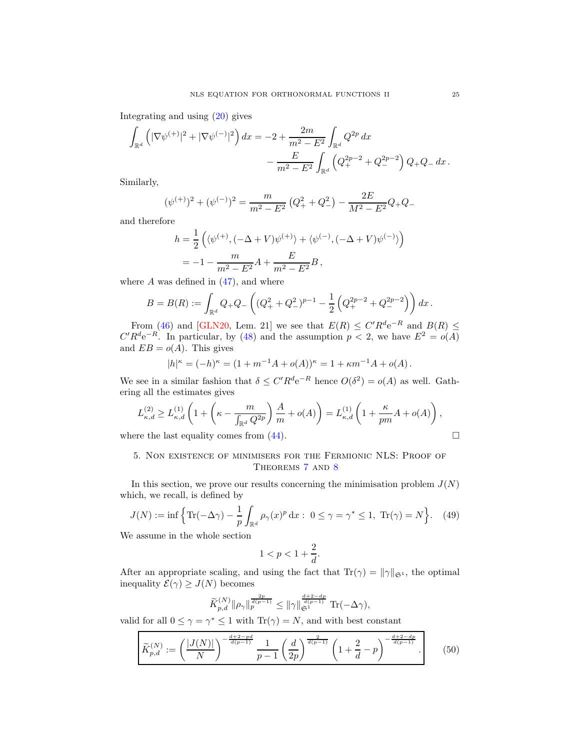Integrating and using [\(20\)](#page-9-3) gives

$$
\int_{\mathbb{R}^d} \left( |\nabla \psi^{(+)}|^2 + |\nabla \psi^{(-)}|^2 \right) dx = -2 + \frac{2m}{m^2 - E^2} \int_{\mathbb{R}^d} Q^{2p} dx \n- \frac{E}{m^2 - E^2} \int_{\mathbb{R}^d} \left( Q_+^{2p-2} + Q_-^{2p-2} \right) Q_+ Q_- dx.
$$

Similarly,

$$
(\psi^{(+)})^2 + (\psi^{(-)})^2 = \frac{m}{m^2 - E^2} \left( Q_+^2 + Q_-^2 \right) - \frac{2E}{M^2 - E^2} Q_+ Q_-
$$

and therefore

$$
h = \frac{1}{2} \left( \langle \psi^{(+)}, (-\Delta + V) \psi^{(+)} \rangle + \langle \psi^{(-)}, (-\Delta + V) \psi^{(-)} \rangle \right)
$$
  
=  $-1 - \frac{m}{m^2 - E^2} A + \frac{E}{m^2 - E^2} B$ ,

where  $A$  was defined in  $(47)$ , and where

$$
B=B(R):=\int_{\mathbb{R}^d} Q_+Q_-\left((Q_+^2+Q_-^2)^{p-1}-\frac{1}{2}\left(Q_+^{2p-2}+Q_-^{2p-2}\right)\right)dx\,.
$$

From [\(46\)](#page-22-0) and [\[GLN20,](#page-40-0) Lem. 21] we see that  $E(R) \leq C' R^d e^{-R}$  and  $B(R) \leq C' R^d e^{-R}$  $C'R^d e^{-R}$ . In particular, by [\(48\)](#page-23-0) and the assumption  $p < 2$ , we have  $E^2 = o(A)$ and  $EB = o(A)$ . This gives

$$
|h|^{\kappa} = (-h)^{\kappa} = (1 + m^{-1}A + o(A))^{\kappa} = 1 + \kappa m^{-1}A + o(A).
$$

We see in a similar fashion that  $\delta \leq C' R^d e^{-R}$  hence  $O(\delta^2) = o(A)$  as well. Gathering all the estimates gives

$$
L_{\kappa,d}^{(2)} \ge L_{\kappa,d}^{(1)} \left( 1 + \left( \kappa - \frac{m}{\int_{\mathbb{R}^d} Q^{2p}} \right) \frac{A}{m} + o(A) \right) = L_{\kappa,d}^{(1)} \left( 1 + \frac{\kappa}{pm} A + o(A) \right),
$$
  
where the last equality comes from (44).

### 5. Non existence of minimisers for the Fermionic NLS: Proof of Theorems [7](#page-9-1) and [8](#page-9-2)

In this section, we prove our results concerning the minimisation problem  $J(N)$ which, we recall, is defined by

<span id="page-24-1"></span>
$$
J(N) := \inf \left\{ \text{Tr}(-\Delta \gamma) - \frac{1}{p} \int_{\mathbb{R}^d} \rho_\gamma(x)^p \, \mathrm{d}x : \ 0 \le \gamma = \gamma^* \le 1, \ \text{Tr}(\gamma) = N \right\}. \tag{49}
$$

We assume in the whole section

$$
1 < p < 1 + \frac{2}{d}.
$$

After an appropriate scaling, and using the fact that  $Tr(\gamma) = ||\gamma||_{\mathfrak{S}^1}$ , the optimal inequality  $\mathcal{E}(\gamma) \geq J(N)$  becomes

$$
\widetilde{K}_{p,d}^{(N)} \|\rho_\gamma\|_p^{\frac{2p}{d(p-1)}} \le \|\gamma\|_{\mathfrak{S}^1}^{\frac{d+2-dp}{d(p-1)}} \operatorname{Tr}(-\Delta \gamma),
$$

valid for all  $0 \le \gamma = \gamma^* \le 1$  with  $\text{Tr}(\gamma) = N$ , and with best constant

<span id="page-24-0"></span>
$$
\widetilde{K}_{p,d}^{(N)} := \left(\frac{|J(N)|}{N}\right)^{-\frac{d+2-pd}{d(p-1)}} \frac{1}{p-1} \left(\frac{d}{2p}\right)^{\frac{2}{d(p-1)}} \left(1 + \frac{2}{d} - p\right)^{-\frac{d+2-dp}{d(p-1)}}.\tag{50}
$$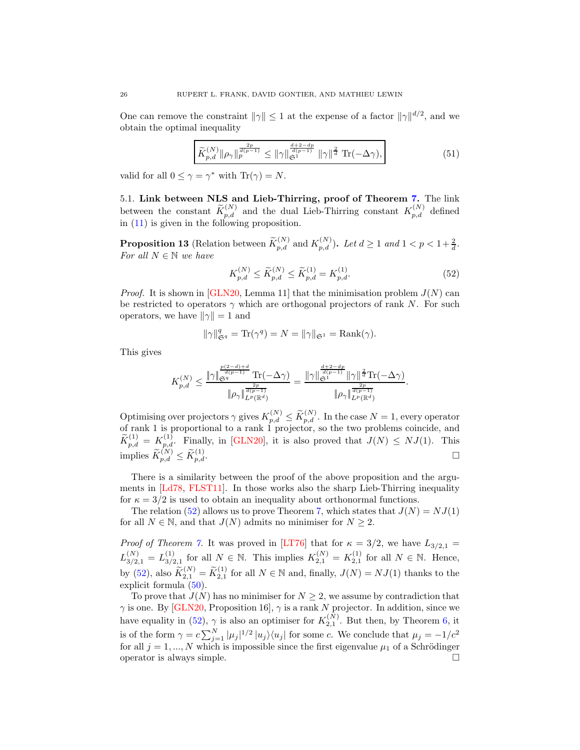One can remove the constraint  $\|\gamma\| \leq 1$  at the expense of a factor  $\|\gamma\|^{d/2}$ , and we obtain the optimal inequality

$$
\widetilde{K}_{p,d}^{(N)} \|\rho_\gamma\|_p^{\frac{2p}{d(p-1)}} \le \|\gamma\|_{\mathfrak{S}^1}^{\frac{d+2-dp}{d(p-1)}} \|\gamma\|_q^{\frac{2}{d}} \operatorname{Tr}(-\Delta \gamma),\tag{51}
$$

valid for all  $0 \leq \gamma = \gamma^*$  with  $\text{Tr}(\gamma) = N$ .

<span id="page-25-0"></span>5.1. Link between NLS and Lieb-Thirring, proof of Theorem [7.](#page-9-1) The link between the constant  $\widetilde{K}_{p,d}^{(N)}$  and the dual Lieb-Thirring constant  $K_{p,d}^{(N)}$  defined in [\(11\)](#page-7-0) is given in the following proposition.

<span id="page-25-2"></span>**Proposition 13** (Relation between  $\widetilde{K}_{p,d}^{(N)}$  and  $K_{p,d}^{(N)}$ ). Let  $d \ge 1$  and  $1 < p < 1+\frac{2}{d}$ . For all  $N \in \mathbb{N}$  we have

<span id="page-25-1"></span>
$$
K_{p,d}^{(N)} \le \widetilde{K}_{p,d}^{(N)} \le \widetilde{K}_{p,d}^{(1)} = K_{p,d}^{(1)}.\tag{52}
$$

*Proof.* It is shown in [\[GLN20,](#page-40-0) Lemma 11] that the minimisation problem  $J(N)$  can be restricted to operators  $\gamma$  which are orthogonal projectors of rank N. For such operators, we have  $\|\gamma\| = 1$  and

$$
\|\gamma\|_{\mathfrak{S}^q}^q = \text{Tr}(\gamma^q) = N = \|\gamma\|_{\mathfrak{S}^1} = \text{Rank}(\gamma).
$$

This gives

$$
K_{p,d}^{(N)} \leq \frac{\|\gamma\|_{\mathfrak{S}^{q}}^{\frac{p(2-d)+d}{d(p-1)}} \operatorname{Tr}(-\Delta \gamma)}{\|\rho_{\gamma}\|_{L^{p}(\mathbb{R}^{d})}^{\frac{2p}{d(p-1)}}} = \frac{\|\gamma\|_{\mathfrak{S}^{1}}^{\frac{d+2-dp}{d(p-1)}} \|\gamma\|^{\frac{2p}{d}\operatorname{Tr}}(-\Delta \gamma)}{\|\rho_{\gamma}\|_{L^{p}(\mathbb{R}^{d})}^{\frac{2p}{d(p-1)}}}.
$$

Optimising over projectors  $\gamma$  gives  $K_{p,d}^{(N)} \leq \widetilde{K}_{p,d}^{(N)}$ . In the case  $N=1$ , every operator of rank 1 is proportional to a rank 1 projector, so the two problems coincide, and  $\widetilde{K}_{p,d}^{(1)} = K_{p,d}^{(1)}$ . Finally, in [\[GLN20\]](#page-40-0), it is also proved that  $J(N) \leq NJ(1)$ . This implies  $\widetilde{K}_{p,d}^{(N)} \leq \widetilde{K}_{p,d}^{(1)}$ .

There is a similarity between the proof of the above proposition and the arguments in [\[Ld78,](#page-41-12) [FLST11\]](#page-40-23). In those works also the sharp Lieb-Thirring inequality for  $\kappa = 3/2$  is used to obtain an inequality about orthonormal functions.

The relation [\(52\)](#page-25-1) allows us to prove Theorem [7,](#page-9-1) which states that  $J(N) = NJ(1)$ for all  $N \in \mathbb{N}$ , and that  $J(N)$  admits no minimiser for  $N \geq 2$ .

*Proof of Theorem [7.](#page-9-1)* It was proved in [\[LT76\]](#page-41-1) that for  $\kappa = 3/2$ , we have  $L_{3/2,1} =$  $L_{3/2,1}^{(N)}=L_{3/2}^{(1)}$  $S_{3/2,1}^{(1)}$  for all  $N \in \mathbb{N}$ . This implies  $K_{2,1}^{(N)} = K_{2,1}^{(1)}$  for all  $N \in \mathbb{N}$ . Hence, by [\(52\)](#page-25-1), also  $\widetilde{K}_{2,1}^{(N)} = \widetilde{K}_{2,1}^{(1)}$  for all  $N \in \mathbb{N}$  and, finally,  $J(N) = NJ(1)$  thanks to the explicit formula [\(50\)](#page-24-0).

To prove that  $J(N)$  has no minimiser for  $N \geq 2$ , we assume by contradiction that  $\gamma$  is one. By [\[GLN20,](#page-40-0) Proposition 16],  $\gamma$  is a rank N projector. In addition, since we have equality in [\(52\)](#page-25-1),  $\gamma$  is also an optimiser for  $K_{2,1}^{(N)}$ . But then, by Theorem [6,](#page-7-2) it is of the form  $\gamma = c \sum_{j=1}^{N} |\mu_j|^{1/2} |u_j\rangle\langle u_j|$  for some c. We conclude that  $\mu_j = -1/c^2$ for all  $j = 1, ..., N$  which is impossible since the first eigenvalue  $\mu_1$  of a Schrödinger operator is always simple.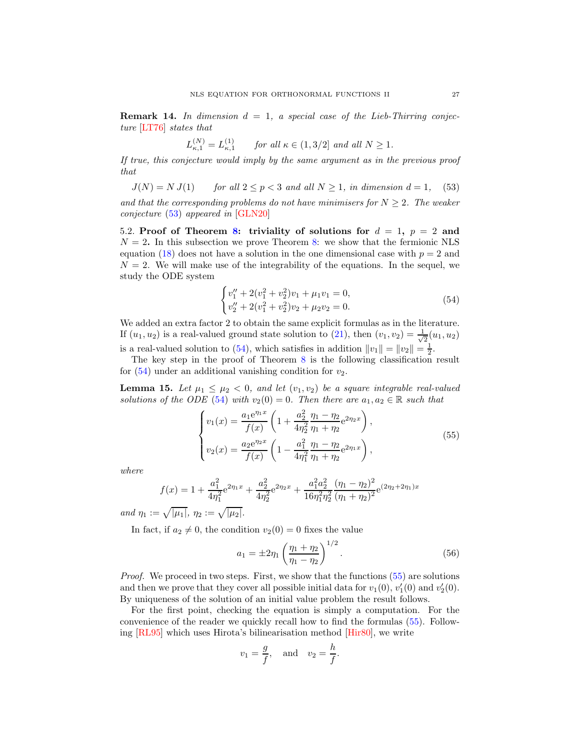<span id="page-26-0"></span>**Remark 14.** In dimension  $d = 1$ , a special case of the Lieb-Thirring conjecture [\[LT76\]](#page-41-1) states that

$$
L_{\kappa,1}^{(N)} = L_{\kappa,1}^{(1)} \qquad \text{for all } \kappa \in (1,3/2] \text{ and all } N \ge 1.
$$

If true, this conjecture would imply by the same argument as in the previous proof that

<span id="page-26-2"></span>
$$
J(N) = N J(1) \qquad \text{for all } 2 \le p < 3 \text{ and all } N \ge 1, \text{ in dimension } d = 1, \quad (53)
$$

and that the corresponding problems do not have minimisers for  $N \geq 2$ . The weaker conjecture [\(53\)](#page-26-2) appeared in [\[GLN20\]](#page-40-0)

<span id="page-26-1"></span>5.2. Proof of Theorem [8:](#page-9-2) triviality of solutions for  $d = 1$ ,  $p = 2$  and  $N = 2$ . In this subsection we prove Theorem [8:](#page-9-2) we show that the fermionic NLS equation [\(18\)](#page-9-0) does not have a solution in the one dimensional case with  $p = 2$  and  $N = 2$ . We will make use of the integrability of the equations. In the sequel, we study the ODE system

<span id="page-26-3"></span>
$$
\begin{cases}\nv_1'' + 2(v_1^2 + v_2^2)v_1 + \mu_1 v_1 = 0, \\
v_2'' + 2(v_1^2 + v_2^2)v_2 + \mu_2 v_2 = 0.\n\end{cases}
$$
\n(54)

We added an extra factor 2 to obtain the same explicit formulas as in the literature. If  $(u_1, u_2)$  is a real-valued ground state solution to [\(21\)](#page-9-4), then  $(v_1, v_2) = \frac{1}{\sqrt{2}}$  $\frac{1}{2}(u_1, u_2)$ is a real-valued solution to [\(54\)](#page-26-3), which satisfies in addition  $||v_1|| = ||v_2|| = \frac{1}{2}$ .

The key step in the proof of Theorem [8](#page-9-2) is the following classification result for  $(54)$  under an additional vanishing condition for  $v_2$ .

<span id="page-26-5"></span>**Lemma 15.** Let  $\mu_1 \leq \mu_2 < 0$ , and let  $(v_1, v_2)$  be a square integrable real-valued solutions of the ODE [\(54\)](#page-26-3) with  $v_2(0) = 0$ . Then there are  $a_1, a_2 \in \mathbb{R}$  such that

<span id="page-26-4"></span>
$$
\begin{cases}\nv_1(x) = \frac{a_1 e^{\eta_1 x}}{f(x)} \left(1 + \frac{a_2^2}{4\eta_2^2} \frac{\eta_1 - \eta_2}{\eta_1 + \eta_2} e^{2\eta_2 x}\right), \\
v_2(x) = \frac{a_2 e^{\eta_2 x}}{f(x)} \left(1 - \frac{a_1^2}{4\eta_1^2} \frac{\eta_1 - \eta_2}{\eta_1 + \eta_2} e^{2\eta_1 x}\right),\n\end{cases} (55)
$$

where

$$
f(x) = 1 + \frac{a_1^2}{4\eta_1^2}e^{2\eta_1 x} + \frac{a_2^2}{4\eta_2^2}e^{2\eta_2 x} + \frac{a_1^2 a_2^2}{16\eta_1^2\eta_2^2} \frac{(\eta_1 - \eta_2)^2}{(\eta_1 + \eta_2)^2}e^{(2\eta_2 + 2\eta_1)x}
$$

and  $\eta_1 := \sqrt{|\mu_1|}, \, \eta_2 := \sqrt{|\mu_2|}.$ 

In fact, if  $a_2 \neq 0$ , the condition  $v_2(0) = 0$  fixes the value

<span id="page-26-6"></span>
$$
a_1 = \pm 2\eta_1 \left(\frac{\eta_1 + \eta_2}{\eta_1 - \eta_2}\right)^{1/2}.
$$
\n(56)

Proof. We proceed in two steps. First, we show that the functions [\(55\)](#page-26-4) are solutions and then we prove that they cover all possible initial data for  $v_1(0)$ ,  $v'_1(0)$  and  $v'_2(0)$ . By uniqueness of the solution of an initial value problem the result follows.

For the first point, checking the equation is simply a computation. For the convenience of the reader we quickly recall how to find the formulas [\(55\)](#page-26-4). Following [\[RL95\]](#page-42-14) which uses Hirota's bilinearisation method [\[Hir80\]](#page-40-24), we write

$$
v_1 = \frac{g}{f}
$$
, and  $v_2 = \frac{h}{f}$ .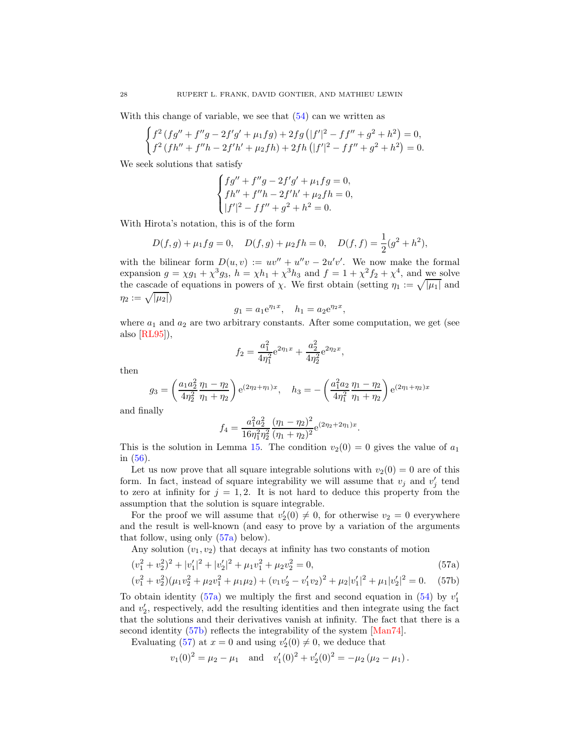With this change of variable, we see that  $(54)$  can we written as

$$
\begin{cases} f^2 \left( fg'' + f'' g - 2f' g' + \mu_1 fg \right) + 2fg \left( |f'|^2 - f f'' + g^2 + h^2 \right) = 0, \\ f^2 \left( f h'' + f'' h - 2f' h' + \mu_2 f h \right) + 2fh \left( |f'|^2 - f f'' + g^2 + h^2 \right) = 0. \end{cases}
$$

We seek solutions that satisfy

$$
\begin{cases}\nf g'' + f''g - 2f'g' + \mu_1 fg = 0, \\
fh'' + f''h - 2f'h' + \mu_2 fh = 0, \\
|f'|^2 - f f'' + g^2 + h^2 = 0.\n\end{cases}
$$

With Hirota's notation, this is of the form

$$
D(f,g) + \mu_1 fg = 0, \quad D(f,g) + \mu_2 fh = 0, \quad D(f,f) = \frac{1}{2}(g^2 + h^2),
$$

with the bilinear form  $D(u, v) := uv'' + u''v - 2u'v'$ . We now make the formal expansion  $g = \chi g_1 + \chi^3 g_3$ ,  $h = \chi h_1 + \chi^3 h_3$  and  $f = 1 + \chi^2 f_2 + \chi^4$ , and we solve the cascade of equations in powers of  $\chi$ . We first obtain (setting  $\eta_1 := \sqrt{|\mu_1|}$  and  $\eta_2 := \sqrt{|\mu_2|}$ 

$$
g_1 = a_1 e^{\eta_1 x}, \quad h_1 = a_2 e^{\eta_2 x},
$$

where  $a_1$  and  $a_2$  are two arbitrary constants. After some computation, we get (see also [\[RL95\]](#page-42-14)),

$$
f_2 = \frac{a_1^2}{4\eta_1^2} e^{2\eta_1 x} + \frac{a_2^2}{4\eta_2^2} e^{2\eta_2 x},
$$

then

$$
g_3 = \left(\frac{a_1 a_2^2}{4\eta_2^2} \frac{\eta_1 - \eta_2}{\eta_1 + \eta_2}\right) e^{(2\eta_2 + \eta_1)x}, \quad h_3 = -\left(\frac{a_1^2 a_2}{4\eta_1^2} \frac{\eta_1 - \eta_2}{\eta_1 + \eta_2}\right) e^{(2\eta_1 + \eta_2)x}
$$

and finally

<span id="page-27-2"></span><span id="page-27-1"></span><span id="page-27-0"></span>
$$
f_4 = \frac{a_1^2 a_2^2}{16\eta_1^2\eta_2^2} \frac{(\eta_1 - \eta_2)^2}{(\eta_1 + \eta_2)^2} e^{(2\eta_2 + 2\eta_1)x}.
$$

This is the solution in Lemma [15.](#page-26-5) The condition  $v_2(0) = 0$  gives the value of  $a_1$ in [\(56\)](#page-26-6).

Let us now prove that all square integrable solutions with  $v_2(0) = 0$  are of this form. In fact, instead of square integrability we will assume that  $v_j$  and  $v'_j$  tend to zero at infinity for  $j = 1, 2$ . It is not hard to deduce this property from the assumption that the solution is square integrable.

For the proof we will assume that  $v_2'(0) \neq 0$ , for otherwise  $v_2 = 0$  everywhere and the result is well-known (and easy to prove by a variation of the arguments that follow, using only [\(57a\)](#page-27-0) below).

Any solution  $(v_1, v_2)$  that decays at infinity has two constants of motion

$$
(v_1^2 + v_2^2)^2 + |v_1'|^2 + |v_2'|^2 + \mu_1 v_1^2 + \mu_2 v_2^2 = 0,
$$
\n(57a)

$$
(v_1^2 + v_2^2)(\mu_1 v_2^2 + \mu_2 v_1^2 + \mu_1 \mu_2) + (v_1 v_2' - v_1' v_2)^2 + \mu_2 |v_1'|^2 + \mu_1 |v_2'|^2 = 0. \quad (57b)
$$

To obtain identity [\(57a\)](#page-27-0) we multiply the first and second equation in  $(54)$  by  $v'_1$ and  $v_2'$ , respectively, add the resulting identities and then integrate using the fact that the solutions and their derivatives vanish at infinity. The fact that there is a second identity [\(57b\)](#page-27-1) reflects the integrability of the system [\[Man74\]](#page-41-15).

Evaluating [\(57\)](#page-27-2) at  $x = 0$  and using  $v_2'(0) \neq 0$ , we deduce that

$$
v_1(0)^2 = \mu_2 - \mu_1
$$
 and  $v'_1(0)^2 + v'_2(0)^2 = -\mu_2(\mu_2 - \mu_1)$ .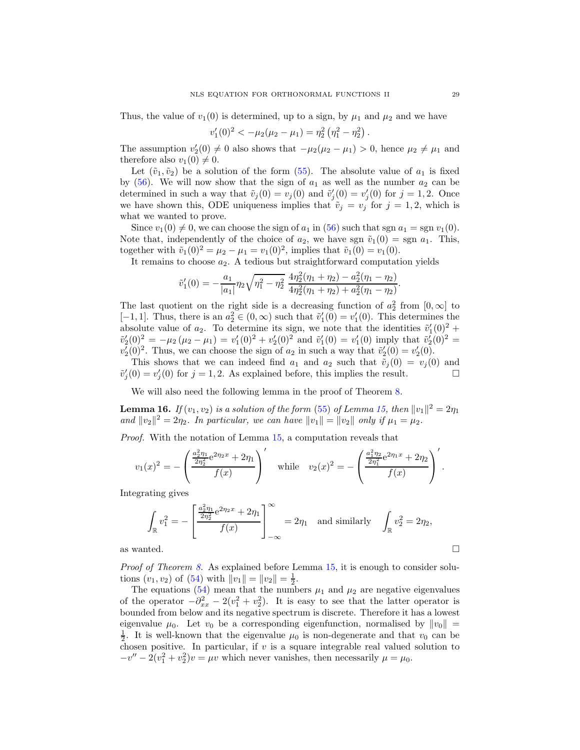Thus, the value of  $v_1(0)$  is determined, up to a sign, by  $\mu_1$  and  $\mu_2$  and we have

$$
v'_1(0)^2 < -\mu_2(\mu_2 - \mu_1) = \eta_2^2 (\eta_1^2 - \eta_2^2).
$$

The assumption  $v_2'(0) \neq 0$  also shows that  $-\mu_2(\mu_2 - \mu_1) > 0$ , hence  $\mu_2 \neq \mu_1$  and therefore also  $v_1(0) \neq 0$ .

Let  $(\tilde{v}_1, \tilde{v}_2)$  be a solution of the form [\(55\)](#page-26-4). The absolute value of  $a_1$  is fixed by  $(56)$ . We will now show that the sign of  $a_1$  as well as the number  $a_2$  can be determined in such a way that  $\tilde{v}_j(0) = v_j(0)$  and  $\tilde{v}'_j(0) = v'_j(0)$  for  $j = 1, 2$ . Once we have shown this, ODE uniqueness implies that  $\tilde{v}_j = v_j$  for  $j = 1, 2$ , which is what we wanted to prove.

Since  $v_1(0) \neq 0$ , we can choose the sign of  $a_1$  in [\(56\)](#page-26-6) such that sgn  $a_1 = \text{sgn } v_1(0)$ . Note that, independently of the choice of  $a_2$ , we have sgn  $\tilde{v}_1(0) =$  sgn  $a_1$ . This, together with  $\tilde{v}_1(0)^2 = \mu_2 - \mu_1 = v_1(0)^2$ , implies that  $\tilde{v}_1(0) = v_1(0)$ .

It remains to choose  $a_2$ . A tedious but straightforward computation yields

$$
\tilde{v}'_1(0) = -\frac{a_1}{|a_1|} \eta_2 \sqrt{\eta_1^2 - \eta_2^2} \frac{4\eta_2^2(\eta_1 + \eta_2) - a_2^2(\eta_1 - \eta_2)}{4\eta_2^2(\eta_1 + \eta_2) + a_2^2(\eta_1 - \eta_2)}
$$

The last quotient on the right side is a decreasing function of  $a_2^2$  from  $[0,\infty]$  to [-1, 1]. Thus, there is an  $a_2^2 \in (0, \infty)$  such that  $\tilde{v}'_1(0) = v'_1(0)$ . This determines the absolute value of  $a_2$ . To determine its sign, we note that the identities  $\tilde{v}'_1(0)^2$  +  $\tilde{v}_2'(0)^2 = -\mu_2 (\mu_2 - \mu_1) = v_1'(0)^2 + v_2'(0)^2$  and  $\tilde{v}_1'(0) = v_1'(0)$  imply that  $\tilde{v}_2'(0)^2 =$  $v_2'(0)^2$ . Thus, we can choose the sign of  $a_2$  in such a way that  $\tilde{v}_2'(0) = v_2'(0)$ .

This shows that we can indeed find  $a_1$  and  $a_2$  such that  $\tilde{v}_j(0) = v_j(0)$  and  $\tilde{v}'_j(0) = v'_j(0)$  for  $j = 1, 2$ . As explained before, this implies the result.

We will also need the following lemma in the proof of Theorem [8.](#page-9-2)

<span id="page-28-0"></span>**Lemma 16.** If  $(v_1, v_2)$  is a solution of the form [\(55\)](#page-26-4) of Lemma [15,](#page-26-5) then  $||v_1||^2 = 2\eta_1$ and  $||v_2||^2 = 2\eta_2$ . In particular, we can have  $||v_1|| = ||v_2||$  only if  $\mu_1 = \mu_2$ .

Proof. With the notation of Lemma [15,](#page-26-5) a computation reveals that

$$
v_1(x)^2 = -\left(\frac{\frac{a_2^2 \eta_1}{2\eta_2^2} e^{2\eta_2 x} + 2\eta_1}{f(x)}\right) \quad \text{while} \quad v_2(x)^2 = -\left(\frac{\frac{a_1^2 \eta_2}{2\eta_1^2} e^{2\eta_1 x} + 2\eta_2}{f(x)}\right)'.
$$

Integrating gives

$$
\int_{\mathbb{R}} v_1^2 = -\left[ \frac{\frac{a_2^2 \eta_1}{2\eta_2^2} e^{2\eta_2 x} + 2\eta_1}{f(x)} \right]_{-\infty}^{\infty} = 2\eta_1 \text{ and similarly } \int_{\mathbb{R}} v_2^2 = 2\eta_2,
$$
  
as wanted.

Proof of Theorem [8.](#page-9-2) As explained before Lemma [15,](#page-26-5) it is enough to consider solutions  $(v_1, v_2)$  of  $(54)$  with  $||v_1|| = ||v_2|| = \frac{1}{2}$ .

The equations [\(54\)](#page-26-3) mean that the numbers  $\mu_1$  and  $\mu_2$  are negative eigenvalues of the operator  $-\partial_{xx}^2 - 2(v_1^2 + v_2^2)$ . It is easy to see that the latter operator is bounded from below and its negative spectrum is discrete. Therefore it has a lowest eigenvalue  $\mu_0$ . Let  $v_0$  be a corresponding eigenfunction, normalised by  $||v_0|| =$  $\frac{1}{2}$ . It is well-known that the eigenvalue  $\mu_0$  is non-degenerate and that  $v_0$  can be chosen positive. In particular, if  $v$  is a square integrable real valued solution to  $-v'' - 2(v_1^2 + v_2^2)v = \mu v$  which never vanishes, then necessarily  $\mu = \mu_0$ .

.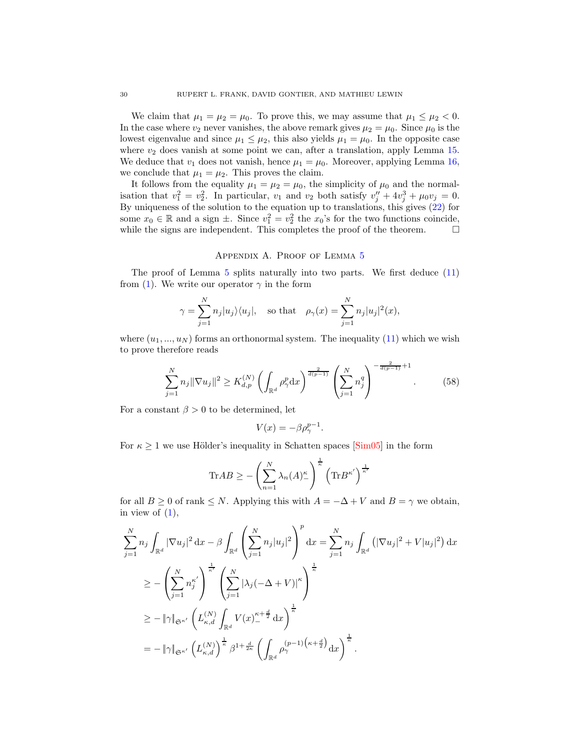We claim that  $\mu_1 = \mu_2 = \mu_0$ . To prove this, we may assume that  $\mu_1 \leq \mu_2 < 0$ . In the case where  $v_2$  never vanishes, the above remark gives  $\mu_2 = \mu_0$ . Since  $\mu_0$  is the lowest eigenvalue and since  $\mu_1 \leq \mu_2$ , this also yields  $\mu_1 = \mu_0$ . In the opposite case where  $v_2$  does vanish at some point we can, after a translation, apply Lemma [15.](#page-26-5) We deduce that  $v_1$  does not vanish, hence  $\mu_1 = \mu_0$ . Moreover, applying Lemma [16,](#page-28-0) we conclude that  $\mu_1 = \mu_2$ . This proves the claim.

It follows from the equality  $\mu_1 = \mu_2 = \mu_0$ , the simplicity of  $\mu_0$  and the normalisation that  $v_1^2 = v_2^2$ . In particular,  $v_1$  and  $v_2$  both satisfy  $v''_j + 4v_j^3 + \mu_0 v_j = 0$ . By uniqueness of the solution to the equation up to translations, this gives [\(22\)](#page-10-3) for some  $x_0 \in \mathbb{R}$  and a sign  $\pm$ . Since  $v_1^2 = v_2^2$  the  $x_0$ 's for the two functions coincide, while the signs are independent. This completes the proof of the theorem.  $\Box$ 

#### Appendix A. Proof of Lemma [5](#page-7-1)

<span id="page-29-0"></span>The proof of Lemma [5](#page-7-1) splits naturally into two parts. We first deduce [\(11\)](#page-7-0) from [\(1\)](#page-0-0). We write our operator  $\gamma$  in the form

$$
\gamma = \sum_{j=1}^{N} n_j |u_j\rangle\langle u_j|, \quad \text{so that} \quad \rho_\gamma(x) = \sum_{j=1}^{N} n_j |u_j|^2(x),
$$

where  $(u_1, ..., u_N)$  forms an orthonormal system. The inequality [\(11\)](#page-7-0) which we wish to prove therefore reads

<span id="page-29-1"></span>
$$
\sum_{j=1}^{N} n_j \|\nabla u_j\|^2 \ge K_{d,p}^{(N)} \left( \int_{\mathbb{R}^d} \rho_\gamma^p \, dx \right)^{\frac{2}{d(p-1)}} \left( \sum_{j=1}^{N} n_j^q \right)^{-\frac{2}{d(p-1)}+1}.
$$
 (58)

For a constant  $\beta > 0$  to be determined, let

$$
V(x) = -\beta \rho_{\gamma}^{p-1}.
$$

For  $\kappa \geq 1$  we use Hölder's inequality in Schatten spaces [\[Sim05\]](#page-42-2) in the form

$$
\text{Tr}AB \ge -\left(\sum_{n=1}^N \lambda_n(A)^{\kappa}_-\right)^{\frac{1}{\kappa}} \left(\text{Tr}B^{\kappa'}\right)^{\frac{1}{\kappa'}}
$$

for all  $B \ge 0$  of rank  $\le N$ . Applying this with  $A = -\Delta + V$  and  $B = \gamma$  we obtain, in view of  $(1)$ ,

$$
\sum_{j=1}^{N} n_j \int_{\mathbb{R}^d} |\nabla u_j|^2 \, dx - \beta \int_{\mathbb{R}^d} \left( \sum_{j=1}^{N} n_j |u_j|^2 \right)^p dx = \sum_{j=1}^{N} n_j \int_{\mathbb{R}^d} \left( |\nabla u_j|^2 + V|u_j|^2 \right) dx
$$
  
\n
$$
\geq - \left( \sum_{j=1}^{N} n_j^{\kappa'} \right)^{\frac{1}{\kappa'}} \left( \sum_{j=1}^{N} |\lambda_j(-\Delta + V)|^{\kappa} \right)^{\frac{1}{\kappa}}
$$
  
\n
$$
\geq - \|\gamma\|_{\mathfrak{S}^{\kappa'}} \left( L_{\kappa,d}^{(N)} \int_{\mathbb{R}^d} V(x)_{-}^{\kappa + \frac{d}{2}} dx \right)^{\frac{1}{\kappa}}
$$
  
\n
$$
= - \|\gamma\|_{\mathfrak{S}^{\kappa'}} \left( L_{\kappa,d}^{(N)} \right)^{\frac{1}{\kappa}} \beta^{1 + \frac{d}{2\kappa}} \left( \int_{\mathbb{R}^d} \rho_\gamma^{(p-1) \left( \kappa + \frac{d}{2} \right)} dx \right)^{\frac{1}{\kappa}}.
$$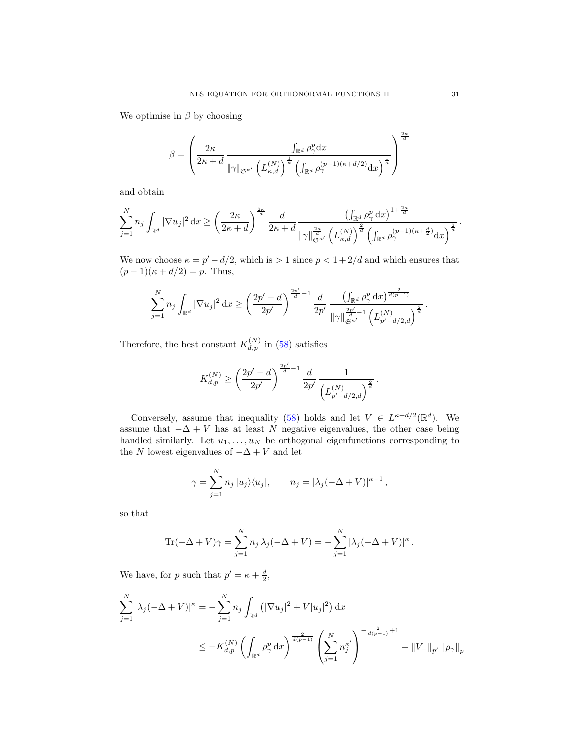We optimise in  $\beta$  by choosing

$$
\beta = \left(\frac{2\kappa}{2\kappa + d} \frac{\int_{\mathbb{R}^d} \rho_\gamma^p \mathrm{d}x}{\|\gamma\|_{\mathfrak{S}^{\kappa'}} \left(L_{\kappa,d}^{(N)}\right)^{\frac{1}{\kappa}} \left(\int_{\mathbb{R}^d} \rho_\gamma^{(p-1)(\kappa + d/2)} \mathrm{d}x\right)^{\frac{1}{\kappa}}}\right)^{\frac{2\kappa}{d}}
$$

and obtain

$$
\sum_{j=1}^N n_j \int_{\mathbb{R}^d} |\nabla u_j|^2 \,dx \ge \left(\frac{2\kappa}{2\kappa+d}\right)^{\frac{2\kappa}{d}} \frac{d}{2\kappa+d} \frac{\left(\int_{\mathbb{R}^d} \rho_\gamma^p \,dx\right)^{1+\frac{2\kappa}{d}}}{\|\gamma\|_{\mathfrak{S}^{\kappa'}}^{\frac{2\kappa}{d}} \left(\int_{\mathbb{R}^d} |V_{\kappa,d}(\gamma)|^{\frac{2}{d}}\right)^{\frac{2}{d}} \left(\int_{\mathbb{R}^d} \rho_\gamma^{(p-1)(\kappa+\frac{d}{2})} \,dx\right)^{\frac{2}{d}}}.
$$

We now choose  $\kappa = p' - d/2$ , which is  $> 1$  since  $p < 1 + 2/d$  and which ensures that  $(p-1)(\kappa + d/2) = p$ . Thus,

$$
\sum_{j=1}^N n_j \int_{\mathbb{R}^d} |\nabla u_j|^2 \,dx \ge \left(\frac{2p'-d}{2p'}\right)^{\frac{2p'}{d}-1} \frac{d}{2p'} \frac{\left(\int_{\mathbb{R}^d} \rho_\gamma^p \,dx\right)^{\frac{2}{d(p-1)}}}{\|\gamma\|_{\mathfrak{S}^{\kappa'}}^{\frac{2p'}{d}-1} \left(L_{p'-d/2,d}^{(N)}\right)^{\frac{2}{d}}}.
$$

Therefore, the best constant  $K_{d,p}^{(N)}$  in [\(58\)](#page-29-1) satisfies

$$
K_{d,p}^{(N)} \ge \left(\frac{2p'-d}{2p'}\right)^{\frac{2p'}{d}-1} \frac{d}{2p'} \frac{1}{\left(L_{p'-d/2,d}^{(N)}\right)^{\frac{2}{d}}} \, .
$$

Conversely, assume that inequality [\(58\)](#page-29-1) holds and let  $V \in L^{\kappa+d/2}(\mathbb{R}^d)$ . We assume that  $-\Delta + V$  has at least N negative eigenvalues, the other case being handled similarly. Let  $u_1, \ldots, u_N$  be orthogonal eigenfunctions corresponding to the  $N$  lowest eigenvalues of  $-\Delta + V$  and let

$$
\gamma = \sum_{j=1}^{N} n_j |u_j\rangle\langle u_j|, \qquad n_j = |\lambda_j(-\Delta + V)|^{\kappa - 1},
$$

so that

$$
\text{Tr}(-\Delta + V)\gamma = \sum_{j=1}^{N} n_j \lambda_j (-\Delta + V) = -\sum_{j=1}^{N} |\lambda_j (-\Delta + V)|^{\kappa}.
$$

We have, for p such that  $p' = \kappa + \frac{d}{2}$ ,

$$
\sum_{j=1}^{N} |\lambda_j(-\Delta + V)|^{\kappa} = -\sum_{j=1}^{N} n_j \int_{\mathbb{R}^d} (|\nabla u_j|^2 + V|u_j|^2) dx
$$
  

$$
\leq -K_{d,p}^{(N)} \left( \int_{\mathbb{R}^d} \rho_\gamma^p dx \right)^{\frac{2}{d(p-1)}} \left( \sum_{j=1}^{N} n_j^{\kappa'} \right)^{-\frac{2}{d(p-1)}+1} + ||V_{-}||_{p'} ||\rho_\gamma||_{p}
$$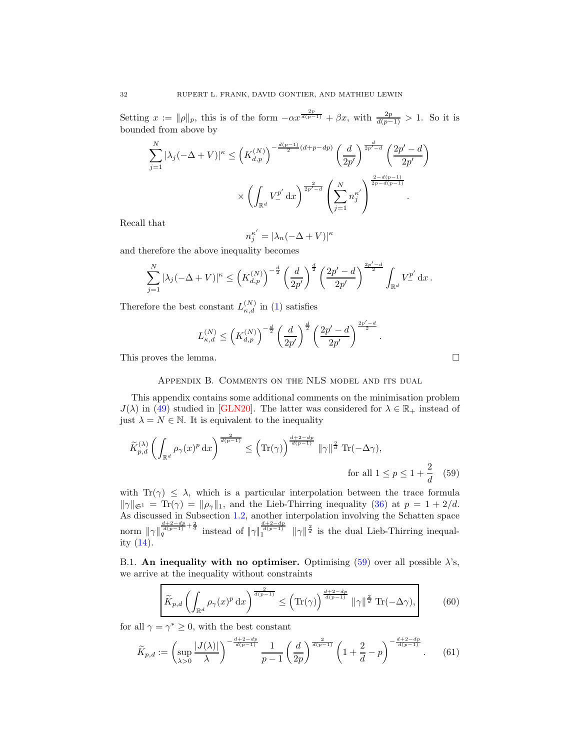Setting  $x := ||\rho||_p$ , this is of the form  $-\alpha x^{\frac{2p}{d(p-1)}} + \beta x$ , with  $\frac{2p}{d(p-1)} > 1$ . So it is bounded from above by

$$
\sum_{j=1}^{N} |\lambda_j(-\Delta + V)|^{\kappa} \le \left(K_{d,p}^{(N)}\right)^{-\frac{d(p-1)}{2}(d+p-dp)} \left(\frac{d}{2p'}\right)^{\frac{d}{2p'-d}} \left(\frac{2p'-d}{2p'}\right)^{\frac{2}{d-p'-d}} \times \left(\int_{\mathbb{R}^d} V_{-}^{p'} \,dx\right)^{\frac{2}{2p'-d}} \left(\sum_{j=1}^{N} n_j^{\kappa'}\right)^{\frac{2-d(p-1)}{2p-d(p-1)}}.
$$

Recall that

$$
n_j^{\kappa'} = |\lambda_n(-\Delta + V)|^{\kappa}
$$

and therefore the above inequality becomes

$$
\sum_{j=1}^N |\lambda_j(-\Delta+V)|^{\kappa} \le \left(K_{d,p}^{(N)}\right)^{-\frac{d}{2}} \left(\frac{d}{2p'}\right)^{\frac{d}{2}} \left(\frac{2p'-d}{2p'}\right)^{\frac{2p'-d}{2}} \int_{\mathbb{R}^d} V_-^{p'} \,\mathrm{d} x \,.
$$

Therefore the best constant  $L_{\kappa,d}^{(N)}$  in [\(1\)](#page-0-0) satisfies

$$
L_{\kappa,d}^{(N)} \leq \left(K_{d,p}^{(N)}\right)^{-\frac{d}{2}} \left(\frac{d}{2p'}\right)^{\frac{d}{2}} \left(\frac{2p'-d}{2p'}\right)^{\frac{2p'-d}{2}}.
$$

<span id="page-31-0"></span>This proves the lemma.

### Appendix B. Comments on the NLS model and its dual

This appendix contains some additional comments on the minimisation problem  $J(\lambda)$  in [\(49\)](#page-24-1) studied in [\[GLN20\]](#page-40-0). The latter was considered for  $\lambda \in \mathbb{R}_+$  instead of just  $\lambda = N \in \mathbb{N}$ . It is equivalent to the inequality

$$
\widetilde{K}_{p,d}^{(\lambda)}\left(\int_{\mathbb{R}^d} \rho_\gamma(x)^p \,dx\right)^{\frac{2}{d(p-1)}} \le \left(\text{Tr}(\gamma)\right)^{\frac{d+2-dp}{d(p-1)}} \|\gamma\|^{\frac{2}{d}} \text{Tr}(-\Delta\gamma),
$$
\nfor all  $1 \le p \le 1 + \frac{2}{d}$ 

\n(59)

with  $Tr(\gamma) \leq \lambda$ , which is a particular interpolation between the trace formula  $\|\gamma\|_{\mathfrak{S}^1} = \text{Tr}(\gamma) = \|\rho_\gamma\|_1$ , and the Lieb-Thirring inequality [\(36\)](#page-14-2) at  $p = 1 + 2/d$ . As discussed in Subsection [1.2,](#page-6-0) another interpolation involving the Schatten space norm  $\|\gamma\|_q^{\frac{d+2-dp}{d(p-1)}+\frac{2}{d}}$  instead of  $\|\gamma\|_1^{\frac{d+2-dp}{d(p-1)}}$   $\|\gamma\|_q^{\frac{2}{d}}$  is the dual Lieb-Thirring inequality [\(14\)](#page-7-3).

B.1. An inequality with no optimiser. Optimising [\(59\)](#page-31-1) over all possible  $\lambda$ 's, we arrive at the inequality without constraints

<span id="page-31-2"></span>
$$
\widetilde{K}_{p,d}\left(\int_{\mathbb{R}^d} \rho_\gamma(x)^p \,\mathrm{d}x\right)^{\frac{2}{d(p-1)}} \le \left(\mathrm{Tr}(\gamma)\right)^{\frac{d+2-dp}{d(p-1)}} \|\gamma\|^{\frac{2}{d}} \mathrm{Tr}(-\Delta\gamma),\tag{60}
$$

for all  $\gamma = \gamma^* \geq 0$ , with the best constant

$$
\widetilde{K}_{p,d} := \left(\sup_{\lambda>0} \frac{|J(\lambda)|}{\lambda}\right)^{-\frac{d+2-dp}{d(p-1)}} \frac{1}{p-1} \left(\frac{d}{2p}\right)^{\frac{2}{d(p-1)}} \left(1+\frac{2}{d}-p\right)^{-\frac{d+2-dp}{d(p-1)}}. \tag{61}
$$

<span id="page-31-1"></span>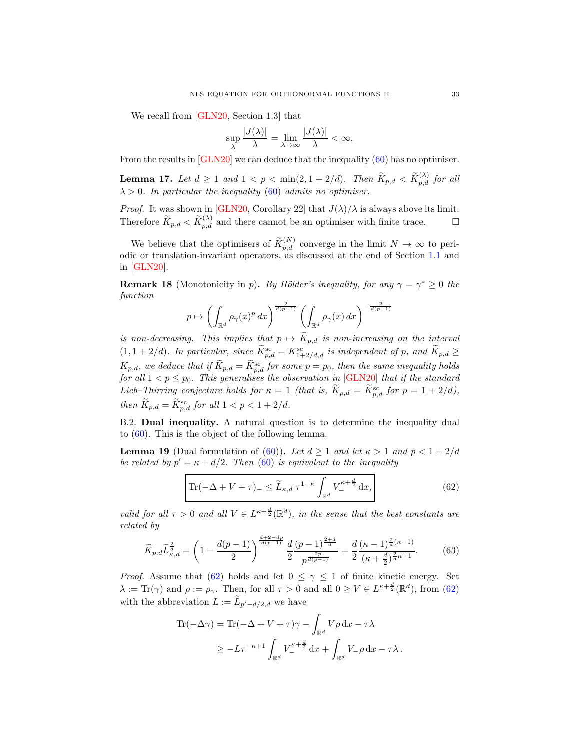We recall from [\[GLN20,](#page-40-0) Section 1.3] that

$$
\sup_{\lambda} \frac{|J(\lambda)|}{\lambda} = \lim_{\lambda \to \infty} \frac{|J(\lambda)|}{\lambda} < \infty.
$$

From the results in [\[GLN20\]](#page-40-0) we can deduce that the inequality [\(60\)](#page-31-2) has no optimiser.

<span id="page-32-3"></span>**Lemma 17.** Let  $d \geq 1$  and  $1 < p < \min(2, 1 + 2/d)$ . Then  $\widetilde{K}_{p,d} < \widetilde{K}_{p,d}^{(\lambda)}$  for all  $\lambda > 0$ . In particular the inequality [\(60\)](#page-31-2) admits no optimiser.

*Proof.* It was shown in [\[GLN20,](#page-40-0) Corollary 22] that  $J(\lambda)/\lambda$  is always above its limit. Therefore  $\widetilde{K}_{p,d} < \widetilde{K}_{p,d}^{(\lambda)}$  and there cannot be an optimiser with finite trace.

We believe that the optimisers of  $\widetilde{K}_{p,d}^{(N)}$  converge in the limit  $N \to \infty$  to periodic or translation-invariant operators, as discussed at the end of Section [1.1](#page-0-1) and in [\[GLN20\]](#page-40-0).

**Remark 18** (Monotonicity in p). By Hölder's inequality, for any  $\gamma = \gamma^* \geq 0$  the function

$$
p \mapsto \left(\int_{\mathbb{R}^d} \rho_\gamma(x)^p dx\right)^{\frac{2}{d(p-1)}} \left(\int_{\mathbb{R}^d} \rho_\gamma(x) dx\right)^{-\frac{2}{d(p-1)}}
$$

is non-decreasing. This implies that  $p \mapsto \tilde{K}_{p,d}$  is non-increasing on the interval  $(1, 1+2/d)$ . In particular, since  $\widetilde{K}_{p,d}^{\rm sc} = K_{1+2/d,d}^{\rm sc}$  is independent of p, and  $\widetilde{K}_{p,d} \geq$  $K_{p,d}$ , we deduce that if  $\widetilde{K}_{p,d} = \widetilde{K}^{\text{sc}}_{p,d}$  for some  $p = p_0$ , then the same inequality holds for all  $1 < p \leq p_0$ . This generalises the observation in [\[GLN20\]](#page-40-0) that if the standard Lieb–Thirring conjecture holds for  $\kappa = 1$  (that is,  $\widetilde{K}_{p,d} = \widetilde{K}_{p,d}^{\rm sc}$  for  $p = 1 + 2/d$ ), then  $K_{p,d} = K_{p,d}^{\rm sc}$  for all  $1 < p < 1 + 2/d$ .

B.2. Dual inequality. A natural question is to determine the inequality dual to [\(60\)](#page-31-2). This is the object of the following lemma.

<span id="page-32-1"></span>**Lemma 19** (Dual formulation of [\(60\)](#page-31-2)). Let  $d \ge 1$  and let  $\kappa > 1$  and  $p < 1 + 2/d$ be related by  $p' = \kappa + d/2$ . Then [\(60\)](#page-31-2) is equivalent to the inequality

<span id="page-32-0"></span>
$$
\left| \text{Tr}(-\Delta + V + \tau)_{-} \leq \widetilde{L}_{\kappa,d} \,\tau^{1-\kappa} \int_{\mathbb{R}^d} V_{-}^{\kappa+\frac{d}{2}} \,\mathrm{d}x, \right| \tag{62}
$$

valid for all  $\tau > 0$  and all  $V \in L^{\kappa + \frac{d}{2}}(\mathbb{R}^d)$ , in the sense that the best constants are related by

<span id="page-32-2"></span>
$$
\widetilde{K}_{p,d}\widetilde{L}_{\kappa,d}^{\frac{2}{d}} = \left(1 - \frac{d(p-1)}{2}\right)^{\frac{d+2-dp}{d(p-1)}}\frac{d}{2}\frac{\left(p-1\right)^{\frac{2+d}{d}}}{p^{\frac{2p}{d(p-1)}}} = \frac{d}{2}\frac{(\kappa-1)^{\frac{2}{d}(\kappa-1)}}{(\kappa+\frac{d}{2})^{\frac{2}{d}\kappa+1}}.\tag{63}
$$

*Proof.* Assume that [\(62\)](#page-32-0) holds and let  $0 \leq \gamma \leq 1$  of finite kinetic energy. Set  $\lambda := \text{Tr}(\gamma)$  and  $\rho := \rho_{\gamma}$ . Then, for all  $\tau > 0$  and all  $0 \ge V \in L^{\kappa + \frac{d}{2}}(\mathbb{R}^d)$ , from [\(62\)](#page-32-0) with the abbreviation  $L := L_{p'-d/2,d}$  we have

$$
\begin{aligned} \text{Tr}(-\Delta \gamma) &= \text{Tr}(-\Delta + V + \tau)\gamma - \int_{\mathbb{R}^d} V\rho \, \mathrm{d}x - \tau\lambda \\ &\ge -L\tau^{-\kappa+1} \int_{\mathbb{R}^d} V_-^{\kappa + \frac{d}{2}} \, \mathrm{d}x + \int_{\mathbb{R}^d} V_- \rho \, \mathrm{d}x - \tau\lambda \,. \end{aligned}
$$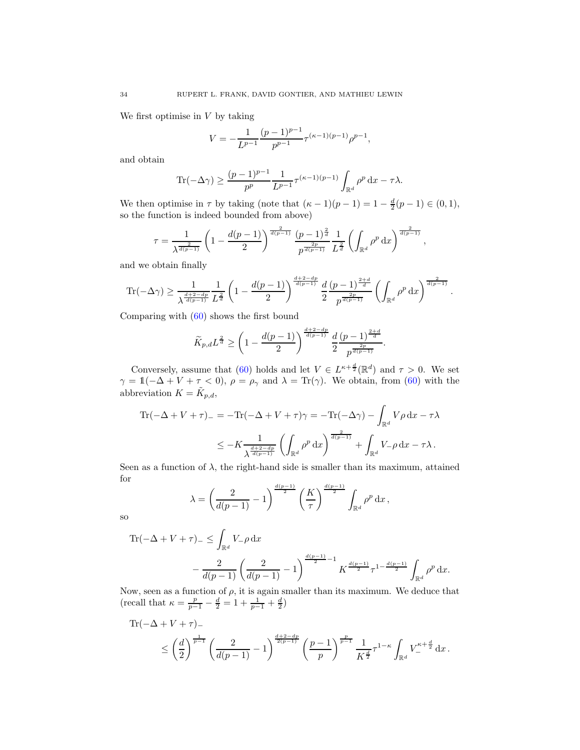We first optimise in  $V$  by taking

$$
V = -\frac{1}{L^{p-1}} \frac{(p-1)^{p-1}}{p^{p-1}} \tau^{(\kappa-1)(p-1)} \rho^{p-1},
$$

and obtain

$$
\operatorname{Tr}(-\Delta \gamma) \ge \frac{(p-1)^{p-1}}{p^p} \frac{1}{L^{p-1}} \tau^{(\kappa-1)(p-1)} \int_{\mathbb{R}^d} \rho^p \, \mathrm{d}x - \tau \lambda.
$$

We then optimise in  $\tau$  by taking (note that  $(\kappa - 1)(p - 1) = 1 - \frac{d}{2}(p - 1) \in (0, 1)$ , so the function is indeed bounded from above)

$$
\tau = \frac{1}{\lambda^{\frac{2}{d(p-1)}}} \left( 1 - \frac{d(p-1)}{2} \right)^{\frac{2}{d(p-1)}} \frac{(p-1)^{\frac{2}{d}}}{p^{\frac{2p}{d(p-1)}}} \frac{1}{L^{\frac{2}{d}}}\left( \int_{\mathbb{R}^d} \rho^p \,dx \right)^{\frac{2}{d(p-1)}},
$$

and we obtain finally

$$
\text{Tr}(-\Delta \gamma) \ge \frac{1}{\lambda^{\frac{d+2-dp}{d(p-1)}}} \frac{1}{L^{\frac{2}{d}}}\left(1-\frac{d(p-1)}{2}\right)^{\frac{d+2-dp}{d(p-1)}} \frac{d}{2} \frac{(p-1)^{\frac{2+d}{d}}}{p^{\frac{2p}{d(p-1)}}}\left(\int_{\mathbb{R}^d} \rho^p \,dx\right)^{\frac{2}{d(p-1)}}.
$$

Comparing with [\(60\)](#page-31-2) shows the first bound

$$
\widetilde{K}_{p,d}L^{\frac{2}{d}} \ge \left(1 - \frac{d(p-1)}{2}\right)^{\frac{d+2-dp}{d(p-1)}} \frac{d}{2} \frac{\left(p-1\right)^{\frac{2+d}{d}}}{p^{\frac{2p}{d(p-1)}}}.
$$

Conversely, assume that [\(60\)](#page-31-2) holds and let  $V \in L^{\kappa + \frac{d}{2}}(\mathbb{R}^d)$  and  $\tau > 0$ . We set  $\gamma = \mathbb{1}(-\Delta + V + \tau < 0), \ \rho = \rho_{\gamma}$  and  $\lambda = \text{Tr}(\gamma)$ . We obtain, from [\(60\)](#page-31-2) with the abbreviation  $K = \tilde{K}_{p,d}$ ,

$$
\begin{split} \text{Tr}(-\Delta + V + \tau)_{-} &= -\text{Tr}(-\Delta + V + \tau)\gamma = -\text{Tr}(-\Delta\gamma) - \int_{\mathbb{R}^d} V\rho \, \mathrm{d}x - \tau\lambda \\ &\leq -K \frac{1}{\lambda^{\frac{d+2-dp}{d(p-1)}}} \left( \int_{\mathbb{R}^d} \rho^p \, \mathrm{d}x \right)^{\frac{2}{d(p-1)}} + \int_{\mathbb{R}^d} V_{-}\rho \, \mathrm{d}x - \tau\lambda \,. \end{split}
$$

Seen as a function of  $\lambda$ , the right-hand side is smaller than its maximum, attained for

$$
\lambda = \left(\frac{2}{d(p-1)} - 1\right)^{\frac{d(p-1)}{2}} \left(\frac{K}{\tau}\right)^{\frac{d(p-1)}{2}} \int_{\mathbb{R}^d} \rho^p \, \mathrm{d}x \,,
$$

so

Tr
$$
(-\Delta + V + \tau)_{-} \le \int_{\mathbb{R}^d} V_{-}\rho \,dx
$$
  

$$
- \frac{2}{d(p-1)} \left(\frac{2}{d(p-1)} - 1\right)^{\frac{d(p-1)}{2} - 1} K^{\frac{d(p-1)}{2}} \tau^{1 - \frac{d(p-1)}{2}} \int_{\mathbb{R}^d} \rho^p \,dx.
$$

Now, seen as a function of  $\rho$ , it is again smaller than its maximum. We deduce that (recall that  $\kappa = \frac{p}{p-1} - \frac{d}{2} = 1 + \frac{1}{p-1} + \frac{d}{2}$ )

$$
\begin{split} \text{Tr}(-\Delta + V + \tau)_{-} \\ &\leq \left(\frac{d}{2}\right)^{\frac{1}{p-1}} \left(\frac{2}{d(p-1)} - 1\right)^{\frac{d+2-dp}{2(p-1)}} \left(\frac{p-1}{p}\right)^{\frac{p}{p-1}} \frac{1}{K^{\frac{d}{2}}}\tau^{1-\kappa} \int_{\mathbb{R}^d} V_{-}^{\kappa+\frac{d}{2}} \,\mathrm{d}x \,. \end{split}
$$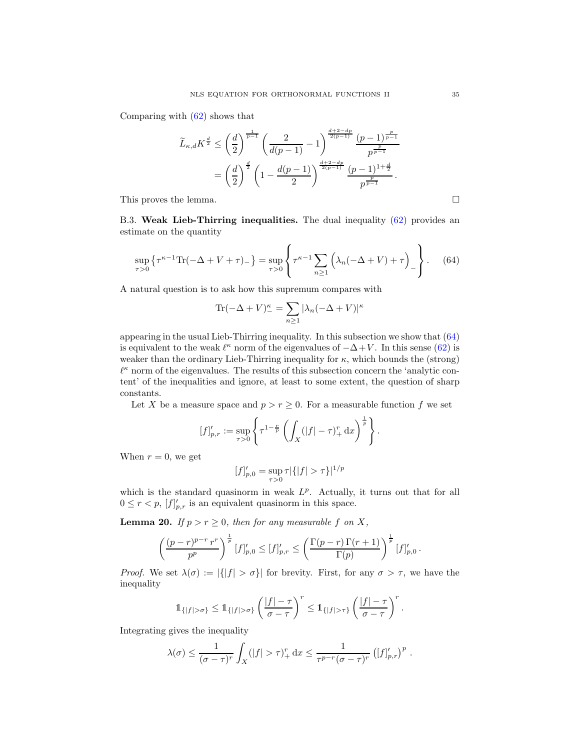Comparing with [\(62\)](#page-32-0) shows that

$$
\widetilde{L}_{\kappa,d}K^{\frac{d}{2}} \leq \left(\frac{d}{2}\right)^{\frac{1}{p-1}} \left(\frac{2}{d(p-1)} - 1\right)^{\frac{d+2-dp}{2(p-1)}} \frac{(p-1)^{\frac{p}{p-1}}}{p^{\frac{p}{p-1}}} \\
= \left(\frac{d}{2}\right)^{\frac{d}{2}} \left(1 - \frac{d(p-1)}{2}\right)^{\frac{d+2-dp}{2(p-1)}} \frac{(p-1)^{1+\frac{d}{2}}}{p^{\frac{p}{p-1}}}.
$$

This proves the lemma.

B.3. Weak Lieb-Thirring inequalities. The dual inequality [\(62\)](#page-32-0) provides an estimate on the quantity

<span id="page-34-0"></span>
$$
\sup_{\tau>0} \left\{ \tau^{\kappa-1} \text{Tr}(-\Delta + V + \tau)_- \right\} = \sup_{\tau>0} \left\{ \tau^{\kappa-1} \sum_{n\geq 1} \left( \lambda_n(-\Delta + V) + \tau \right)_- \right\}.
$$
 (64)

A natural question is to ask how this supremum compares with

$$
\text{Tr}(-\Delta + V)_{-}^{\kappa} = \sum_{n\geq 1} |\lambda_n(-\Delta + V)|^{\kappa}
$$

appearing in the usual Lieb-Thirring inequality. In this subsection we show that [\(64\)](#page-34-0) is equivalent to the weak  $\ell^{\kappa}$  norm of the eigenvalues of  $-\Delta + V$ . In this sense [\(62\)](#page-32-0) is weaker than the ordinary Lieb-Thirring inequality for  $\kappa$ , which bounds the (strong)  $\ell^{\kappa}$  norm of the eigenvalues. The results of this subsection concern the 'analytic content' of the inequalities and ignore, at least to some extent, the question of sharp constants.

Let X be a measure space and  $p > r \geq 0$ . For a measurable function f we set

$$
[f]'_{p,r} := \sup_{\tau > 0} \left\{ \tau^{1-\frac{r}{p}} \left( \int_X (|f| - \tau)_+^r dx \right)^{\frac{1}{p}} \right\}.
$$

When  $r = 0$ , we get

$$
[f]'_{p,0} = \sup_{\tau>0} \tau |\{|f| > \tau\}|^{1/p}
$$

which is the standard quasinorm in weak  $L^p$ . Actually, it turns out that for all  $0 \leq r < p$ ,  $[f]'_{p,r}$  is an equivalent quasinorm in this space.

<span id="page-34-1"></span>**Lemma 20.** If  $p > r \geq 0$ , then for any measurable f on X,

$$
\left(\frac{(p-r)^{p-r}r^r}{p^p}\right)^{\frac{1}{p}}[f]'_{p,0} \leq [f]'_{p,r} \leq \left(\frac{\Gamma(p-r)\Gamma(r+1)}{\Gamma(p)}\right)^{\frac{1}{p}}[f]'_{p,0}.
$$

*Proof.* We set  $\lambda(\sigma) := |\{|f| > \sigma\}|$  for brevity. First, for any  $\sigma > \tau$ , we have the inequality

$$
1_{\{|f|>\sigma\}} \leq 1_{\{|f|>\sigma\}} \left(\frac{|f|-\tau}{\sigma-\tau}\right)^r \leq 1_{\{|f|>\tau\}} \left(\frac{|f|-\tau}{\sigma-\tau}\right)^r.
$$

Integrating gives the inequality

$$
\lambda(\sigma) \leq \frac{1}{(\sigma - \tau)^r} \int_X (|f| > \tau)^r_+ dx \leq \frac{1}{\tau^{p-r}(\sigma - \tau)^r} \left( [f]_{p,r}' \right)^p.
$$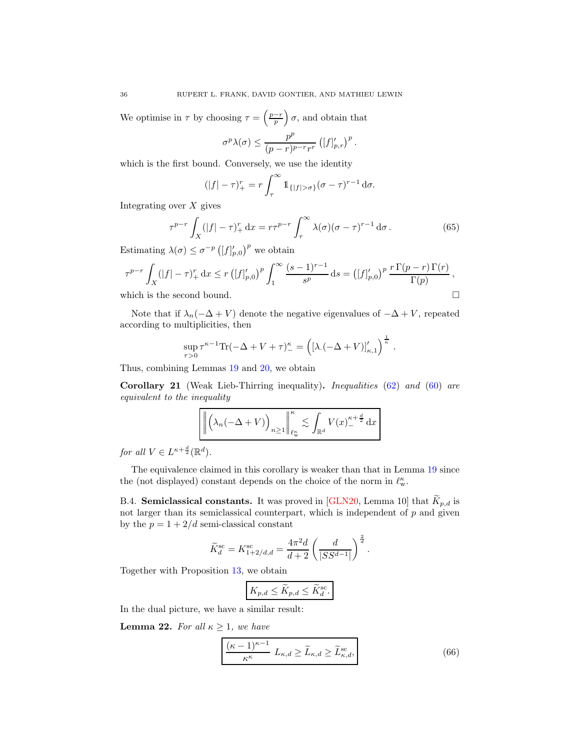We optimise in  $\tau$  by choosing  $\tau = \left(\frac{p-r}{p}\right)$  $\sigma$ , and obtain that

$$
\sigma^p \lambda(\sigma) \leq \frac{p^p}{(p-r)^{p-r}r^r} \left([f]'_{p,r}\right)^p.
$$

which is the first bound. Conversely, we use the identity

$$
(|f|-\tau)^r_+ = r \int_{\tau}^{\infty} \mathbb{1}_{\{|f| > \sigma\}} (\sigma - \tau)^{r-1} d\sigma.
$$

Integrating over  $X$  gives

<span id="page-35-1"></span>
$$
\tau^{p-r} \int_X (|f| - \tau)_+^r dx = r\tau^{p-r} \int_\tau^\infty \lambda(\sigma) (\sigma - \tau)^{r-1} d\sigma.
$$
 (65)

Estimating  $\lambda(\sigma) \leq \sigma^{-p} \left( [f]'_{p,0} \right)^p$  we obtain

$$
\tau^{p-r} \int_X (|f| - \tau)_+^r dx \le r \left( [f]_{p,0}' \right)^p \int_1^\infty \frac{(s-1)^{r-1}}{s^p} ds = \left( [f]_{p,0}' \right)^p \frac{r \Gamma(p-r) \Gamma(r)}{\Gamma(p)},
$$
\nwhich is the second bound.

Note that if  $\lambda_n(-\Delta + V)$  denote the negative eigenvalues of  $-\Delta + V$ , repeated according to multiplicities, then

$$
\sup_{\tau>0} \tau^{\kappa-1} \text{Tr}(-\Delta + V + \tau)^{\kappa}_{-} = \left( \left[ \lambda \left( -\Delta + V \right) \right]_{\kappa,1}' \right)^{\frac{1}{\kappa}}.
$$

Thus, combining Lemmas [19](#page-32-1) and [20,](#page-34-1) we obtain

Corollary 21 (Weak Lieb-Thirring inequality). Inequalities [\(62\)](#page-32-0) and [\(60\)](#page-31-2) are equivalent to the inequality

$$
\left\| \left( \lambda_n ( - \Delta + V) \right)_{n \ge 1} \right\|_{\ell_\mathrm{w}^\kappa}^{\kappa} \lesssim \int_{\mathbb{R}^d} V(x)_{-}^{\kappa + \frac{d}{2}} \, \mathrm{d}x
$$

for all  $V \in L^{\kappa + \frac{d}{2}}(\mathbb{R}^d)$ .

The equivalence claimed in this corollary is weaker than that in Lemma [19](#page-32-1) since the (not displayed) constant depends on the choice of the norm in  $\ell_\mathrm{w}^\kappa.$ 

B.4. Semiclassical constants. It was proved in [\[GLN20,](#page-40-0) Lemma 10] that  $K_{p,d}$  is not larger than its semiclassical counterpart, which is independent of  $p$  and given by the  $p = 1 + 2/d$  semi-classical constant

$$
\widetilde{K}_d^{\text{sc}} = K_{1+2/d,d}^{\text{sc}} = \frac{4\pi^2 d}{d+2} \left( \frac{d}{|SS^{d-1}|} \right)^{\frac{2}{d}}.
$$

Together with Proposition [13,](#page-25-2) we obtain

$$
K_{p,d} \le \widetilde{K}_{p,d} \le \widetilde{K}_d^{\text{sc}}.
$$

In the dual picture, we have a similar result:

<span id="page-35-2"></span>**Lemma 22.** For all  $\kappa \geq 1$ , we have

<span id="page-35-0"></span>
$$
\frac{(\kappa - 1)^{\kappa - 1}}{\kappa^{\kappa}} L_{\kappa, d} \ge \widetilde{L}_{\kappa, d} \ge \widetilde{L}_{\kappa, d}^{\text{sc}},\tag{66}
$$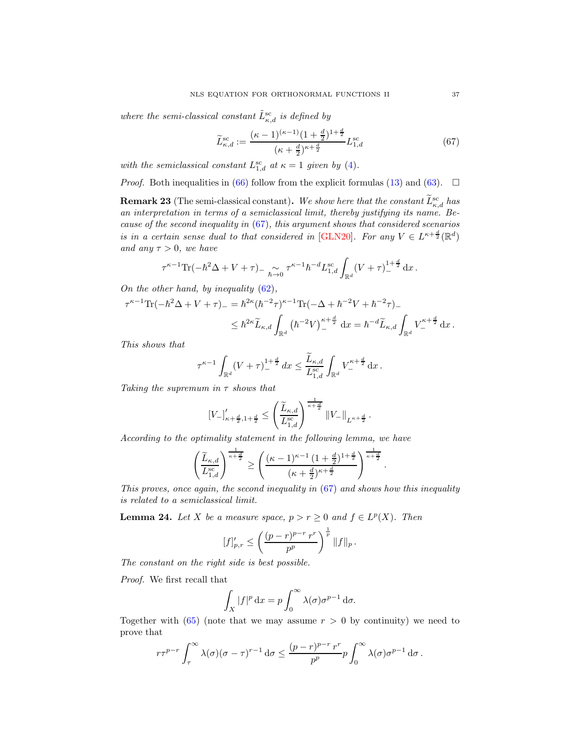where the semi-classical constant  $\tilde{L}^{\text{sc}}_{\kappa,d}$  is defined by

<span id="page-36-0"></span>
$$
\widetilde{L}_{\kappa,d}^{\text{sc}} := \frac{(\kappa - 1)^{(\kappa - 1)} (1 + \frac{d}{2})^{1 + \frac{d}{2}}}{(\kappa + \frac{d}{2})^{\kappa + \frac{d}{2}}} L_{1,d}^{\text{sc}} \tag{67}
$$

with the semiclassical constant  $L_{1,d}^{\rm sc}$  at  $\kappa = 1$  given by [\(4\)](#page-1-3).

*Proof.* Both inequalities in [\(66\)](#page-35-0) follow from the explicit formulas [\(13\)](#page-7-4) and [\(63\)](#page-32-2).  $\square$ 

**Remark 23** (The semi-classical constant). We show here that the constant  $\tilde{L}_{\kappa,d}^{\rm sc}$  has an interpretation in terms of a semiclassical limit, thereby justifying its name. Because of the second inequality in [\(67\)](#page-36-0), this argument shows that considered scenarios is in a certain sense dual to that considered in [\[GLN20\]](#page-40-0). For any  $V \in L^{\kappa + \frac{d}{2}}(\mathbb{R}^d)$ and any  $\tau > 0$ , we have

$$
\tau^{\kappa-1}\text{Tr}(-\hbar^2\Delta + V + \tau)_{-\hbar\to 0} \tau^{\kappa-1}\hbar^{-d}L_{1,d}^{\text{sc}} \int_{\mathbb{R}^d} (V + \tau)_{-}^{1+\frac{d}{2}} dx.
$$

On the other hand, by inequality  $(62)$ ,

$$
\tau^{\kappa-1} \text{Tr}(-\hbar^2 \Delta + V + \tau) = \hbar^{2\kappa} (\hbar^{-2} \tau)^{\kappa-1} \text{Tr}(-\Delta + \hbar^{-2} V + \hbar^{-2} \tau) - \leq \hbar^{2\kappa} \tilde{L}_{\kappa,d} \int_{\mathbb{R}^d} (\hbar^{-2} V)^{\kappa + \frac{d}{2}}_{-} dx = \hbar^{-d} \tilde{L}_{\kappa,d} \int_{\mathbb{R}^d} V^{\kappa + \frac{d}{2}}_{-} dx.
$$

This shows that

$$
\tau^{\kappa-1}\int_{\mathbb{R}^d}(V+\tau)^{1+\frac{d}{2}}_-\,dx\leq \frac{\widetilde{L}_{\kappa,d}}{L_{1,d}^{\mathrm{sc}}}\int_{\mathbb{R}^d}V_-^{\kappa+\frac{d}{2}}\,\mathrm{d} x\,.
$$

Taking the supremum in  $\tau$  shows that

$$
[V_{-}]'_{\kappa+\frac{d}{2},1+\frac{d}{2}} \leq \left(\frac{\widetilde{L}_{\kappa,d}}{L_{1,d}^{\text{sc}}}\right)^{\frac{1}{\kappa+\frac{d}{2}}} \|V_{-}\|_{L^{\kappa+\frac{d}{2}}}.
$$

According to the optimality statement in the following lemma, we have

$$
\left(\frac{\widetilde{L}_{\kappa,d}}{L_{1,d}^{\mathrm{sc}}}\right)^{\frac{1}{\kappa+\frac{d}{2}}} \geq \left(\frac{(\kappa-1)^{\kappa-1}\left(1+\frac{d}{2}\right)^{1+\frac{d}{2}}}{(\kappa+\frac{d}{2})^{\kappa+\frac{d}{2}}}\right)^{\frac{1}{\kappa+\frac{d}{2}}}.
$$

This proves, once again, the second inequality in [\(67\)](#page-36-0) and shows how this inequality is related to a semiclassical limit.

<span id="page-36-1"></span>**Lemma 24.** Let X be a measure space,  $p > r \ge 0$  and  $f \in L^p(X)$ . Then

$$
[f]'_{p,r} \le \left(\frac{(p-r)^{p-r}r^r}{p^p}\right)^{\frac{1}{p}} \|f\|_p.
$$

The constant on the right side is best possible.

Proof. We first recall that

$$
\int_X |f|^p \, \mathrm{d}x = p \int_0^\infty \lambda(\sigma) \sigma^{p-1} \, \mathrm{d}\sigma.
$$

Together with  $(65)$  (note that we may assume  $r > 0$  by continuity) we need to prove that

$$
r\tau^{p-r}\int_{\tau}^{\infty}\lambda(\sigma)(\sigma-\tau)^{r-1} d\sigma \leq \frac{(p-r)^{p-r}r^r}{p^p}p\int_{0}^{\infty}\lambda(\sigma)\sigma^{p-1} d\sigma.
$$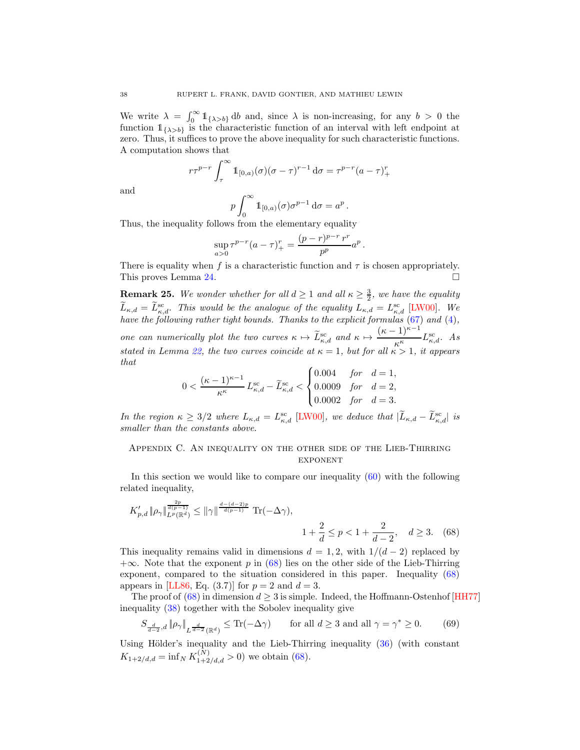We write  $\lambda = \int_0^\infty \mathbb{1}_{\{\lambda > b\}} db$  and, since  $\lambda$  is non-increasing, for any  $b > 0$  the function  $1_{\{\lambda>b\}}$  is the characteristic function of an interval with left endpoint at zero. Thus, it suffices to prove the above inequality for such characteristic functions. A computation shows that

$$
r\tau^{p-r}\int_{\tau}^{\infty}1\!\!1_{[0,a)}(\sigma)(\sigma-\tau)^{r-1}\,\mathrm{d}\sigma=\tau^{p-r}(a-\tau)^r_+
$$

and

$$
p \int_0^\infty \mathbb{1}_{[0,a)}(\sigma) \sigma^{p-1} d\sigma = a^p.
$$

Thus, the inequality follows from the elementary equality

$$
\sup_{a>0} \tau^{p-r}(a-\tau)^r_{+} = \frac{(p-r)^{p-r}r^r}{p^p}a^p.
$$

There is equality when f is a characteristic function and  $\tau$  is chosen appropriately. This proves Lemma [24.](#page-36-1)

**Remark 25.** We wonder whether for all  $d \geq 1$  and all  $\kappa \geq \frac{3}{2}$ , we have the equality  $\widetilde{L}_{\kappa,d} = \widetilde{L}_{\kappa,d}^{\rm sc}$ . This would be the analogue of the equality  $L_{\kappa,d} = L_{\kappa,d}^{\rm sc}$  [\[LW00\]](#page-41-8). We have the following rather tight bounds. Thanks to the explicit formulas [\(67\)](#page-36-0) and [\(4\)](#page-1-3), one can numerically plot the two curves  $\kappa \mapsto \widetilde{L}_{\kappa,d}^{\rm sc}$  and  $\kappa \mapsto \frac{(\kappa-1)^{\kappa-1}}{\kappa^{\kappa}}$  $\frac{1}{\kappa^{\kappa}}$   $L^{\text{sc}}_{\kappa,d}$ . As stated in Lemma [22,](#page-35-2) the two curves coincide at  $\kappa = 1$ , but for all  $\kappa > 1$ , it appears that

<span id="page-37-1"></span>
$$
0 < \frac{(\kappa - 1)^{\kappa - 1}}{\kappa^{\kappa}} L^{\text{sc}}_{\kappa, d} - \widetilde{L}^{\text{sc}}_{\kappa, d} < \begin{cases} 0.004 & \text{for} \quad d = 1, \\ 0.0009 & \text{for} \quad d = 2, \\ 0.0002 & \text{for} \quad d = 3. \end{cases}
$$

In the region  $\kappa \geq 3/2$  where  $L_{\kappa,d} = L_{\kappa,d}^{\rm sc}$  [\[LW00\]](#page-41-8), we deduce that  $|\tilde{L}_{\kappa,d} - \tilde{L}_{\kappa,d}^{\rm sc}|$  is smaller than the constants above.

### <span id="page-37-0"></span>Appendix C. An inequality on the other side of the Lieb-Thirring **EXPONENT**

In this section we would like to compare our inequality [\(60\)](#page-31-2) with the following related inequality,

$$
K'_{p,d} \| \rho_{\gamma} \|_{L^p(\mathbb{R}^d)}^{\frac{2p}{d(p-1)}} \le \| \gamma \|_{\frac{d-(d-2)p}{d(p-1)}}^{\frac{d-(d-2)p}{d(p-1)}} \text{Tr}(-\Delta \gamma),
$$
  

$$
1 + \frac{2}{d} \le p < 1 + \frac{2}{d-2}, \quad d \ge 3. \quad (68)
$$

This inequality remains valid in dimensions  $d = 1, 2$ , with  $1/(d - 2)$  replaced by  $+\infty$ . Note that the exponent p in [\(68\)](#page-37-1) lies on the other side of the Lieb-Thirring exponent, compared to the situation considered in this paper. Inequality [\(68\)](#page-37-1) appears in [\[LL86,](#page-41-25) Eq. (3.7)] for  $p = 2$  and  $d = 3$ .

The proof of [\(68\)](#page-37-1) in dimension  $d \geq 3$  is simple. Indeed, the Hoffmann-Ostenhof [\[HH77\]](#page-40-21) inequality [\(38\)](#page-15-1) together with the Sobolev inequality give

<span id="page-37-2"></span>
$$
S_{\frac{d}{d-2},d} \|\rho_\gamma\|_{L^{\frac{d}{d-2}}(\mathbb{R}^d)} \le \text{Tr}(-\Delta \gamma) \qquad \text{for all } d \ge 3 \text{ and all } \gamma = \gamma^* \ge 0. \tag{69}
$$

Using Hölder's inequality and the Lieb-Thirring inequality  $(36)$  (with constant  $K_{1+2/d,d} = \inf_N K_{1+2/d,d}^{(N)} > 0$  we obtain [\(68\)](#page-37-1).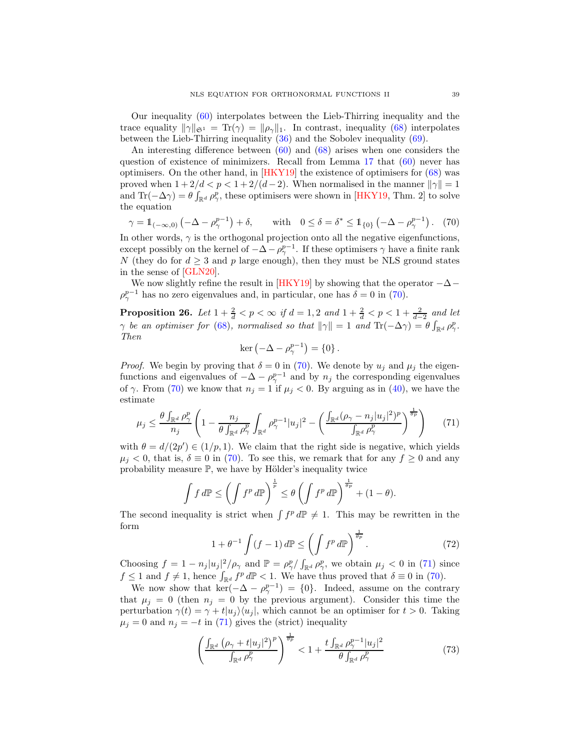Our inequality [\(60\)](#page-31-2) interpolates between the Lieb-Thirring inequality and the trace equality  $\|\gamma\|_{\mathfrak{S}^1} = \text{Tr}(\gamma) = \|\rho_\gamma\|_1$ . In contrast, inequality [\(68\)](#page-37-1) interpolates between the Lieb-Thirring inequality [\(36\)](#page-14-2) and the Sobolev inequality [\(69\)](#page-37-2).

An interesting difference between [\(60\)](#page-31-2) and [\(68\)](#page-37-1) arises when one considers the question of existence of minimizers. Recall from Lemma [17](#page-32-3) that [\(60\)](#page-31-2) never has optimisers. On the other hand, in [\[HKY19\]](#page-40-12) the existence of optimisers for [\(68\)](#page-37-1) was proved when  $1 + 2/d < p < 1 + 2/(d-2)$ . When normalised in the manner  $||\gamma|| = 1$ and  $\text{Tr}(-\Delta \gamma) = \theta \int_{\mathbb{R}^d} \rho_{\gamma}^p$ , these optimisers were shown in [\[HKY19,](#page-40-12) Thm. 2] to solve the equation

<span id="page-38-0"></span>
$$
\gamma = \mathbb{1}_{(-\infty,0)} \left( -\Delta - \rho_{\gamma}^{p-1} \right) + \delta, \quad \text{with} \quad 0 \le \delta = \delta^* \le \mathbb{1}_{\{0\}} \left( -\Delta - \rho_{\gamma}^{p-1} \right). \tag{70}
$$

In other words,  $\gamma$  is the orthogonal projection onto all the negative eigenfunctions, except possibly on the kernel of  $-\Delta - \rho_{\gamma}^{p-1}$ . If these optimisers  $\gamma$  have a finite rank N (they do for  $d \geq 3$  and p large enough), then they must be NLS ground states in the sense of [\[GLN20\]](#page-40-0).

We now slightly refine the result in [\[HKY19\]](#page-40-12) by showing that the operator  $-\Delta$ −  $\rho_{\gamma}^{p-1}$  has no zero eigenvalues and, in particular, one has  $\delta = 0$  in [\(70\)](#page-38-0).

**Proposition 26.** Let  $1 + \frac{2}{d} < p < \infty$  if  $d = 1, 2$  and  $1 + \frac{2}{d} < p < 1 + \frac{2}{d-2}$  and let  $\gamma$  be an optimiser for [\(68\)](#page-37-1), normalised so that  $\|\gamma\| = 1$  and  $\text{Tr}(-\Delta \gamma) = \theta \int_{\mathbb{R}^d} \rho_{\gamma}^p$ . Then

$$
\ker\left(-\Delta - \rho_{\gamma}^{p-1}\right) = \{0\}.
$$

*Proof.* We begin by proving that  $\delta = 0$  in [\(70\)](#page-38-0). We denote by  $u_i$  and  $\mu_i$  the eigenfunctions and eigenvalues of  $-\Delta - \rho_{\gamma}^{p-1}$  and by  $n_j$  the corresponding eigenvalues of  $\gamma$ . From [\(70\)](#page-38-0) we know that  $n_j = 1$  if  $\mu_j < 0$ . By arguing as in [\(40\)](#page-19-0), we have the estimate

<span id="page-38-1"></span>
$$
\mu_j \le \frac{\theta \int_{\mathbb{R}^d} \rho_\gamma^p}{n_j} \left( 1 - \frac{n_j}{\theta \int_{\mathbb{R}^d} \rho_\gamma^p} \int_{\mathbb{R}^d} \rho_\gamma^{p-1} |u_j|^2 - \left( \frac{\int_{\mathbb{R}^d} (\rho_\gamma - n_j |u_j|^2)^p}{\int_{\mathbb{R}^d} \rho_\gamma^p} \right)^{\frac{1}{\theta p}} \right) \tag{71}
$$

with  $\theta = d/(2p') \in (1/p, 1)$ . We claim that the right side is negative, which yields  $\mu_j < 0$ , that is,  $\delta \equiv 0$  in [\(70\)](#page-38-0). To see this, we remark that for any  $f \geq 0$  and any probability measure  $\mathbb{P}$ , we have by Hölder's inequality twice

$$
\int f \, d\mathbb{P} \le \left(\int f^p \, d\mathbb{P}\right)^{\frac{1}{p}} \le \theta \left(\int f^p \, d\mathbb{P}\right)^{\frac{1}{\theta p}} + (1 - \theta).
$$

The second inequality is strict when  $\int f^p d\mathbb{P} \neq 1$ . This may be rewritten in the form

<span id="page-38-2"></span>
$$
1 + \theta^{-1} \int (f - 1) d\mathbb{P} \le \left( \int f^p d\mathbb{P} \right)^{\frac{1}{\theta p}}.
$$
 (72)

Choosing  $f = 1 - n_j |u_j|^2 / \rho_\gamma$  and  $\mathbb{P} = \rho_\gamma^p / \int_{\mathbb{R}^d} \rho_\gamma^p$ , we obtain  $\mu_j < 0$  in [\(71\)](#page-38-1) since  $f \leq 1$  and  $f \neq 1$ , hence  $\int_{\mathbb{R}^d} f^p d\mathbb{P} < 1$ . We have thus proved that  $\delta \equiv 0$  in [\(70\)](#page-38-0).

We now show that  $\ker(-\Delta - \rho^{p-1}) = \{0\}$ . Indeed, assume on the contrary that  $\mu_j = 0$  (then  $n_j = 0$  by the previous argument). Consider this time the perturbation  $\gamma(t) = \gamma + t |u_i\rangle\langle u_i|$ , which cannot be an optimiser for  $t > 0$ . Taking  $\mu_i = 0$  and  $n_i = -t$  in [\(71\)](#page-38-1) gives the (strict) inequality

$$
\left(\frac{\int_{\mathbb{R}^d} \left(\rho_\gamma + t |u_j|^2\right)^p}{\int_{\mathbb{R}^d} \rho_\gamma^p}\right)^{\frac{1}{\theta p}} < 1 + \frac{t \int_{\mathbb{R}^d} \rho_\gamma^{p-1} |u_j|^2}{\theta \int_{\mathbb{R}^d} \rho_\gamma^p} \tag{73}
$$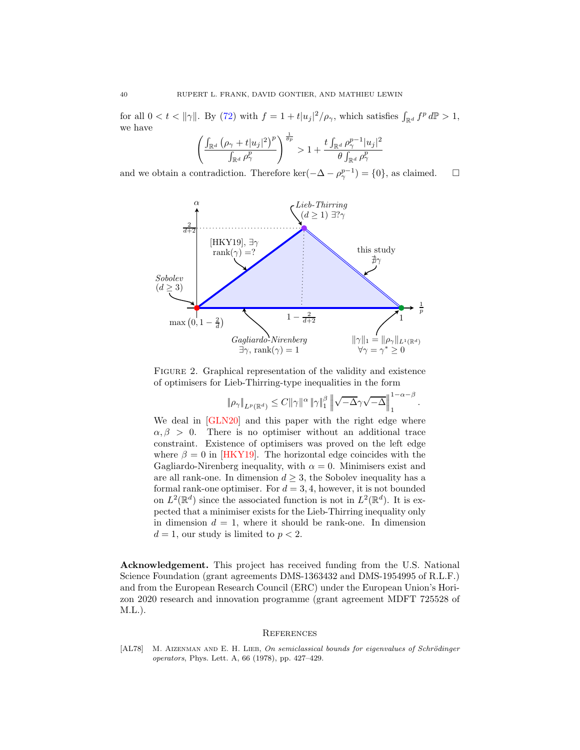for all  $0 < t < ||\gamma||$ . By [\(72\)](#page-38-2) with  $f = 1 + t|u_j|^2/\rho_\gamma$ , which satisfies  $\int_{\mathbb{R}^d} f^p d\mathbb{P} > 1$ , we have

$$
\left(\frac{\int_{\mathbb{R}^d} \left(\rho_\gamma + t |u_j|^2\right)^p}{\int_{\mathbb{R}^d} \rho_\gamma^p}\right)^{\frac{1}{\theta p}} > 1 + \frac{t \int_{\mathbb{R}^d} \rho_\gamma^{p-1} |u_j|^2}{\theta \int_{\mathbb{R}^d} \rho_\gamma^p}
$$

and we obtain a contradiction. Therefore ker( $-\Delta - \rho_{\gamma}^{p-1}$ ) = {0}, as claimed.  $\square$ 



FIGURE 2. Graphical representation of the validity and existence of optimisers for Lieb-Thirring-type inequalities in the form

$$
\|\rho_\gamma\|_{L^p(\mathbb{R}^d)} \leq C \|\gamma\|^\alpha \|\gamma\|_1^\beta \left\|\sqrt{-\Delta}\gamma\sqrt{-\Delta}\right\|_1^{1-\alpha-\beta}
$$

.

We deal in [\[GLN20\]](#page-40-0) and this paper with the right edge where  $\alpha, \beta > 0$ . There is no optimiser without an additional trace constraint. Existence of optimisers was proved on the left edge where  $\beta = 0$  in [\[HKY19\]](#page-40-12). The horizontal edge coincides with the Gagliardo-Nirenberg inequality, with  $\alpha = 0$ . Minimisers exist and are all rank-one. In dimension  $d \geq 3$ , the Sobolev inequality has a formal rank-one optimiser. For  $d = 3, 4$ , however, it is not bounded on  $L^2(\mathbb{R}^d)$  since the associated function is not in  $L^2(\mathbb{R}^d)$ . It is expected that a minimiser exists for the Lieb-Thirring inequality only in dimension  $d = 1$ , where it should be rank-one. In dimension  $d = 1$ , our study is limited to  $p < 2$ .

Acknowledgement. This project has received funding from the U.S. National Science Foundation (grant agreements DMS-1363432 and DMS-1954995 of R.L.F.) and from the European Research Council (ERC) under the European Union's Horizon 2020 research and innovation programme (grant agreement MDFT 725528 of M.L.).

#### **REFERENCES**

<span id="page-39-0"></span>[AL78] M. AIZENMAN AND E. H. LIEB, On semiclassical bounds for eigenvalues of Schrödinger operators, Phys. Lett. A, 66 (1978), pp. 427–429.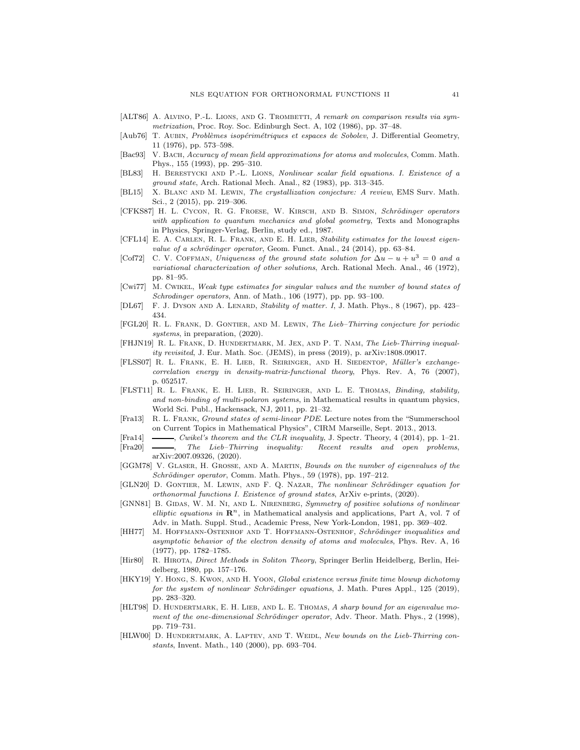- <span id="page-40-17"></span>[ALT86] A. ALVINO, P.-L. LIONS, AND G. TROMBETTI, A remark on comparison results via symmetrization, Proc. Roy. Soc. Edinburgh Sect. A, 102 (1986), pp. 37–48.
- <span id="page-40-20"></span>[Aub76] T. AUBIN, Problèmes isopérimétriques et espaces de Sobolev, J. Differential Geometry, 11 (1976), pp. 573–598.
- <span id="page-40-10"></span>[Bac93] V. BACH, Accuracy of mean field approximations for atoms and molecules, Comm. Math. Phys., 155 (1993), pp. 295–310.
- <span id="page-40-15"></span>[BL83] H. Berestycki and P.-L. Lions, Nonlinear scalar field equations. I. Existence of a ground state, Arch. Rational Mech. Anal., 82 (1983), pp. 313–345.
- <span id="page-40-7"></span>[BL15] X. Blanc and M. Lewin, The crystallization conjecture: A review, EMS Surv. Math. Sci., 2 (2015), pp. 219–306.
- <span id="page-40-22"></span>[CFKS87] H. L. CYCON, R. G. FROESE, W. KIRSCH, AND B. SIMON, Schrödinger operators with application to quantum mechanics and global geometry, Texts and Monographs in Physics, Springer-Verlag, Berlin, study ed., 1987.
- <span id="page-40-14"></span>[CFL14] E. A. CARLEN, R. L. FRANK, AND E. H. LIEB, Stability estimates for the lowest eigenvalue of a schrödinger operator, Geom. Funct. Anal., 24 (2014), pp. 63-84.
- <span id="page-40-18"></span>[Cof72] C. V. COFFMAN, Uniqueness of the ground state solution for  $\Delta u - u + u^3 = 0$  and a variational characterization of other solutions, Arch. Rational Mech. Anal., 46 (1972), pp. 81–95.
- <span id="page-40-2"></span>[Cwi77] M. Cwikel, Weak type estimates for singular values and the number of bound states of Schrodinger operators, Ann. of Math., 106 (1977), pp. pp. 93-100.
- <span id="page-40-1"></span>[DL67] F. J. Dyson and A. Lenard, Stability of matter. I, J. Math. Phys., 8 (1967), pp. 423– 434.
- <span id="page-40-8"></span>[FGL20] R. L. Frank, D. Gontier, and M. Lewin, The Lieb–Thirring conjecture for periodic systems, in preparation,  $(2020)$ .
- <span id="page-40-5"></span>[FHJN19] R. L. FRANK, D. HUNDERTMARK, M. JEX, AND P. T. NAM, The Lieb-Thirring inequality revisited, J. Eur. Math. Soc. (JEMS), in press (2019), p. arXiv:1808.09017.
- <span id="page-40-11"></span>[FLSS07] R. L. FRANK, E. H. LIEB, R. SEIRINGER, AND H. SIEDENTOP, *Müller's exchange*correlation energy in density-matrix-functional theory, Phys. Rev. A, 76 (2007), p. 052517.
- <span id="page-40-23"></span>[FLST11] R. L. Frank, E. H. Lieb, R. Seiringer, and L. E. Thomas, Binding, stability, and non-binding of multi-polaron systems, in Mathematical results in quantum physics, World Sci. Publ., Hackensack, NJ, 2011, pp. 21–32.
- <span id="page-40-13"></span>[Fra13] R. L. Frank, Ground states of semi-linear PDE. Lecture notes from the "Summerschool on Current Topics in Mathematical Physics", CIRM Marseille, Sept. 2013., 2013.
- <span id="page-40-9"></span>[Fra14] , Cwikel's theorem and the CLR inequality, J. Spectr. Theory, 4 (2014), pp. 1–21.
- <span id="page-40-4"></span>[Fra20] , The Lieb–Thirring inequality: Recent results and open problems, arXiv:2007.09326, (2020).
- <span id="page-40-3"></span>[GGM78] V. Glaser, H. Grosse, and A. Martin, Bounds on the number of eigenvalues of the  $Schrödinger operator$ , Comm. Math. Phys., 59 (1978), pp. 197–212.
- <span id="page-40-0"></span>[GLN20] D. GONTIER, M. LEWIN, AND F. Q. NAZAR, The nonlinear Schrödinger equation for orthonormal functions I. Existence of ground states, ArXiv e-prints, (2020).
- <span id="page-40-16"></span>[GNN81] B. GIDAS, W. M. NI, AND L. NIRENBERG, Symmetry of positive solutions of nonlinear elliptic equations in  $\mathbb{R}^n$ , in Mathematical analysis and applications, Part A, vol. 7 of Adv. in Math. Suppl. Stud., Academic Press, New York-London, 1981, pp. 369–402.
- <span id="page-40-21"></span>[HH77] M. HOFFMANN-OSTENHOF AND T. HOFFMANN-OSTENHOF, Schrödinger inequalities and asymptotic behavior of the electron density of atoms and molecules, Phys. Rev. A, 16 (1977), pp. 1782–1785.
- <span id="page-40-24"></span>[Hir80] R. HIROTA, *Direct Methods in Soliton Theory*, Springer Berlin Heidelberg, Berlin, Heidelberg, 1980, pp. 157–176.
- <span id="page-40-12"></span>[HKY19] Y. Hong, S. Kwon, and H. Yoon, Global existence versus finite time blowup dichotomy for the system of nonlinear Schrödinger equations, J. Math. Pures Appl., 125 (2019), pp. 283–320.
- <span id="page-40-6"></span>[HLT98] D. HUNDERTMARK, E. H. LIEB, AND L. E. THOMAS, A sharp bound for an eigenvalue moment of the one-dimensional Schrödinger operator, Adv. Theor. Math. Phys., 2 (1998), pp. 719–731.
- <span id="page-40-19"></span>[HLW00] D. HUNDERTMARK, A. LAPTEV, AND T. WEIDL, New bounds on the Lieb-Thirring constants, Invent. Math., 140 (2000), pp. 693–704.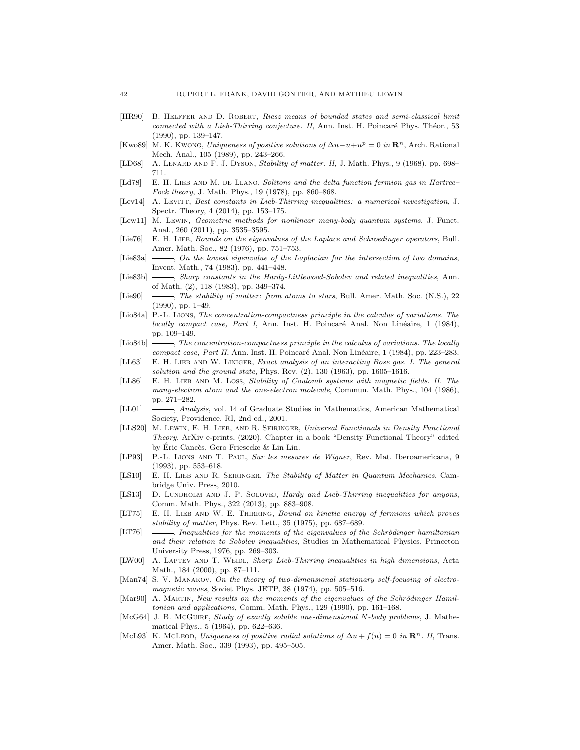- <span id="page-41-7"></span>[HR90] B. Helffer and D. Robert, Riesz means of bounded states and semi-classical limit connected with a Lieb-Thirring conjecture. II, Ann. Inst. H. Poincaré Phys. Théor., 53 (1990), pp. 139–147.
- <span id="page-41-16"></span>[Kwo89] M. K. Kwong, Uniqueness of positive solutions of  $\Delta u - u + u^p = 0$  in  $\mathbb{R}^n$ , Arch. Rational Mech. Anal., 105 (1989), pp. 243–266.
- <span id="page-41-3"></span>[LD68] A. LENARD AND F. J. DYSON, Stability of matter. II, J. Math. Phys., 9 (1968), pp. 698– 711.
- <span id="page-41-12"></span>[Ld78] E. H. LIEB AND M. DE LLANO, Solitons and the delta function fermion gas in Hartree– Fock theory, J. Math. Phys., 19 (1978), pp. 860–868.
- <span id="page-41-9"></span>[Lev14] A. LEVITT, Best constants in Lieb-Thirring inequalities: a numerical investigation, J. Spectr. Theory, 4 (2014), pp. 153–175.
- <span id="page-41-11"></span>[Lew11] M. Lewin, Geometric methods for nonlinear many-body quantum systems, J. Funct. Anal., 260 (2011), pp. 3535–3595.
- <span id="page-41-5"></span>[Lie76] E. H. LIEB, Bounds on the eigenvalues of the Laplace and Schroedinger operators, Bull. Amer. Math. Soc., 82 (1976), pp. 751–753.
- <span id="page-41-21"></span>[Lie83a]  $\longrightarrow$ , On the lowest eigenvalue of the Laplacian for the intersection of two domains, Invent. Math., 74 (1983), pp. 441–448.
- <span id="page-41-24"></span>[Lie83b]  $\longrightarrow$ , Sharp constants in the Hardy-Littlewood-Sobolev and related inequalities, Ann. of Math. (2), 118 (1983), pp. 349–374.
- <span id="page-41-4"></span>[Lie90] , The stability of matter: from atoms to stars, Bull. Amer. Math. Soc. (N.S.), 22 (1990), pp. 1–49.
- <span id="page-41-23"></span>[Lio84a] P.-L. Lions, The concentration-compactness principle in the calculus of variations. The locally compact case, Part I, Ann. Inst. H. Poincaré Anal. Non Linéaire, 1 (1984), pp. 109–149.
- <span id="page-41-22"></span>[Lio84b]  $\longrightarrow$ , The concentration-compactness principle in the calculus of variations. The locally compact case, Part II, Ann. Inst. H. Poincaré Anal. Non Linéaire, 1 (1984), pp. 223–283.
- <span id="page-41-13"></span>[LL63] E. H. LIEB AND W. LINIGER, Exact analysis of an interacting Bose gas. I. The general solution and the ground state, Phys. Rev.  $(2)$ ,  $130$   $(1963)$ , pp.  $1605-1616$ .
- <span id="page-41-25"></span>[LL86] E. H. LIEB AND M. LOSS, Stability of Coulomb systems with magnetic fields. II. The many-electron atom and the one-electron molecule, Commun. Math. Phys., 104 (1986), pp. 271–282.
- <span id="page-41-19"></span>[LL01]  $\longrightarrow$ , Analysis, vol. 14 of Graduate Studies in Mathematics, American Mathematical Society, Providence, RI, 2nd ed., 2001.
- <span id="page-41-6"></span>[LLS20] M. LEWIN, E. H. LIEB, AND R. SEIRINGER, Universal Functionals in Density Functional Theory, ArXiv e-prints, (2020). Chapter in a book "Density Functional Theory" edited by Éric Cancès, Gero Friesecke & Lin Lin.
- <span id="page-41-10"></span>[LP93] P.-L. Lions and T. Paul, Sur les mesures de Wigner, Rev. Mat. Iberoamericana, 9 (1993), pp. 553–618.
- <span id="page-41-2"></span>[LS10] E. H. LIEB AND R. SEIRINGER, The Stability of Matter in Quantum Mechanics, Cambridge Univ. Press, 2010.
- <span id="page-41-20"></span>[LS13] D. LUNDHOLM AND J. P. SOLOVEJ, Hardy and Lieb-Thirring inequalities for anyons, Comm. Math. Phys., 322 (2013), pp. 883–908.
- <span id="page-41-0"></span>[LT75] E. H. LIEB AND W. E. THIRRING, Bound on kinetic energy of fermions which proves stability of matter, Phys. Rev. Lett., 35 (1975), pp. 687–689.
- <span id="page-41-1"></span>[LT76] , Inequalities for the moments of the eigenvalues of the Schrödinger hamiltonian and their relation to Sobolev inequalities, Studies in Mathematical Physics, Princeton University Press, 1976, pp. 269–303.
- <span id="page-41-8"></span>[LW00] A. LAPTEV AND T. WEIDL, Sharp Lieb-Thirring inequalities in high dimensions, Acta Math., 184 (2000), pp. 87–111.
- <span id="page-41-15"></span>[Man74] S. V. MANAKOV, On the theory of two-dimensional stationary self-focusing of electromagnetic waves, Soviet Phys. JETP, 38 (1974), pp. 505–516.
- <span id="page-41-18"></span>[Mar90] A. MARTIN, New results on the moments of the eigenvalues of the Schrödinger Hamiltonian and applications, Comm. Math. Phys., 129 (1990), pp. 161–168.
- <span id="page-41-14"></span>[McG64] J. B. McGuire, *Study of exactly soluble one-dimensional N-body problems*, J. Mathematical Phys., 5 (1964), pp. 622–636.
- <span id="page-41-17"></span>[McL93] K. McLeon, Uniqueness of positive radial solutions of  $\Delta u + f(u) = 0$  in  $\mathbb{R}^n$ . II, Trans. Amer. Math. Soc., 339 (1993), pp. 495–505.